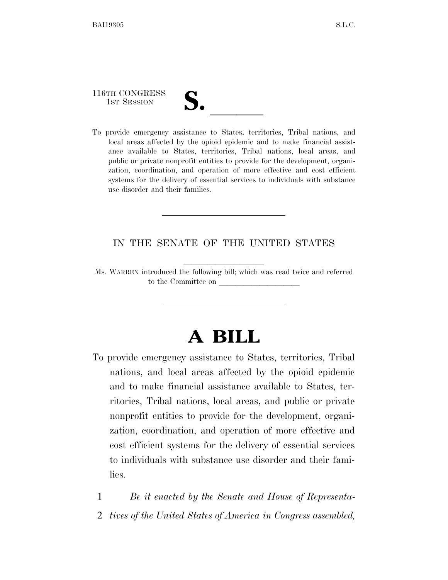116TH CONGRESS

116TH CONGRESS<br>
1ST SESSION<br>
To provide emergency assistance to States, territories, Tribal nations, and local areas affected by the opioid epidemic and to make financial assistance available to States, territories, Tribal nations, local areas, and public or private nonprofit entities to provide for the development, organization, coordination, and operation of more effective and cost efficient systems for the delivery of essential services to individuals with substance use disorder and their families.

### IN THE SENATE OF THE UNITED STATES

Ms. WARREN introduced the following bill; which was read twice and referred to the Committee on

# **A BILL**

To provide emergency assistance to States, territories, Tribal nations, and local areas affected by the opioid epidemic and to make financial assistance available to States, territories, Tribal nations, local areas, and public or private nonprofit entities to provide for the development, organization, coordination, and operation of more effective and cost efficient systems for the delivery of essential services to individuals with substance use disorder and their families.

1 *Be it enacted by the Senate and House of Representa-*

2 *tives of the United States of America in Congress assembled,*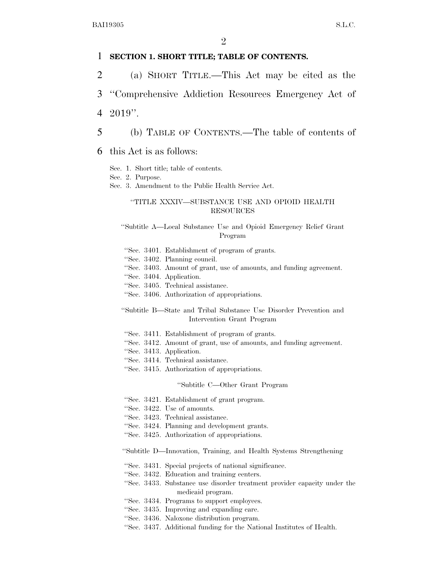#### 1 **SECTION 1. SHORT TITLE; TABLE OF CONTENTS.**

2 (a) SHORT TITLE.—This Act may be cited as the

3 ''Comprehensive Addiction Resources Emergency Act of

4 2019''.

5 (b) TABLE OF CONTENTS.—The table of contents of

6 this Act is as follows:

Sec. 1. Short title; table of contents.

Sec. 2. Purpose.

Sec. 3. Amendment to the Public Health Service Act.

#### ''TITLE XXXIV—SUBSTANCE USE AND OPIOID HEALTH RESOURCES

''Subtitle A—Local Substance Use and Opioid Emergency Relief Grant Program

- ''Sec. 3401. Establishment of program of grants.
- ''Sec. 3402. Planning council.
- ''Sec. 3403. Amount of grant, use of amounts, and funding agreement.
- ''Sec. 3404. Application.
- ''Sec. 3405. Technical assistance.
- ''Sec. 3406. Authorization of appropriations.

''Subtitle B—State and Tribal Substance Use Disorder Prevention and Intervention Grant Program

- ''Sec. 3411. Establishment of program of grants.
- ''Sec. 3412. Amount of grant, use of amounts, and funding agreement.
- ''Sec. 3413. Application.
- ''Sec. 3414. Technical assistance.
- ''Sec. 3415. Authorization of appropriations.

#### ''Subtitle C—Other Grant Program

- ''Sec. 3421. Establishment of grant program.
- ''Sec. 3422. Use of amounts.
- ''Sec. 3423. Technical assistance.
- ''Sec. 3424. Planning and development grants.
- ''Sec. 3425. Authorization of appropriations.

''Subtitle D—Innovation, Training, and Health Systems Strengthening

- ''Sec. 3431. Special projects of national significance.
- ''Sec. 3432. Education and training centers.
- ''Sec. 3433. Substance use disorder treatment provider capacity under the medicaid program.
- ''Sec. 3434. Programs to support employees.
- ''Sec. 3435. Improving and expanding care.
- ''Sec. 3436. Naloxone distribution program.
- ''Sec. 3437. Additional funding for the National Institutes of Health.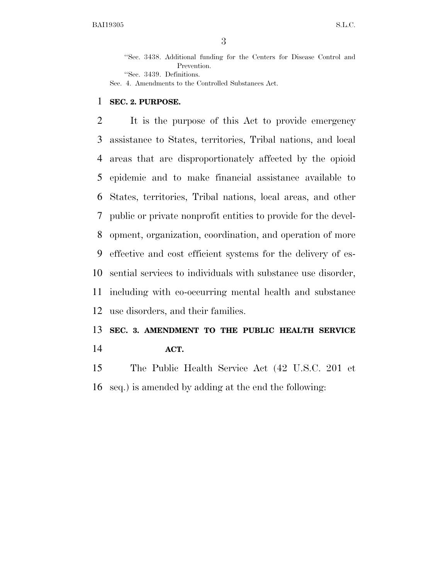''Sec. 3438. Additional funding for the Centers for Disease Control and Prevention.

''Sec. 3439. Definitions.

Sec. 4. Amendments to the Controlled Substances Act.

#### **SEC. 2. PURPOSE.**

 It is the purpose of this Act to provide emergency assistance to States, territories, Tribal nations, and local areas that are disproportionately affected by the opioid epidemic and to make financial assistance available to States, territories, Tribal nations, local areas, and other public or private nonprofit entities to provide for the devel- opment, organization, coordination, and operation of more effective and cost efficient systems for the delivery of es- sential services to individuals with substance use disorder, including with co-occurring mental health and substance use disorders, and their families.

## **SEC. 3. AMENDMENT TO THE PUBLIC HEALTH SERVICE ACT.**

 The Public Health Service Act (42 U.S.C. 201 et seq.) is amended by adding at the end the following: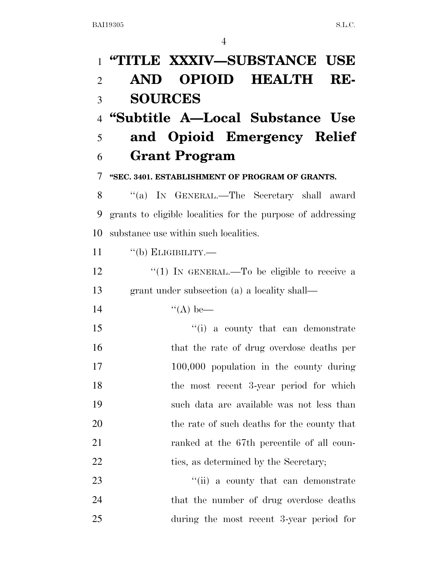| $\mathbf{1}$   | "TITLE XXXIV—SUBSTANCE USE                                  |
|----------------|-------------------------------------------------------------|
| $\overline{2}$ | <b>OPIOID HEALTH RE-</b><br><b>AND</b>                      |
| 3              | <b>SOURCES</b>                                              |
| $\overline{4}$ | "Subtitle A-Local Substance Use                             |
| 5              | and Opioid Emergency Relief                                 |
| 6              | <b>Grant Program</b>                                        |
| 7              | "SEC. 3401. ESTABLISHMENT OF PROGRAM OF GRANTS.             |
| 8              | "(a) IN GENERAL.—The Secretary shall award                  |
| 9              | grants to eligible localities for the purpose of addressing |
| 10             | substance use within such localities.                       |
| 11             | "(b) ELIGIBILITY.—                                          |
| 12             | "(1) IN GENERAL.—To be eligible to receive a                |
| 13             | grant under subsection (a) a locality shall—                |
| 14             | $\lq (A)$ be—                                               |
| 15             | "(i) a county that can demonstrate                          |
| 16             | that the rate of drug overdose deaths per                   |
| 17             | 100,000 population in the county during                     |
| 18             | the most recent 3-year period for which                     |
| 19             | such data are available was not less than                   |
| 20             | the rate of such deaths for the county that                 |
| 21             | ranked at the 67th percentile of all coun-                  |
| 22             | ties, as determined by the Secretary;                       |
| 23             | "(ii) a county that can demonstrate                         |
| 24             | that the number of drug overdose deaths                     |
| 25             | during the most recent 3-year period for                    |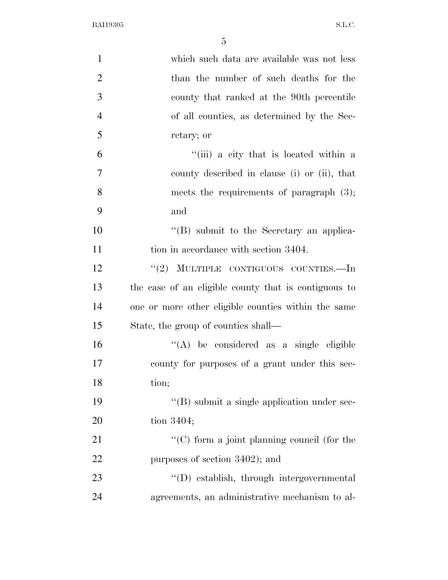| $\mathbf{1}$   | which such data are available was not less           |
|----------------|------------------------------------------------------|
| $\overline{2}$ | than the number of such deaths for the               |
| 3              | county that ranked at the 90th percentile            |
| $\overline{4}$ | of all counties, as determined by the Sec-           |
| 5              | retary; or                                           |
| 6              | "(iii) a city that is located within a               |
| 7              | county described in clause (i) or (ii), that         |
| 8              | meets the requirements of paragraph $(3)$ ;          |
| 9              | and                                                  |
| 10             | "(B) submit to the Secretary an applica-             |
| 11             | tion in accordance with section 3404.                |
| 12             | "(2) MULTIPLE CONTIGUOUS COUNTIES.—In                |
| 13             | the case of an eligible county that is contiguous to |
| 14             | one or more other eligible counties within the same  |
| 15             | State, the group of counties shall—                  |
| 16             | $\lq\lq$ be considered as a single eligible          |
| 17             | county for purposes of a grant under this sec-       |
| 18             | tion;                                                |
| 19             | $\lq\lq$ (B) submit a single application under sec-  |
| 20             | tion 3404;                                           |
| 21             | "(C) form a joint planning council (for the          |
| 22             | purposes of section 3402); and                       |
| 23             | "(D) establish, through intergovernmental            |
| 24             | agreements, an administrative mechanism to al-       |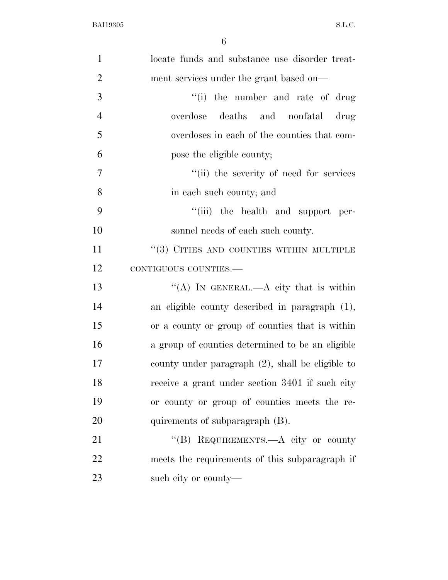| $\mathbf{1}$   | locate funds and substance use disorder treat-   |
|----------------|--------------------------------------------------|
| $\overline{2}$ | ment services under the grant based on—          |
| 3              | "(i) the number and rate of drug                 |
| $\overline{4}$ | overdose deaths and nonfatal drug                |
| 5              | overdoses in each of the counties that com-      |
| 6              | pose the eligible county;                        |
| $\overline{7}$ | "(ii) the severity of need for services          |
| 8              | in each such county; and                         |
| 9              | "(iii) the health and support per-               |
| 10             | sonnel needs of each such county.                |
| 11             | $``(3)$ CITIES AND COUNTIES WITHIN MULTIPLE      |
| 12             | CONTIGUOUS COUNTIES.-                            |
| 13             | "(A) IN GENERAL.—A city that is within           |
| 14             | an eligible county described in paragraph (1),   |
| 15             | or a county or group of counties that is within  |
| 16             | a group of counties determined to be an eligible |
| 17             | county under paragraph (2), shall be eligible to |
| 18             | receive a grant under section 3401 if such city  |
| 19             | or county or group of counties meets the re-     |
| 20             | quirements of subparagraph (B).                  |
| 21             | "(B) REQUIREMENTS.—A city or county              |
| 22             | meets the requirements of this subparagraph if   |
| 23             | such city or county—                             |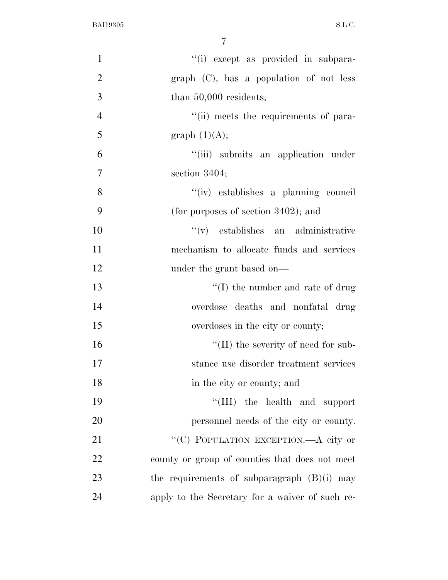| $\mathbf{1}$   | "(i) except as provided in subpara-             |
|----------------|-------------------------------------------------|
| $\mathbf{2}$   | $graph$ (C), has a population of not less       |
| 3              | than $50,000$ residents;                        |
| $\overline{4}$ | "(ii) meets the requirements of para-           |
| 5              | graph $(1)(A);$                                 |
| 6              | "(iii) submits an application under             |
| $\overline{7}$ | section $3404$ ;                                |
| 8              | "(iv) establishes a planning council            |
| 9              | (for purposes of section $3402$ ); and          |
| 10             | $f'(v)$ establishes an administrative           |
| 11             | mechanism to allocate funds and services        |
| 12             | under the grant based on—                       |
| 13             | $\lq\lq$ (I) the number and rate of drug        |
| 14             | overdose deaths and nonfatal drug               |
| 15             | overdoses in the city or county;                |
| 16             | $\lq\lq$ (II) the severity of need for sub-     |
| 17             | stance use disorder treatment services          |
| 18             | in the city or county; and                      |
| 19             | "(III) the health and support                   |
| 20             | personnel needs of the city or county.          |
| 21             | "(C) POPULATION EXCEPTION.—A city or            |
| 22             | county or group of counties that does not meet  |
| 23             | the requirements of subparagraph $(B)(i)$ may   |
| 24             | apply to the Secretary for a waiver of such re- |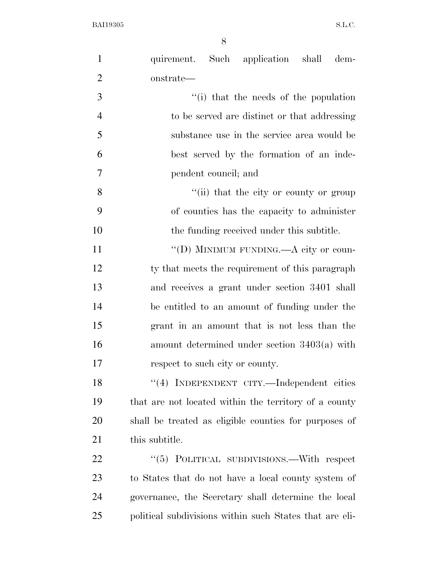| $\mathbf{1}$   | quirement. Such application shall dem-                  |
|----------------|---------------------------------------------------------|
| $\overline{2}$ | onstrate-                                               |
| 3              | "(i) that the needs of the population                   |
| $\overline{4}$ | to be served are distinct or that addressing            |
| 5              | substance use in the service area would be              |
| 6              | best served by the formation of an inde-                |
| 7              | pendent council; and                                    |
| 8              | "(ii) that the city or county or group                  |
| 9              | of counties has the capacity to administer              |
| 10             | the funding received under this subtitle.               |
| 11             | "(D) MINIMUM FUNDING.—A city or coun-                   |
| 12             | ty that meets the requirement of this paragraph         |
| 13             | and receives a grant under section 3401 shall           |
| 14             | be entitled to an amount of funding under the           |
| 15             | grant in an amount that is not less than the            |
| 16             | amount determined under section $3403(a)$ with          |
| 17             | respect to such city or county.                         |
| 18             | "(4) INDEPENDENT CITY.—Independent cities               |
| 19             | that are not located within the territory of a county   |
| 20             | shall be treated as eligible counties for purposes of   |
| 21             | this subtitle.                                          |
| 22             | "(5) POLITICAL SUBDIVISIONS.—With respect               |
| 23             | to States that do not have a local county system of     |
| 24             | governance, the Secretary shall determine the local     |
| 25             | political subdivisions within such States that are eli- |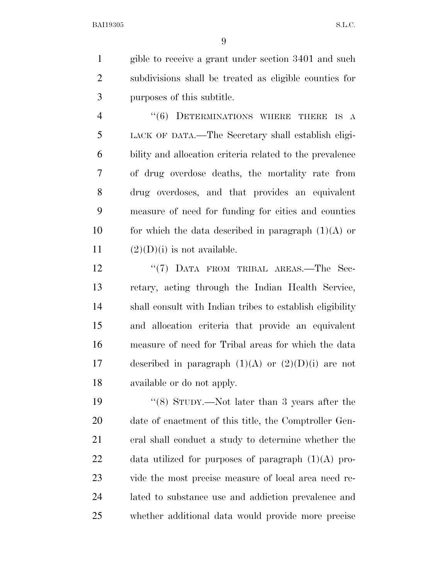gible to receive a grant under section 3401 and such subdivisions shall be treated as eligible counties for purposes of this subtitle.

4 "(6) DETERMINATIONS WHERE THERE IS A LACK OF DATA.—The Secretary shall establish eligi- bility and allocation criteria related to the prevalence of drug overdose deaths, the mortality rate from drug overdoses, and that provides an equivalent measure of need for funding for cities and counties 10 for which the data described in paragraph  $(1)(A)$  or  $(2)(D)(i)$  is not available.

12 ''(7) DATA FROM TRIBAL AREAS.—The Sec- retary, acting through the Indian Health Service, shall consult with Indian tribes to establish eligibility and allocation criteria that provide an equivalent measure of need for Tribal areas for which the data 17 described in paragraph  $(1)(A)$  or  $(2)(D)(i)$  are not available or do not apply.

 ''(8) STUDY.—Not later than 3 years after the date of enactment of this title, the Comptroller Gen- eral shall conduct a study to determine whether the data utilized for purposes of paragraph (1)(A) pro- vide the most precise measure of local area need re- lated to substance use and addiction prevalence and whether additional data would provide more precise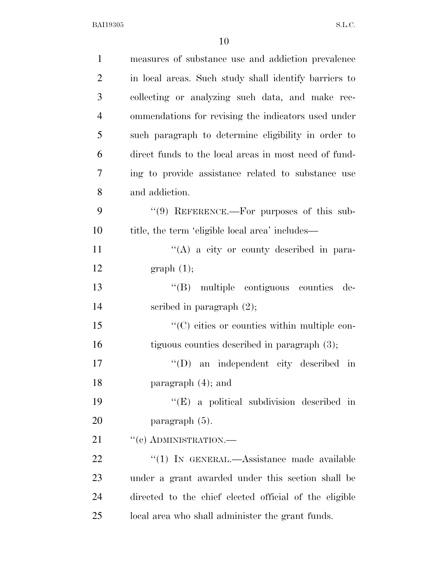| $\mathbf{1}$   | measures of substance use and addiction prevalence     |
|----------------|--------------------------------------------------------|
| $\overline{2}$ | in local areas. Such study shall identify barriers to  |
| 3              | collecting or analyzing such data, and make rec-       |
| $\overline{4}$ | ommendations for revising the indicators used under    |
| 5              | such paragraph to determine eligibility in order to    |
| 6              | direct funds to the local areas in most need of fund-  |
| 7              | ing to provide assistance related to substance use     |
| 8              | and addiction.                                         |
| 9              | $\lq(9)$ REFERENCE.—For purposes of this sub-          |
| 10             | title, the term 'eligible local area' includes—        |
| 11             | "(A) a city or county described in para-               |
| 12             | graph(1);                                              |
| 13             | "(B) multiple contiguous counties<br>de-               |
| 14             | scribed in paragraph $(2)$ ;                           |
| 15             | $\lq\lq$ cities or counties within multiple con-       |
| 16             | tiguous counties described in paragraph $(3)$ ;        |
| 17             | $\lq\lq$ an independent city described in              |
| 18             | paragraph $(4)$ ; and                                  |
| 19             | $\lq\lq$ (E) a political subdivision described in      |
| 20             | paragraph $(5)$ .                                      |
| 21             | $``(c)$ ADMINISTRATION.—                               |
| <u>22</u>      | $\lq(1)$ In GENERAL.—Assistance made available         |
| 23             | under a grant awarded under this section shall be      |
| 24             | directed to the chief elected official of the eligible |
| 25             | local area who shall administer the grant funds.       |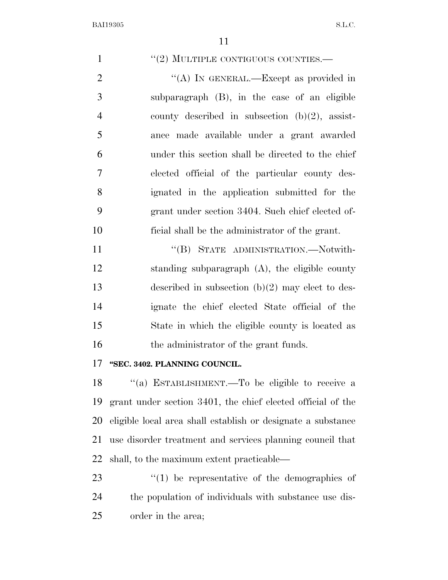$''(2)$  MULTIPLE CONTIGUOUS COUNTIES.— 2 "(A) IN GENERAL.—Except as provided in subparagraph (B), in the case of an eligible county described in subsection (b)(2), assist- ance made available under a grant awarded under this section shall be directed to the chief elected official of the particular county des- ignated in the application submitted for the grant under section 3404. Such chief elected of- ficial shall be the administrator of the grant. 11 "(B) STATE ADMINISTRATION.—Notwith- standing subparagraph (A), the eligible county described in subsection (b)(2) may elect to des- ignate the chief elected State official of the State in which the eligible county is located as 16 the administrator of the grant funds. **''SEC. 3402. PLANNING COUNCIL.**  ''(a) ESTABLISHMENT.—To be eligible to receive a grant under section 3401, the chief elected official of the eligible local area shall establish or designate a substance use disorder treatment and services planning council that shall, to the maximum extent practicable—  $\frac{1}{2}$  (1) be representative of the demographics of the population of individuals with substance use dis-order in the area;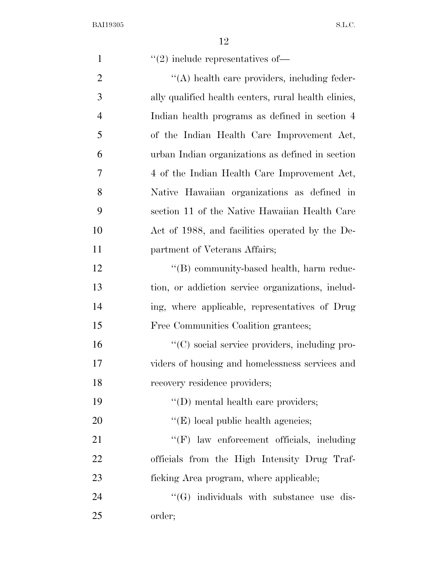| $\mathbf{1}$   | $\lq(2)$ include representatives of—                 |
|----------------|------------------------------------------------------|
| $\overline{2}$ | "(A) health care providers, including feder-         |
| 3              | ally qualified health centers, rural health clinics, |
| $\overline{4}$ | Indian health programs as defined in section 4       |
| 5              | of the Indian Health Care Improvement Act,           |
| 6              | urban Indian organizations as defined in section     |
| 7              | 4 of the Indian Health Care Improvement Act,         |
| 8              | Native Hawaiian organizations as defined in          |
| 9              | section 11 of the Native Hawaiian Health Care        |
| 10             | Act of 1988, and facilities operated by the De-      |
| 11             | partment of Veterans Affairs;                        |
| 12             | "(B) community-based health, harm reduc-             |
| 13             | tion, or addiction service organizations, includ-    |
| 14             | ing, where applicable, representatives of Drug       |
| 15             | Free Communities Coalition grantees;                 |
| 16             | "(C) social service providers, including pro-        |
| 17             | viders of housing and homelessness services and      |
| 18             | recovery residence providers;                        |
| 19             | $\lq\lq$ (D) mental health care providers;           |
| 20             | $\lq\lq$ (E) local public health agencies;           |
| 21             | "(F) law enforcement officials, including            |
| 22             | officials from the High Intensity Drug Traf-         |
| 23             | ficking Area program, where applicable;              |
| 24             | $\lq\lq(G)$ individuals with substance use dis-      |
| 25             | order;                                               |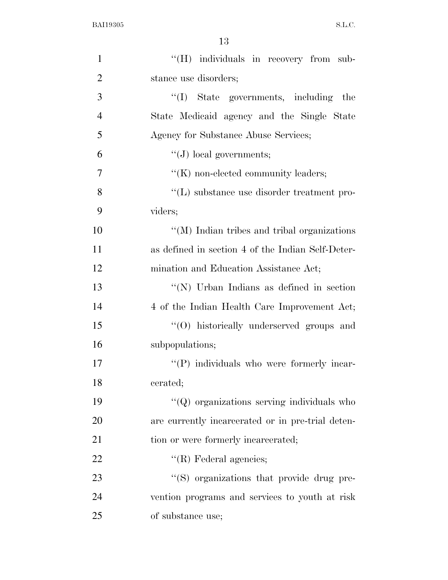| $\mathbf{1}$   | "(H) individuals in recovery from sub-              |
|----------------|-----------------------------------------------------|
| $\overline{2}$ | stance use disorders;                               |
| 3              | "(I) State governments, including the               |
| $\overline{4}$ | State Medicaid agency and the Single State          |
| 5              | Agency for Substance Abuse Services;                |
| 6              | $\lq\lq (J)$ local governments;                     |
| 7              | $\lq\lq$ (K) non-elected community leaders;         |
| 8              | $\lq\lq$ (L) substance use disorder treatment pro-  |
| 9              | viders;                                             |
| 10             | $\lq\lq$ (M) Indian tribes and tribal organizations |
| 11             | as defined in section 4 of the Indian Self-Deter-   |
| 12             | mination and Education Assistance Act;              |
| 13             | "(N) Urban Indians as defined in section            |
| 14             | 4 of the Indian Health Care Improvement Act;        |
| 15             | "(O) historically underserved groups and            |
| 16             | subpopulations;                                     |
| 17             | "(P) individuals who were formerly incar-           |
| 18             | cerated;                                            |
| 19             | $\lq\lq$ organizations serving individuals who      |
| 20             | are currently incarcerated or in pre-trial deten-   |
| 21             | tion or were formerly incarcerated;                 |
| 22             | $\lq\lq$ (R) Federal agencies;                      |
| 23             | "(S) organizations that provide drug pre-           |
| 24             | vention programs and services to youth at risk      |
| 25             | of substance use;                                   |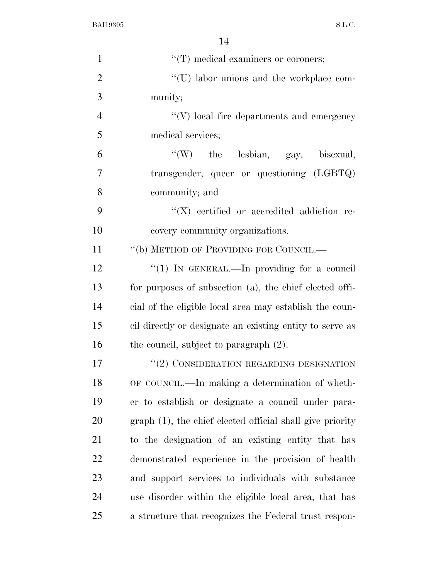| $\mathbf{1}$   | $\lq\lq$ (T) medical examiners or coroners;               |
|----------------|-----------------------------------------------------------|
| $\overline{2}$ | "(U) labor unions and the workplace com-                  |
| 3              | munity;                                                   |
| $\overline{4}$ | $\lq\lq(V)$ local fire departments and emergency          |
| 5              | medical services;                                         |
| 6              | "(W) the lesbian, gay, bisexual,                          |
| $\overline{7}$ | transgender, queer or questioning (LGBTQ)                 |
| 8              | community; and                                            |
| 9              | $\lq\lq$ (X) certified or accredited addiction re-        |
| 10             | covery community organizations.                           |
| 11             | "(b) METHOD OF PROVIDING FOR COUNCIL.—                    |
| 12             | "(1) IN GENERAL.—In providing for a council               |
| 13             | for purposes of subsection (a), the chief elected offi-   |
| 14             | cial of the eligible local area may establish the coun-   |
| 15             | cil directly or designate an existing entity to serve as  |
| 16             | the council, subject to paragraph $(2)$ .                 |
| 17             | $\lq (2)$ CONSIDERATION REGARDING DESIGNATION             |
| 18             | OF COUNCIL.—In making a determination of wheth-           |
| 19             | er to establish or designate a council under para-        |
| 20             | graph (1), the chief elected official shall give priority |
| 21             | to the designation of an existing entity that has         |
| 22             | demonstrated experience in the provision of health        |
| 23             | and support services to individuals with substance        |
| 24             | use disorder within the eligible local area, that has     |
| 25             | a structure that recognizes the Federal trust respon-     |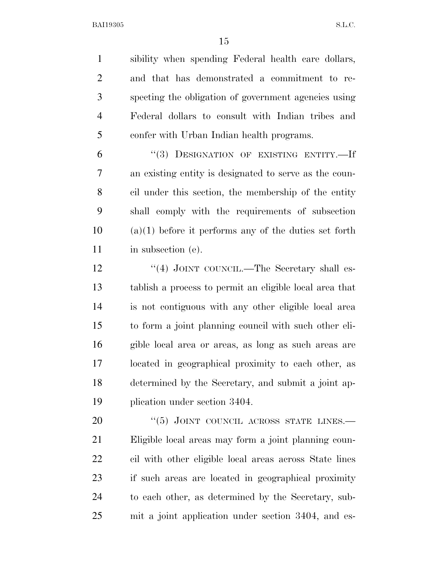sibility when spending Federal health care dollars, and that has demonstrated a commitment to re- specting the obligation of government agencies using Federal dollars to consult with Indian tribes and confer with Urban Indian health programs.

 ''(3) DESIGNATION OF EXISTING ENTITY.—If an existing entity is designated to serve as the coun- cil under this section, the membership of the entity shall comply with the requirements of subsection (a)(1) before it performs any of the duties set forth in subsection (e).

12 "(4) JOINT COUNCIL.—The Secretary shall es- tablish a process to permit an eligible local area that is not contiguous with any other eligible local area to form a joint planning council with such other eli- gible local area or areas, as long as such areas are located in geographical proximity to each other, as determined by the Secretary, and submit a joint ap-plication under section 3404.

20 "(5) JOINT COUNCIL ACROSS STATE LINES. Eligible local areas may form a joint planning coun- cil with other eligible local areas across State lines if such areas are located in geographical proximity to each other, as determined by the Secretary, sub-mit a joint application under section 3404, and es-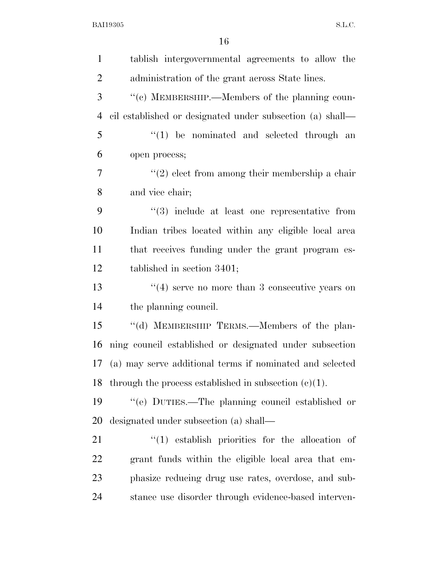| $\mathbf{1}$   | tablish intergovernmental agreements to allow the             |
|----------------|---------------------------------------------------------------|
| $\overline{2}$ | administration of the grant across State lines.               |
| 3              | "(c) MEMBERSHIP.—Members of the planning coun-                |
| $\overline{4}$ | cil established or designated under subsection (a) shall—     |
| 5              | $\lq(1)$ be nominated and selected through an                 |
| 6              | open process;                                                 |
| $\overline{7}$ | $\lq(2)$ elect from among their membership a chair            |
| 8              | and vice chair;                                               |
| 9              | $\cdot\cdot\cdot(3)$ include at least one representative from |
| 10             | Indian tribes located within any eligible local area          |
| 11             | that receives funding under the grant program es-             |
| 12             | tablished in section $3401$ ;                                 |
| 13             | $\cdot$ (4) serve no more than 3 consecutive years on         |
| 14             | the planning council.                                         |
| 15             | "(d) MEMBERSHIP TERMS.—Members of the plan-                   |
| 16             | ning council established or designated under subsection       |
| 17             | (a) may serve additional terms if nominated and selected      |
| 18             | through the process established in subsection $(c)(1)$ .      |
| 19             | "(e) DUTIES.—The planning council established or              |
| 20             | designated under subsection (a) shall—                        |
| 21             | $(1)$ establish priorities for the allocation of              |
| 22             | grant funds within the eligible local area that em-           |
| 23             | phasize reducing drug use rates, overdose, and sub-           |
| 24             | stance use disorder through evidence-based interven-          |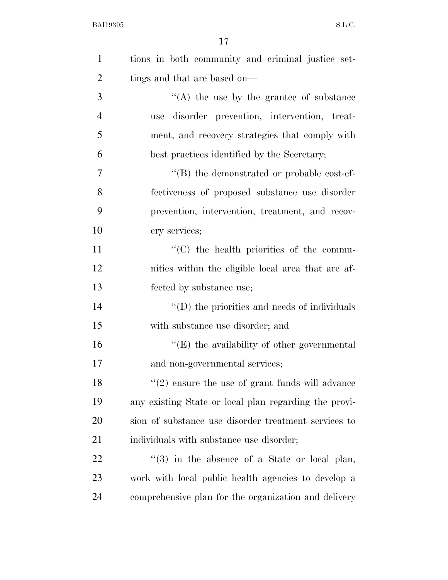| $\mathbf{1}$   | tions in both community and criminal justice set-     |
|----------------|-------------------------------------------------------|
| $\overline{2}$ | tings and that are based on—                          |
| 3              | $\lq\lq$ the use by the grantee of substance          |
| $\overline{4}$ | use disorder prevention, intervention, treat-         |
| 5              | ment, and recovery strategies that comply with        |
| 6              | best practices identified by the Secretary;           |
| $\overline{7}$ | $\cdot$ (B) the demonstrated or probable cost-ef-     |
| 8              | fectiveness of proposed substance use disorder        |
| 9              | prevention, intervention, treatment, and recov-       |
| 10             | ery services;                                         |
| 11             | "(C) the health priorities of the commu-              |
| 12             | nities within the eligible local area that are af-    |
| 13             | fected by substance use;                              |
| 14             | $\lq\lq$ (D) the priorities and needs of individuals  |
| 15             | with substance use disorder; and                      |
| 16             | " $(E)$ the availability of other governmental        |
| 17             | and non-governmental services;                        |
| 18             | $"(2)$ ensure the use of grant funds will advance     |
| 19             | any existing State or local plan regarding the provi- |
| 20             | sion of substance use disorder treatment services to  |
| 21             | individuals with substance use disorder;              |
| 22             | $\lq(3)$ in the absence of a State or local plan,     |
| 23             | work with local public health agencies to develop a   |
| 24             | comprehensive plan for the organization and delivery  |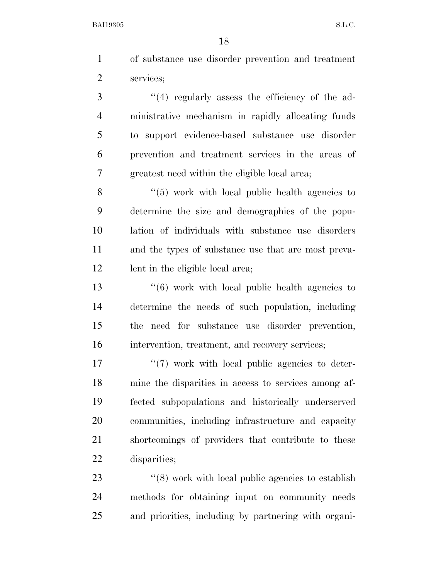of substance use disorder prevention and treatment services;

3 "(4) regularly assess the efficiency of the ad- ministrative mechanism in rapidly allocating funds to support evidence-based substance use disorder prevention and treatment services in the areas of greatest need within the eligible local area;

8 "(5) work with local public health agencies to determine the size and demographics of the popu- lation of individuals with substance use disorders and the types of substance use that are most preva-12 lent in the eligible local area;

 ''(6) work with local public health agencies to determine the needs of such population, including the need for substance use disorder prevention, intervention, treatment, and recovery services;

 $\frac{17}{2}$  The work with local public agencies to deter- mine the disparities in access to services among af- fected subpopulations and historically underserved communities, including infrastructure and capacity shortcomings of providers that contribute to these disparities;

23 ''(8) work with local public agencies to establish methods for obtaining input on community needs and priorities, including by partnering with organi-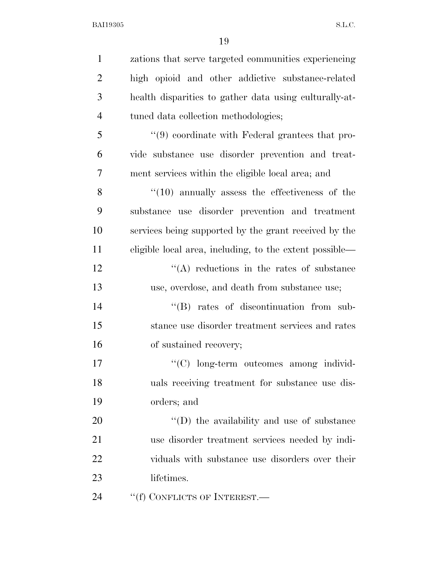| $\mathbf{1}$   | zations that serve targeted communities experiencing    |
|----------------|---------------------------------------------------------|
| $\overline{2}$ | high opioid and other addictive substance-related       |
| 3              | health disparities to gather data using culturally-at-  |
| $\overline{4}$ | tuned data collection methodologies;                    |
| 5              | "(9) coordinate with Federal grantees that pro-         |
| 6              | vide substance use disorder prevention and treat-       |
| 7              | ment services within the eligible local area; and       |
| 8              | $\cdot$ (10) annually assess the effectiveness of the   |
| 9              | substance use disorder prevention and treatment         |
| 10             | services being supported by the grant received by the   |
| 11             | eligible local area, including, to the extent possible— |
| 12             | $\lq\lq$ reductions in the rates of substance           |
| 13             | use, overdose, and death from substance use;            |
| 14             | "(B) rates of discontinuation from sub-                 |
| 15             | stance use disorder treatment services and rates        |
| 16             | of sustained recovery;                                  |
| 17             | "(C) long-term outcomes among individ-                  |
| 18             | uals receiving treatment for substance use dis-         |
| 19             | orders; and                                             |
| 20             | "(D) the availability and use of substance              |
| 21             | use disorder treatment services needed by indi-         |
| 22             | viduals with substance use disorders over their         |
| 23             | lifetimes.                                              |
| 24             | "(f) CONFLICTS OF INTEREST.—                            |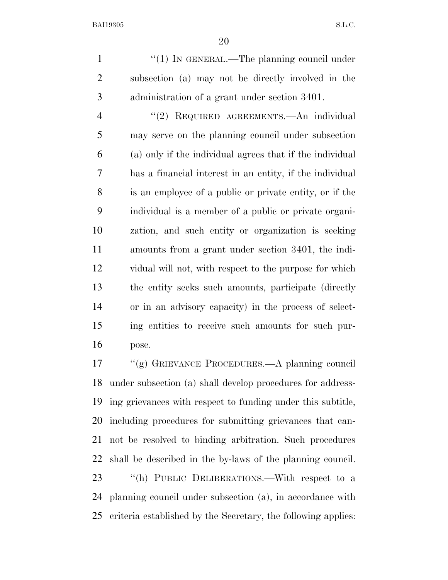1 "(1) IN GENERAL.—The planning council under subsection (a) may not be directly involved in the administration of a grant under section 3401.

 ''(2) REQUIRED AGREEMENTS.—An individual may serve on the planning council under subsection (a) only if the individual agrees that if the individual has a financial interest in an entity, if the individual is an employee of a public or private entity, or if the individual is a member of a public or private organi- zation, and such entity or organization is seeking amounts from a grant under section 3401, the indi- vidual will not, with respect to the purpose for which the entity seeks such amounts, participate (directly or in an advisory capacity) in the process of select- ing entities to receive such amounts for such pur-pose.

 ''(g) GRIEVANCE PROCEDURES.—A planning council under subsection (a) shall develop procedures for address- ing grievances with respect to funding under this subtitle, including procedures for submitting grievances that can- not be resolved to binding arbitration. Such procedures shall be described in the by-laws of the planning council. 23 "(h) PUBLIC DELIBERATIONS.—With respect to a planning council under subsection (a), in accordance with

criteria established by the Secretary, the following applies: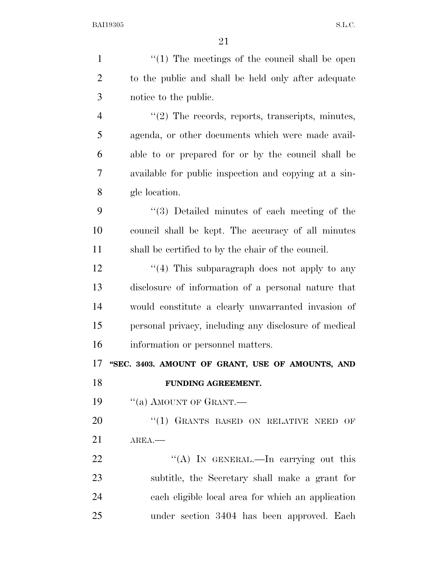| $\mathbf{1}$   | $\lq(1)$ The meetings of the council shall be open    |
|----------------|-------------------------------------------------------|
| $\overline{2}$ | to the public and shall be held only after adequate   |
| 3              | notice to the public.                                 |
| $\overline{4}$ | $\lq(2)$ The records, reports, transcripts, minutes,  |
| 5              | agenda, or other documents which were made avail-     |
| 6              | able to or prepared for or by the council shall be    |
| $\overline{7}$ | available for public inspection and copying at a sin- |
| 8              | gle location.                                         |
| 9              | "(3) Detailed minutes of each meeting of the          |
| 10             | council shall be kept. The accuracy of all minutes    |
| 11             | shall be certified to by the chair of the council.    |
| 12             | "(4) This subparagraph does not apply to any          |
| 13             | disclosure of information of a personal nature that   |
| 14             | would constitute a clearly unwarranted invasion of    |
| 15             | personal privacy, including any disclosure of medical |
| 16             | information or personnel matters.                     |
| 17             | "SEC. 3403. AMOUNT OF GRANT, USE OF AMOUNTS, AND      |
| 18             | FUNDING AGREEMENT.                                    |
| 19             | "(a) AMOUNT OF GRANT.                                 |
| 20             | "(1) GRANTS BASED ON RELATIVE NEED OF                 |
| 21             | $AREA$ .                                              |
| 22             | "(A) IN GENERAL.—In carrying out this                 |
| 23             | subtitle, the Secretary shall make a grant for        |
| 24             | each eligible local area for which an application     |
| 25             | under section 3404 has been approved. Each            |
|                |                                                       |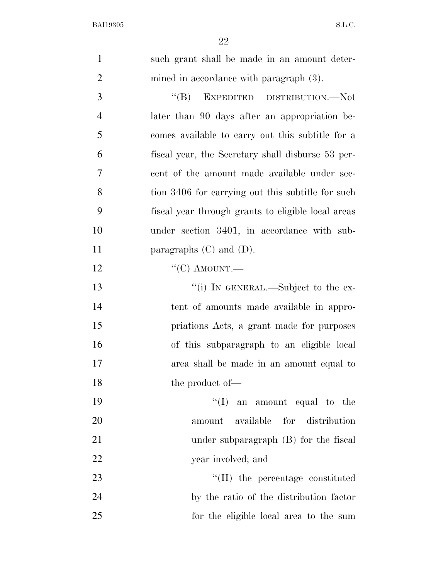| $\mathbf{1}$   | such grant shall be made in an amount deter-       |
|----------------|----------------------------------------------------|
| $\overline{2}$ | mined in accordance with paragraph $(3)$ .         |
| 3              | EXPEDITED DISTRIBUTION.—Not<br>$\lq\lq (B)$        |
| $\overline{4}$ | later than 90 days after an appropriation be-      |
| 5              | comes available to carry out this subtitle for a   |
| 6              | fiscal year, the Secretary shall disburse 53 per-  |
| 7              | cent of the amount made available under sec-       |
| 8              | tion 3406 for carrying out this subtitle for such  |
| 9              | fiscal year through grants to eligible local areas |
| 10             | under section 3401, in accordance with sub-        |
| 11             | paragraphs $(C)$ and $(D)$ .                       |
| 12             | " $(C)$ AMOUNT.—                                   |
| 13             | "(i) IN GENERAL.—Subject to the ex-                |
| 14             | tent of amounts made available in appro-           |
| 15             | priations Acts, a grant made for purposes          |
| 16             | of this subparagraph to an eligible local          |
| 17             | area shall be made in an amount equal to           |
| 18             | the product of-                                    |
| 19             | $\lq\lq$ (I) an amount equal to the                |
| 20             | available for distribution<br>amount               |
| 21             | under subparagraph $(B)$ for the fiscal            |
| 22             | year involved; and                                 |
| 23             | $\lq\lq$ (II) the percentage constituted           |
| 24             | by the ratio of the distribution factor            |
| 25             | for the eligible local area to the sum             |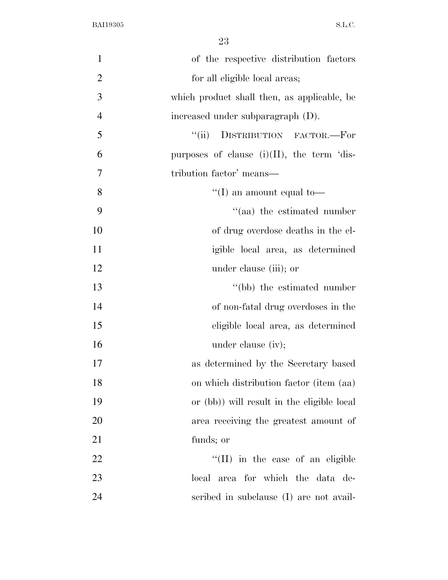| $\mathbf{1}$   | of the respective distribution factors        |
|----------------|-----------------------------------------------|
| $\overline{2}$ | for all eligible local areas;                 |
| 3              | which product shall then, as applicable, be   |
| $\overline{4}$ | increased under subparagraph (D).             |
| 5              | DISTRIBUTION FACTOR.-For<br>``(ii)            |
| 6              | purposes of clause $(i)(II)$ , the term 'dis- |
| $\tau$         | tribution factor' means—                      |
| 8              | "(I) an amount equal to-                      |
| 9              | $\cdot$ (aa) the estimated number             |
| 10             | of drug overdose deaths in the el-            |
| 11             | igible local area, as determined              |
| 12             | under clause (iii); or                        |
| 13             | "(bb) the estimated number                    |
| 14             | of non-fatal drug overdoses in the            |
| 15             | eligible local area, as determined            |
| 16             | under clause (iv);                            |
| 17             | as determined by the Secretary based          |
| 18             | on which distribution factor (item (aa)       |
| 19             | or (bb)) will result in the eligible local    |
| 20             | area receiving the greatest amount of         |
| 21             | funds; or                                     |
| 22             | $\lq\lq$ (II) in the case of an eligible      |
| 23             | local area for which the data de-             |
| 24             | scribed in subclause (I) are not avail-       |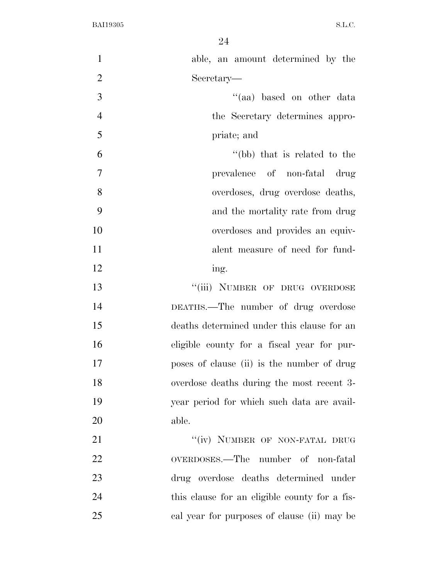| $\mathbf{1}$   | able, an amount determined by the             |
|----------------|-----------------------------------------------|
| $\overline{2}$ | Secretary—                                    |
| 3              | "(aa) based on other data                     |
| $\overline{4}$ | the Secretary determines appro-               |
| 5              | priate; and                                   |
| 6              | "(bb) that is related to the                  |
| $\tau$         | prevalence of non-fatal drug                  |
| 8              | overdoses, drug overdose deaths,              |
| 9              | and the mortality rate from drug              |
| 10             | overdoses and provides an equiv-              |
| 11             | alent measure of need for fund-               |
| 12             | ing.                                          |
| 13             | "(iii) NUMBER OF DRUG OVERDOSE                |
| 14             | DEATHS.—The number of drug overdose           |
| 15             | deaths determined under this clause for an    |
| 16             | eligible county for a fiscal year for pur-    |
| 17             | poses of clause (ii) is the number of drug    |
| 18             | overdose deaths during the most recent 3-     |
| 19             | year period for which such data are avail-    |
| 20             | able.                                         |
| 21             | "(iv) NUMBER OF NON-FATAL DRUG                |
| 22             | OVERDOSES.—The number of non-fatal            |
| 23             | drug overdose deaths determined under         |
| 24             | this clause for an eligible county for a fis- |
| 25             | cal year for purposes of clause (ii) may be   |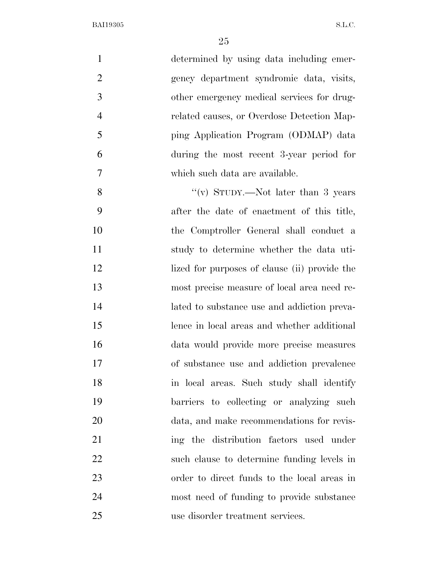| $\mathbf{1}$   | determined by using data including emer-      |
|----------------|-----------------------------------------------|
| $\overline{2}$ | gency department syndromic data, visits,      |
| 3              | other emergency medical services for drug-    |
| $\overline{4}$ | related causes, or Overdose Detection Map-    |
| 5              | ping Application Program (ODMAP) data         |
| 6              | during the most recent 3-year period for      |
| 7              | which such data are available.                |
| 8              | "(v) STUDY.—Not later than 3 years            |
| 9              | after the date of enactment of this title,    |
| 10             | the Comptroller General shall conduct a       |
| 11             | study to determine whether the data uti-      |
| 12             | lized for purposes of clause (ii) provide the |
| 13             | most precise measure of local area need re-   |
| 14             | lated to substance use and addiction preva-   |
| 15             | lence in local areas and whether additional   |
| 16             | data would provide more precise measures      |
| 17             | of substance use and addiction prevalence     |
| 18             | in local areas. Such study shall identify     |
| 19             | barriers to collecting or analyzing such      |
| 20             | data, and make recommendations for revis-     |
| 21             | ing the distribution factors used under       |
| 22             | such clause to determine funding levels in    |
| 23             | order to direct funds to the local areas in   |
| 24             | most need of funding to provide substance     |
| 25             | use disorder treatment services.              |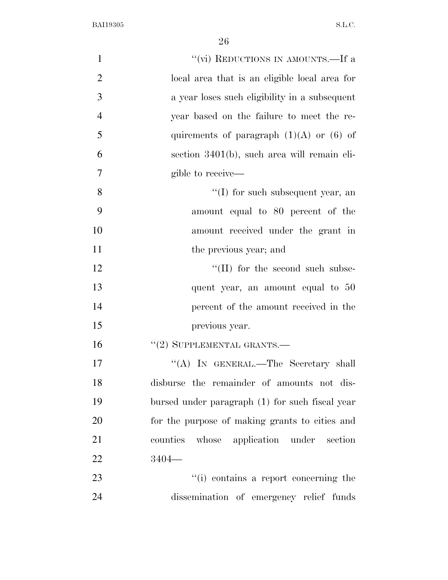| $\mathbf{1}$   | "(vi) REDUCTIONS IN AMOUNTS.—If a               |
|----------------|-------------------------------------------------|
| $\overline{2}$ | local area that is an eligible local area for   |
| 3              | a year loses such eligibility in a subsequent   |
| $\overline{4}$ | year based on the failure to meet the re-       |
| 5              | quirements of paragraph $(1)(A)$ or $(6)$ of    |
| 6              | section 3401(b), such area will remain eli-     |
| $\overline{7}$ | gible to receive—                               |
| 8              | $\lq\lq$ for such subsequent year, an           |
| 9              | amount equal to 80 percent of the               |
| 10             | amount received under the grant in              |
| 11             | the previous year; and                          |
| 12             | $\lq\lq$ (II) for the second such subse-        |
| 13             | quent year, an amount equal to 50               |
| 14             | percent of the amount received in the           |
| 15             | previous year.                                  |
| 16             | $``(2)$ SUPPLEMENTAL GRANTS.—                   |
| 17             | "(A) IN GENERAL.—The Secretary shall            |
| 18             | disburse the remainder of amounts not dis-      |
| 19             | bursed under paragraph (1) for such fiscal year |
| 20             | for the purpose of making grants to cities and  |
| 21             | counties whose application under section        |
| 22             | $3404-$                                         |
| 23             | "(i) contains a report concerning the           |
| 24             | dissemination of emergency relief funds         |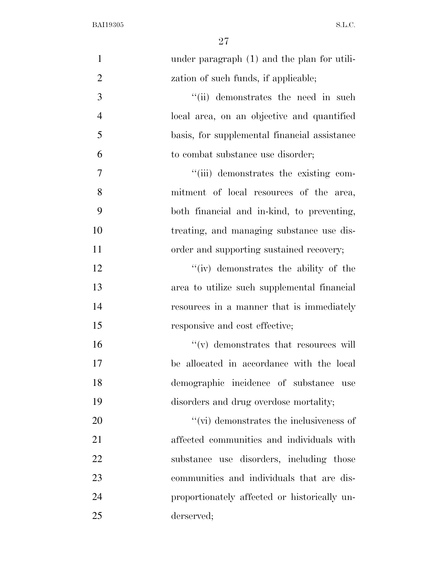| $\mathbf{1}$   | under paragraph (1) and the plan for utili-     |
|----------------|-------------------------------------------------|
| $\overline{2}$ | zation of such funds, if applicable;            |
| 3              | "(ii) demonstrates the need in such             |
| $\overline{4}$ | local area, on an objective and quantified      |
| 5              | basis, for supplemental financial assistance    |
| 6              | to combat substance use disorder;               |
| 7              | "(iii) demonstrates the existing com-           |
| 8              | mitment of local resources of the area,         |
| 9              | both financial and in-kind, to preventing,      |
| 10             | treating, and managing substance use dis-       |
| 11             | order and supporting sustained recovery;        |
| 12             | "(iv) demonstrates the ability of the           |
| 13             | area to utilize such supplemental financial     |
| 14             | resources in a manner that is immediately       |
| 15             | responsive and cost effective;                  |
| 16             | $\lq\lq$ (v) demonstrates that resources will   |
| 17             | be allocated in accordance with the local       |
| 18             | demographic incidence of substance use          |
| 19             | disorders and drug overdose mortality;          |
| 20             | $\lq\lq$ (vi) demonstrates the inclusiveness of |
| 21             | affected communities and individuals with       |
| 22             | substance use disorders, including those        |
| 23             | communities and individuals that are dis-       |
| 24             | proportionately affected or historically un-    |
| 25             | derserved;                                      |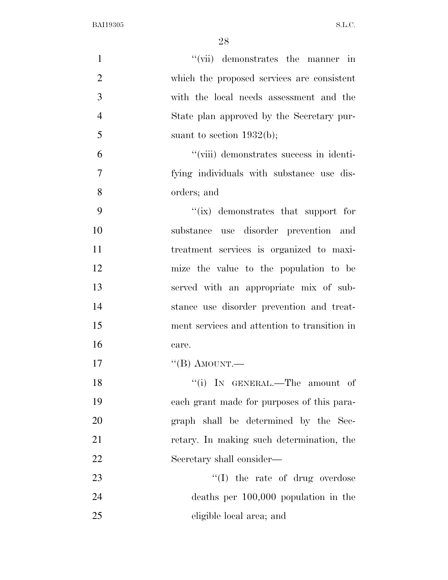| $\mathbf{1}$   | "(vii) demonstrates the manner in            |
|----------------|----------------------------------------------|
| $\overline{2}$ | which the proposed services are consistent   |
| 3              | with the local needs assessment and the      |
| $\overline{4}$ | State plan approved by the Secretary pur-    |
| 5              | suant to section $1932(b)$ ;                 |
| 6              | "(viii) demonstrates success in identi-      |
| 7              | fying individuals with substance use dis-    |
| 8              | orders; and                                  |
| 9              | "(ix) demonstrates that support for          |
| 10             | substance use disorder prevention and        |
| 11             | treatment services is organized to maxi-     |
| 12             | mize the value to the population to be       |
| 13             | served with an appropriate mix of sub-       |
| 14             | stance use disorder prevention and treat-    |
| 15             | ment services and attention to transition in |
| 16             | care.                                        |
| 17             | "(B) AMOUNT.—                                |
| 18             | "(i) IN GENERAL.—The amount of               |
| 19             | each grant made for purposes of this para-   |
| 20             | graph shall be determined by the Sec-        |
| 21             | retary. In making such determination, the    |
| 22             | Secretary shall consider—                    |
| 23             | $\lq\lq$ (I) the rate of drug overdose       |
| 24             | deaths per $100,000$ population in the       |
| 25             | eligible local area; and                     |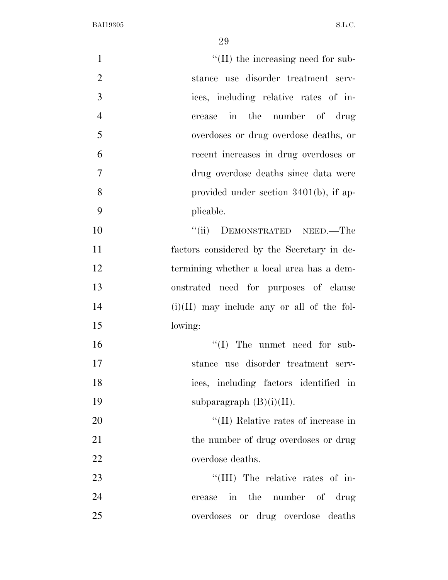| $\mathbf{1}$   | $\lq\lq$ (II) the increasing need for sub-   |
|----------------|----------------------------------------------|
| $\overline{2}$ | stance use disorder treatment serv-          |
| 3              | ices, including relative rates of in-        |
| $\overline{4}$ | in the number of drug<br>crease              |
| 5              | overdoses or drug overdose deaths, or        |
| 6              | recent increases in drug overdoses or        |
| $\overline{7}$ | drug overdose deaths since data were         |
| 8              | provided under section $3401(b)$ , if ap-    |
| 9              | plicable.                                    |
| 10             | DEMONSTRATED NEED.—The<br>``(ii)             |
| 11             | factors considered by the Secretary in de-   |
| 12             | termining whether a local area has a dem-    |
| 13             | onstrated need for purposes of clause        |
| 14             | $(i)(II)$ may include any or all of the fol- |
| 15             | lowing:                                      |
| 16             | $\lq\lq$ (I) The unmet need for sub-         |
| 17             | stance use disorder treatment serv-          |
| 18             | ices, including factors identified in        |
| 19             | subparagraph $(B)(i)(II)$ .                  |
| 20             | "(II) Relative rates of increase in          |
| 21             | the number of drug overdoses or drug         |
| 22             | overdose deaths.                             |
| 23             | "(III) The relative rates of in-             |
| 24             | crease in the number of drug                 |
| 25             | overdoses or drug overdose deaths            |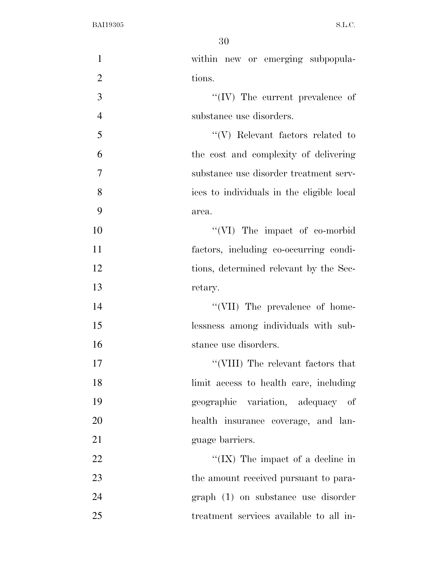| $\mathbf{1}$   | within new or emerging subpopula-         |
|----------------|-------------------------------------------|
| $\overline{2}$ | tions.                                    |
| 3              | $\lq\lq$ (IV) The current prevalence of   |
| $\overline{4}$ | substance use disorders.                  |
| 5              | $\lq\lq(V)$ Relevant factors related to   |
| 6              | the cost and complexity of delivering     |
| 7              | substance use disorder treatment serv-    |
| 8              | ices to individuals in the eligible local |
| 9              | area.                                     |
| 10             | "(VI) The impact of co-morbid             |
| 11             | factors, including co-occurring condi-    |
| 12             | tions, determined relevant by the Sec-    |
| 13             | retary.                                   |
| 14             | "(VII) The prevalence of home-            |
| 15             | lessness among individuals with sub-      |
| 16             | stance use disorders.                     |
| 17             | "(VIII) The relevant factors that $\,$    |
| 18             | limit access to health care, including    |
| 19             | geographic variation, adequacy of         |
| 20             | health insurance coverage, and lan-       |
| 21             | guage barriers.                           |
| 22             | "(IX) The impact of a decline in          |
| 23             | the amount received pursuant to para-     |
| 24             | graph (1) on substance use disorder       |
| 25             | treatment services available to all in-   |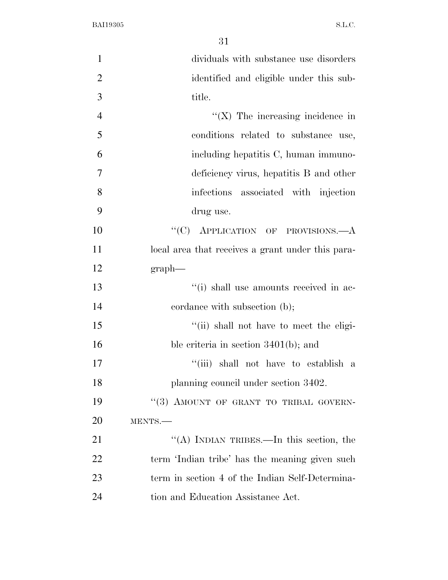| $\mathbf{1}$   | dividuals with substance use disorders            |
|----------------|---------------------------------------------------|
| $\overline{2}$ | identified and eligible under this sub-           |
| 3              | title.                                            |
| $\overline{4}$ | $\lq (X)$ The increasing incidence in             |
| 5              | conditions related to substance use,              |
| 6              | including hepatitis C, human immuno-              |
| $\overline{7}$ | deficiency virus, hepatitis B and other           |
| 8              | infections associated with injection              |
| 9              | drug use.                                         |
| 10             | "(C) APPLICATION OF PROVISIONS. $-A$              |
| 11             | local area that receives a grant under this para- |
| 12             | $graph$ —                                         |
| 13             | "(i) shall use amounts received in ac-            |
| 14             | cordance with subsection (b);                     |
| 15             | "(ii) shall not have to meet the eligi-           |
| 16             | ble criteria in section $3401(b)$ ; and           |
| 17             | "(iii) shall not have to establish a              |
| 18             | planning council under section 3402.              |
| 19             | "(3) AMOUNT OF GRANT TO TRIBAL GOVERN-            |
| 20             | MENTS.                                            |
| 21             | "(A) INDIAN TRIBES.—In this section, the          |
| 22             | term 'Indian tribe' has the meaning given such    |
| 23             | term in section 4 of the Indian Self-Determina-   |
| 24             | tion and Education Assistance Act.                |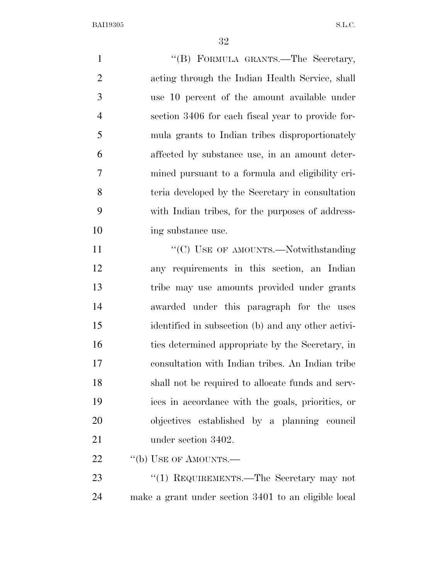1 ''(B) FORMULA GRANTS.—The Secretary, acting through the Indian Health Service, shall use 10 percent of the amount available under section 3406 for each fiscal year to provide for- mula grants to Indian tribes disproportionately affected by substance use, in an amount deter- mined pursuant to a formula and eligibility cri- teria developed by the Secretary in consultation with Indian tribes, for the purposes of address-10 ing substance use. 11 ""(C) USE OF AMOUNTS.—Notwithstanding" any requirements in this section, an Indian tribe may use amounts provided under grants awarded under this paragraph for the uses

 identified in subsection (b) and any other activi-16 ties determined appropriate by the Secretary, in consultation with Indian tribes. An Indian tribe shall not be required to allocate funds and serv- ices in accordance with the goals, priorities, or objectives established by a planning council 21 under section 3402.

22 "(b) USE OF AMOUNTS.—

23 "(1) REQUIREMENTS.—The Secretary may not make a grant under section 3401 to an eligible local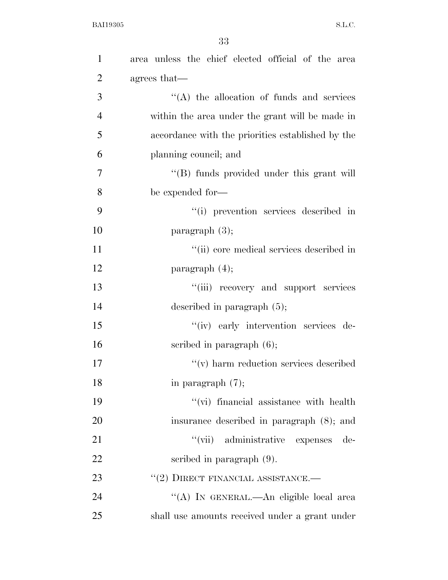| $\mathbf{1}$   | area unless the chief elected official of the area |
|----------------|----------------------------------------------------|
| $\overline{2}$ | agrees that—                                       |
| 3              | $\lq\lq$ the allocation of funds and services      |
| $\overline{4}$ | within the area under the grant will be made in    |
| 5              | accordance with the priorities established by the  |
| 6              | planning council; and                              |
| 7              | "(B) funds provided under this grant will          |
| 8              | be expended for-                                   |
| 9              | "(i) prevention services described in              |
| 10             | paragraph $(3)$ ;                                  |
| 11             | "(ii) core medical services described in           |
| 12             | paragraph $(4)$ ;                                  |
| 13             | "(iii) recovery and support services               |
| 14             | described in paragraph $(5)$ ;                     |
| 15             | "(iv) early intervention services de-              |
| 16             | scribed in paragraph $(6)$ ;                       |
| 17             | $\lq\lq$ harm reduction services described         |
| 18             | in paragraph $(7)$ ;                               |
| 19             | "(vi) financial assistance with health             |
| 20             | insurance described in paragraph (8); and          |
| 21             | "(vii) administrative expenses<br>de-              |
| 22             | scribed in paragraph $(9)$ .                       |
| 23             | $``(2)$ DIRECT FINANCIAL ASSISTANCE.—              |
| 24             | "(A) IN GENERAL.—An eligible local area            |
| 25             | shall use amounts received under a grant under     |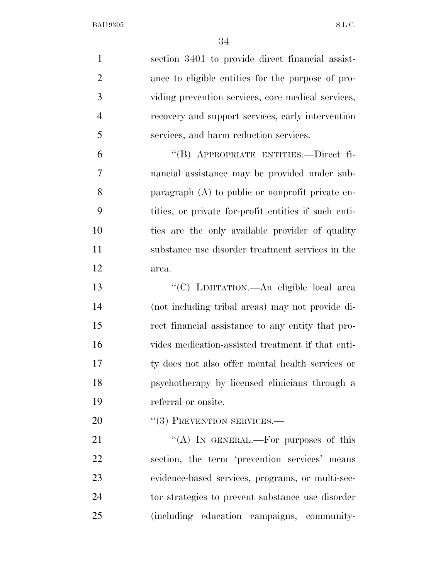| $\mathbf{1}$   | section 3401 to provide direct financial assist-     |
|----------------|------------------------------------------------------|
| $\overline{2}$ | ance to eligible entities for the purpose of pro-    |
| 3              | viding prevention services, core medical services,   |
| $\overline{4}$ | recovery and support services, early intervention    |
| 5              | services, and harm reduction services.               |
| 6              | "(B) APPROPRIATE ENTITIES.—Direct fi-                |
| 7              | nancial assistance may be provided under sub-        |
| 8              | paragraph (A) to public or nonprofit private en-     |
| 9              | tities, or private for-profit entities if such enti- |
| 10             | ties are the only available provider of quality      |
| 11             | substance use disorder treatment services in the     |
| 12             | area.                                                |
| 13             | "(C) LIMITATION. - An eligible local area            |
| 14             | (not including tribal areas) may not provide di-     |
| 15             | rect financial assistance to any entity that pro-    |
| 16             | vides medication-assisted treatment if that enti-    |
| 17             | ty does not also offer mental health services or     |
| 18             | psychotherapy by licensed clinicians through a       |
| 19             | referral or onsite.                                  |
| 20             | $``(3)$ PREVENTION SERVICES.—                        |
| 21             | "(A) IN GENERAL.—For purposes of this                |
| 22             | section, the term 'prevention services' means        |
| 23             | evidence-based services, programs, or multi-sec-     |
| 24             | tor strategies to prevent substance use disorder     |
| 25             | (including education campaigns, community-           |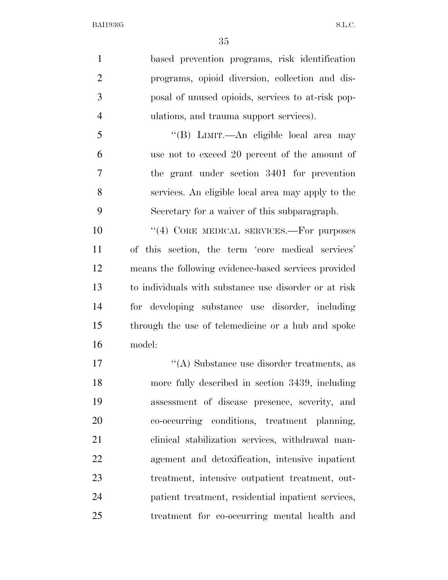based prevention programs, risk identification programs, opioid diversion, collection and dis- posal of unused opioids, services to at-risk pop-ulations, and trauma support services).

 ''(B) LIMIT.—An eligible local area may use not to exceed 20 percent of the amount of the grant under section 3401 for prevention services. An eligible local area may apply to the Secretary for a waiver of this subparagraph.

10 <sup>''(4)</sup> CORE MEDICAL SERVICES.—For purposes of this section, the term 'core medical services' means the following evidence-based services provided to individuals with substance use disorder or at risk for developing substance use disorder, including through the use of telemedicine or a hub and spoke model:

17 ''(A) Substance use disorder treatments, as more fully described in section 3439, including assessment of disease presence, severity, and co-occurring conditions, treatment planning, clinical stabilization services, withdrawal man- agement and detoxification, intensive inpatient treatment, intensive outpatient treatment, out- patient treatment, residential inpatient services, treatment for co-occurring mental health and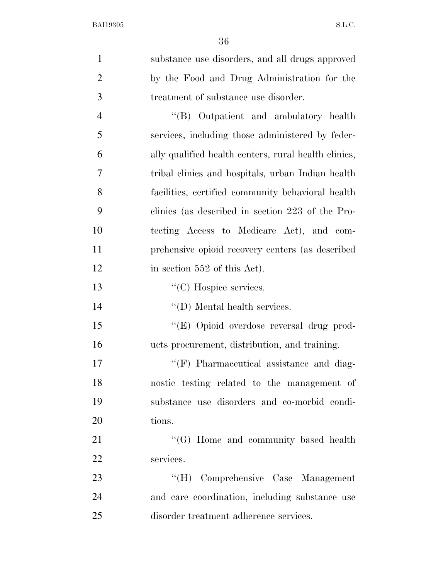| $\mathbf{1}$   | substance use disorders, and all drugs approved      |
|----------------|------------------------------------------------------|
| $\mathbf{2}$   | by the Food and Drug Administration for the          |
| 3              | treatment of substance use disorder.                 |
| $\overline{4}$ | "(B) Outpatient and ambulatory health                |
| 5              | services, including those administered by feder-     |
| 6              | ally qualified health centers, rural health clinics, |
| $\overline{7}$ | tribal clinics and hospitals, urban Indian health    |
| 8              | facilities, certified community behavioral health    |
| 9              | clinics (as described in section 223 of the Pro-     |
| 10             | tecting Access to Medicare Act), and com-            |
| 11             | prehensive opioid recovery centers (as described     |
| 12             | in section 552 of this Act).                         |
| 13             | $\lq\lq$ <sup>"</sup> (C) Hospice services.          |
| 14             | $\lq\lq$ (D) Mental health services.                 |
| 15             | "(E) Opioid overdose reversal drug prod-             |
| 16             | ucts procurement, distribution, and training.        |
| 17             | "(F) Pharmaceutical assistance and diag-             |
| 18             | nostic testing related to the management of          |
| 19             | substance use disorders and co-morbid condi-         |
| 20             | tions.                                               |
| 21             | "(G) Home and community based health                 |
| 22             | services.                                            |
| 23             | "(H) Comprehensive Case Management                   |
| 24             | and care coordination, including substance use       |
| 25             | disorder treatment adherence services.               |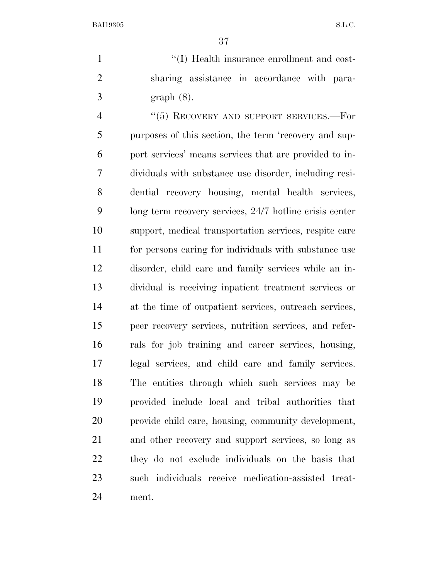1  $\frac{1}{1}$   $\frac{1}{1}$  Health insurance enrollment and cost- sharing assistance in accordance with para-graph (8).

4 "(5) RECOVERY AND SUPPORT SERVICES.—For purposes of this section, the term 'recovery and sup- port services' means services that are provided to in- dividuals with substance use disorder, including resi- dential recovery housing, mental health services, long term recovery services, 24/7 hotline crisis center support, medical transportation services, respite care for persons caring for individuals with substance use disorder, child care and family services while an in- dividual is receiving inpatient treatment services or at the time of outpatient services, outreach services, peer recovery services, nutrition services, and refer- rals for job training and career services, housing, legal services, and child care and family services. The entities through which such services may be provided include local and tribal authorities that provide child care, housing, community development, and other recovery and support services, so long as they do not exclude individuals on the basis that such individuals receive medication-assisted treat-ment.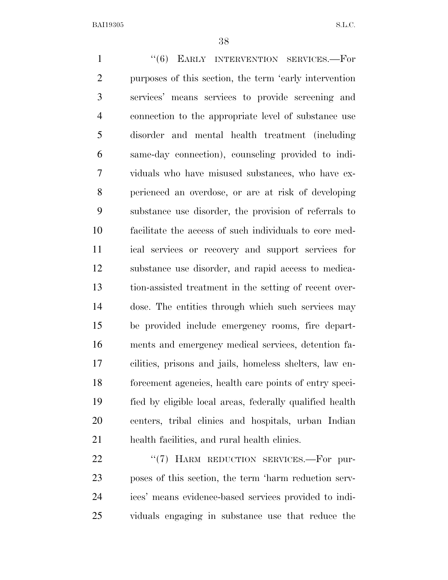1 "(6) EARLY INTERVENTION SERVICES.—For purposes of this section, the term 'early intervention services' means services to provide screening and connection to the appropriate level of substance use disorder and mental health treatment (including same-day connection), counseling provided to indi- viduals who have misused substances, who have ex- perienced an overdose, or are at risk of developing substance use disorder, the provision of referrals to facilitate the access of such individuals to core med- ical services or recovery and support services for substance use disorder, and rapid access to medica- tion-assisted treatment in the setting of recent over- dose. The entities through which such services may be provided include emergency rooms, fire depart- ments and emergency medical services, detention fa- cilities, prisons and jails, homeless shelters, law en- forcement agencies, health care points of entry speci- fied by eligible local areas, federally qualified health centers, tribal clinics and hospitals, urban Indian health facilities, and rural health clinics.

22 "(7) HARM REDUCTION SERVICES.—For pur- poses of this section, the term 'harm reduction serv- ices' means evidence-based services provided to indi-viduals engaging in substance use that reduce the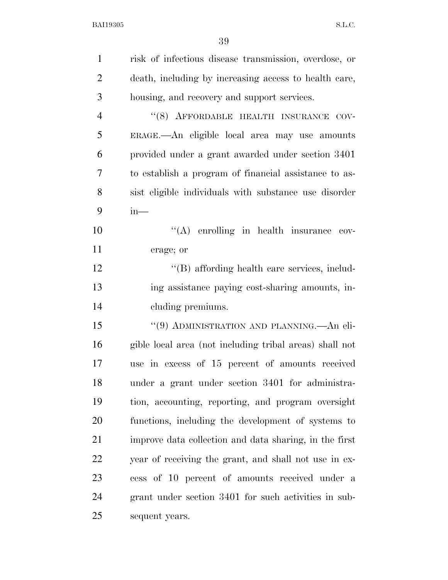| $\mathbf{1}$   | risk of infectious disease transmission, overdose, or   |
|----------------|---------------------------------------------------------|
| $\overline{2}$ | death, including by increasing access to health care,   |
| 3              | housing, and recovery and support services.             |
| 4              | "(8) AFFORDABLE HEALTH INSURANCE COV-                   |
| 5              | ERAGE.—An eligible local area may use amounts           |
| 6              | provided under a grant awarded under section 3401       |
| 7              | to establish a program of financial assistance to as-   |
| 8              | sist eligible individuals with substance use disorder   |
| 9              | $in-$                                                   |
| 10             | $\lq\lq$ enrolling in health insurance cov-             |
| 11             | erage; or                                               |
| 12             | "(B) affording health care services, includ-            |
| 13             | ing assistance paying cost-sharing amounts, in-         |
| 14             | cluding premiums.                                       |
| 15             | "(9) ADMINISTRATION AND PLANNING.—An eli-               |
| 16             | gible local area (not including tribal areas) shall not |
| 17             | use in excess of 15 percent of amounts received         |
| 18             | under a grant under section 3401 for administra-        |
| 19             | tion, accounting, reporting, and program oversight      |
| 20             | functions, including the development of systems to      |
| 21             | improve data collection and data sharing, in the first  |
| 22             | year of receiving the grant, and shall not use in ex-   |
| 23             | cess of 10 percent of amounts received under a          |
| 24             | grant under section 3401 for such activities in sub-    |
| 25             | sequent years.                                          |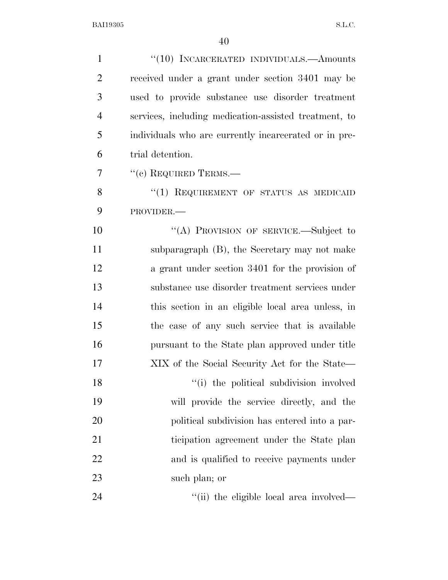| $\mathbf{1}$   | "(10) INCARCERATED INDIVIDUALS.—Amounts               |
|----------------|-------------------------------------------------------|
| $\overline{2}$ | received under a grant under section 3401 may be      |
| 3              | used to provide substance use disorder treatment      |
| $\overline{4}$ | services, including medication-assisted treatment, to |
| 5              | individuals who are currently incarcerated or in pre- |
| 6              | trial detention.                                      |
| 7              | $``(c)$ REQUIRED TERMS.—                              |
| 8              | "(1) REQUIREMENT OF STATUS AS MEDICAID                |
| 9              | PROVIDER.-                                            |
| 10             | "(A) PROVISION OF SERVICE.-Subject to                 |
| 11             | subparagraph $(B)$ , the Secretary may not make       |
| 12             | a grant under section 3401 for the provision of       |
| 13             | substance use disorder treatment services under       |
| 14             | this section in an eligible local area unless, in     |
| 15             | the case of any such service that is available        |
| 16             | pursuant to the State plan approved under title       |
| 17             | XIX of the Social Security Act for the State—         |
| 18             | "(i) the political subdivision involved               |
| 19             | will provide the service directly, and the            |
| 20             | political subdivision has entered into a par-         |
| 21             | ticipation agreement under the State plan             |
| 22             | and is qualified to receive payments under            |
| 23             | such plan; or                                         |
| 24             | "(ii) the eligible local area involved—               |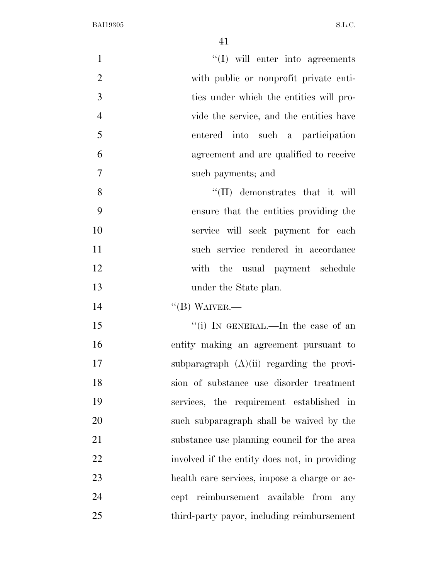| $\mathbf{1}$   | $\lq\lq$ will enter into agreements           |
|----------------|-----------------------------------------------|
| $\overline{2}$ | with public or nonprofit private enti-        |
| 3              | ties under which the entities will pro-       |
| $\overline{4}$ | vide the service, and the entities have       |
| 5              | entered into such a participation             |
| 6              | agreement and are qualified to receive        |
| $\tau$         | such payments; and                            |
| 8              | $\lq\lq$ (II) demonstrates that it will       |
| 9              | ensure that the entities providing the        |
| 10             | service will seek payment for each            |
| 11             | such service rendered in accordance           |
| 12             | with the usual payment schedule               |
| 13             | under the State plan.                         |
| 14             | $\lq\lq$ (B) WAIVER.—                         |
| 15             | "(i) IN GENERAL.—In the case of an            |
| 16             | entity making an agreement pursuant to        |
| 17             | subparagraph $(A)(ii)$ regarding the provi-   |
| 18             | sion of substance use disorder treatment      |
| 19             | services, the requirement established in      |
| 20             | such subparagraph shall be waived by the      |
| 21             | substance use planning council for the area   |
| 22             | involved if the entity does not, in providing |
| 23             | health care services, impose a charge or ac-  |
| 24             | cept reimbursement available from<br>any      |
| 25             | third-party payor, including reimbursement    |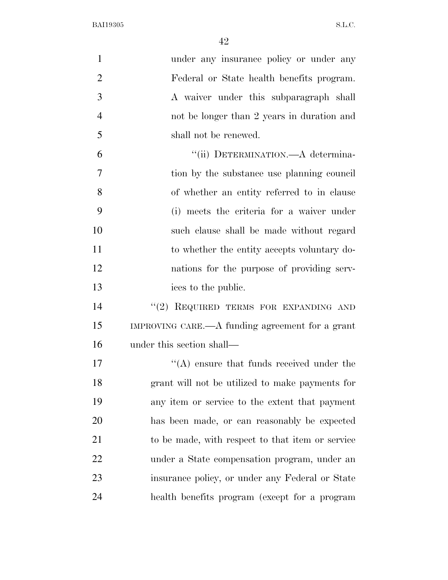| $\mathbf{1}$   | under any insurance policy or under any          |
|----------------|--------------------------------------------------|
| $\overline{2}$ | Federal or State health benefits program.        |
| 3              | A waiver under this subparagraph shall           |
| $\overline{4}$ | not be longer than 2 years in duration and       |
| 5              | shall not be renewed.                            |
| 6              | "(ii) DETERMINATION.—A determina-                |
| 7              | tion by the substance use planning council       |
| 8              | of whether an entity referred to in clause       |
| 9              | (i) meets the criteria for a waiver under        |
| 10             | such clause shall be made without regard         |
| 11             | to whether the entity accepts voluntary do-      |
| 12             | nations for the purpose of providing serv-       |
| 13             | ices to the public.                              |
| 14             | "(2) REQUIRED TERMS FOR EXPANDING AND            |
| 15             | IMPROVING CARE.—A funding agreement for a grant  |
| 16             | under this section shall—                        |
| 17             | $\lq\lq$ ensure that funds received under the    |
| 18             | grant will not be utilized to make payments for  |
| 19             | any item or service to the extent that payment   |
| 20             | has been made, or can reasonably be expected     |
| 21             | to be made, with respect to that item or service |
| 22             | under a State compensation program, under an     |
| 23             | insurance policy, or under any Federal or State  |
| 24             | health benefits program (except for a program    |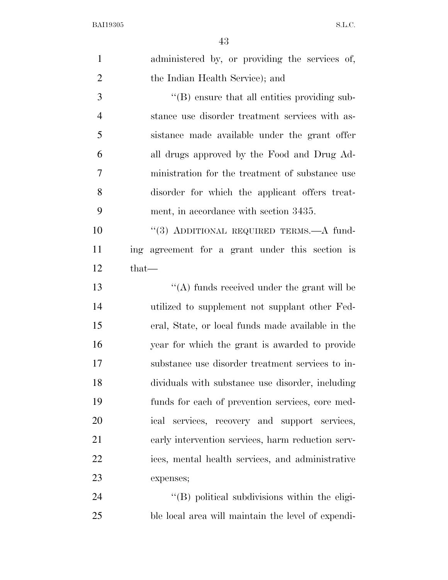| $\mathbf{1}$   | administered by, or providing the services of,       |
|----------------|------------------------------------------------------|
| $\overline{2}$ | the Indian Health Service); and                      |
| 3              | $\lq\lq (B)$ ensure that all entities providing sub- |
| $\overline{4}$ | stance use disorder treatment services with as-      |
| 5              | sistance made available under the grant offer        |
| 6              | all drugs approved by the Food and Drug Ad-          |
| 7              | ministration for the treatment of substance use      |
| 8              | disorder for which the applicant offers treat-       |
| 9              | ment, in accordance with section 3435.               |
| 10             | "(3) ADDITIONAL REQUIRED TERMS.—A fund-              |
| 11             | ing agreement for a grant under this section is      |
| 12             | $that-$                                              |
| 13             | "(A) funds received under the grant will be          |
| 14             | utilized to supplement not supplant other Fed-       |
| 15             | eral, State, or local funds made available in the    |
| 16             | year for which the grant is awarded to provide       |
| 17             | substance use disorder treatment services to in-     |
| 18             | dividuals with substance use disorder, including     |
| 19             | funds for each of prevention services, core med-     |
| 20             | ical services, recovery and support services,        |
| 21             | early intervention services, harm reduction serv-    |
| 22             | ices, mental health services, and administrative     |
| 23             | expenses;                                            |
| 24             | "(B) political subdivisions within the eligi-        |
| 25             | ble local area will maintain the level of expendi-   |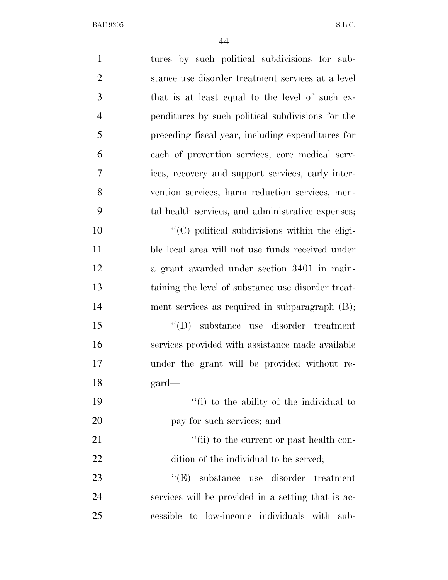| $\mathbf{1}$   | tures by such political subdivisions for sub-         |
|----------------|-------------------------------------------------------|
| $\overline{2}$ | stance use disorder treatment services at a level     |
| 3              | that is at least equal to the level of such ex-       |
| $\overline{4}$ | penditures by such political subdivisions for the     |
| 5              | preceding fiscal year, including expenditures for     |
| 6              | each of prevention services, core medical serv-       |
| 7              | ices, recovery and support services, early inter-     |
| 8              | vention services, harm reduction services, men-       |
| 9              | tal health services, and administrative expenses;     |
| 10             | $\lq\lq$ (C) political subdivisions within the eligi- |
| 11             | ble local area will not use funds received under      |
| 12             | a grant awarded under section 3401 in main-           |
| 13             | taining the level of substance use disorder treat-    |
| 14             | ment services as required in subparagraph (B);        |
| 15             | $\lq\lq$ (D) substance use disorder treatment         |
| 16             | services provided with assistance made available      |
| 17             | under the grant will be provided without re-          |
| 18             | $\text{gard}$                                         |
| 19             | "(i) to the ability of the individual to              |
| 20             | pay for such services; and                            |
| 21             | "(ii) to the current or past health con-              |
| 22             | dition of the individual to be served;                |
| 23             | substance use disorder treatment<br>``(E)             |
| 24             | services will be provided in a setting that is ac-    |
| 25             | cessible to low-income individuals with sub-          |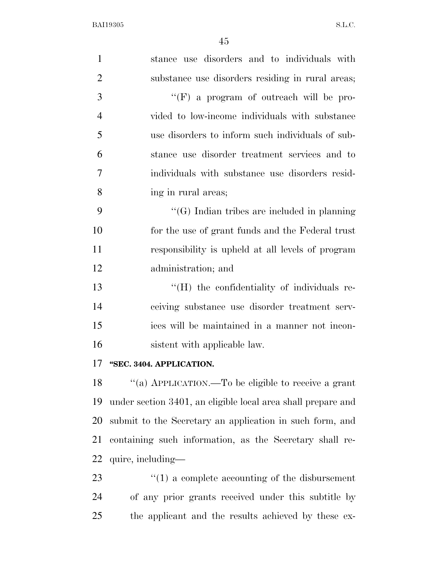| $\mathbf{1}$   | stance use disorders and to individuals with       |
|----------------|----------------------------------------------------|
| $\overline{2}$ | substance use disorders residing in rural areas;   |
| 3              | "(F) a program of outreach will be pro-            |
| $\overline{4}$ | vided to low-income individuals with substance     |
| 5              | use disorders to inform such individuals of sub-   |
| 6              | stance use disorder treatment services and to      |
| 7              | individuals with substance use disorders resid-    |
| 8              | ing in rural areas;                                |
| 9              | $\lq\lq(G)$ Indian tribes are included in planning |
| 10             | for the use of grant funds and the Federal trust   |
| 11             | responsibility is upheld at all levels of program  |
| 12             | administration; and                                |
| 13             | "(H) the confidentiality of individuals re-        |
| 14             | ceiving substance use disorder treatment serv-     |
| 15             | ices will be maintained in a manner not incon-     |
| 16             | sistent with applicable law.                       |
|                |                                                    |

## **''SEC. 3404. APPLICATION.**

 ''(a) APPLICATION.—To be eligible to receive a grant under section 3401, an eligible local area shall prepare and submit to the Secretary an application in such form, and containing such information, as the Secretary shall re-quire, including—

23  $\frac{1}{2}$  (1) a complete accounting of the disbursement of any prior grants received under this subtitle by the applicant and the results achieved by these ex-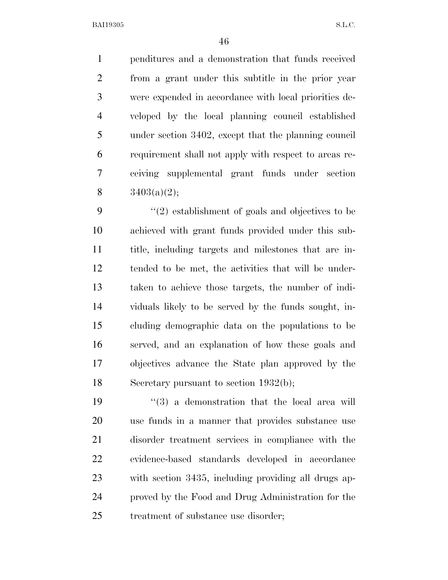penditures and a demonstration that funds received from a grant under this subtitle in the prior year were expended in accordance with local priorities de- veloped by the local planning council established under section 3402, except that the planning council requirement shall not apply with respect to areas re- ceiving supplemental grant funds under section  $3403(a)(2)$ ;

 $\frac{1}{2}$  establishment of goals and objectives to be achieved with grant funds provided under this sub- title, including targets and milestones that are in- tended to be met, the activities that will be under- taken to achieve those targets, the number of indi- viduals likely to be served by the funds sought, in- cluding demographic data on the populations to be served, and an explanation of how these goals and objectives advance the State plan approved by the Secretary pursuant to section 1932(b);

 $(3)$  a demonstration that the local area will use funds in a manner that provides substance use disorder treatment services in compliance with the evidence-based standards developed in accordance with section 3435, including providing all drugs ap- proved by the Food and Drug Administration for the treatment of substance use disorder;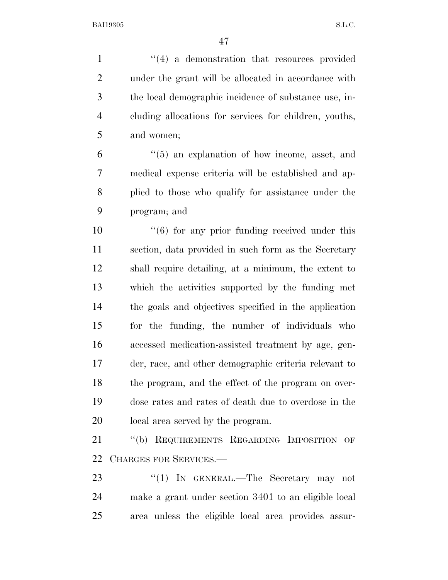1 ''(4) a demonstration that resources provided under the grant will be allocated in accordance with the local demographic incidence of substance use, in- cluding allocations for services for children, youths, and women;

 ''(5) an explanation of how income, asset, and medical expense criteria will be established and ap- plied to those who qualify for assistance under the program; and

10 ''(6) for any prior funding received under this section, data provided in such form as the Secretary shall require detailing, at a minimum, the extent to which the activities supported by the funding met the goals and objectives specified in the application for the funding, the number of individuals who accessed medication-assisted treatment by age, gen- der, race, and other demographic criteria relevant to the program, and the effect of the program on over- dose rates and rates of death due to overdose in the local area served by the program.

 ''(b) REQUIREMENTS REGARDING IMPOSITION OF CHARGES FOR SERVICES.—

23 "(1) IN GENERAL.—The Secretary may not make a grant under section 3401 to an eligible local area unless the eligible local area provides assur-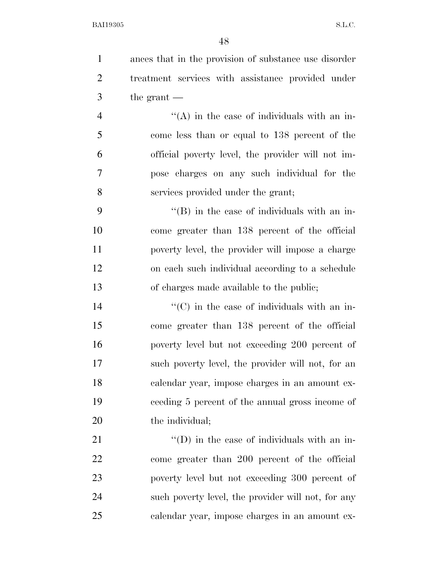ances that in the provision of substance use disorder treatment services with assistance provided under the grant —

 $\mathcal{L}$   $\mathcal{L}(\mathbf{A})$  in the case of individuals with an in- come less than or equal to 138 percent of the official poverty level, the provider will not im- pose charges on any such individual for the services provided under the grant;

 $"$ (B) in the case of individuals with an in- come greater than 138 percent of the official poverty level, the provider will impose a charge on each such individual according to a schedule of charges made available to the public;

 $\langle ^{\prime}(C) \rangle$  in the case of individuals with an in- come greater than 138 percent of the official poverty level but not exceeding 200 percent of such poverty level, the provider will not, for an calendar year, impose charges in an amount ex- ceeding 5 percent of the annual gross income of 20 the individual;

 $\langle (D)$  in the case of individuals with an in- come greater than 200 percent of the official poverty level but not exceeding 300 percent of such poverty level, the provider will not, for any calendar year, impose charges in an amount ex-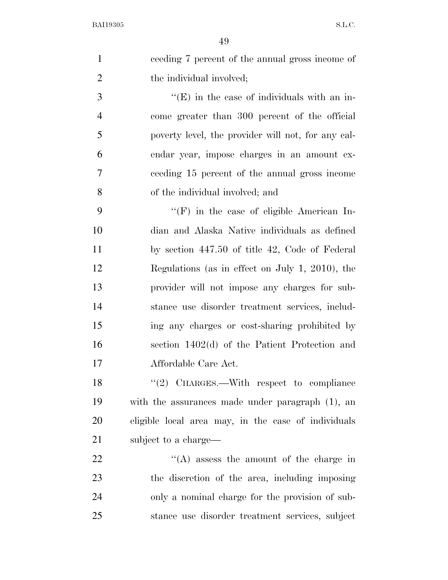|                | 49                                                  |
|----------------|-----------------------------------------------------|
| $\mathbf{1}$   | ceeding 7 percent of the annual gross income of     |
| $\overline{2}$ | the individual involved;                            |
| 3              | $\lq\lq(E)$ in the case of individuals with an in-  |
| $\overline{4}$ | come greater than 300 percent of the official       |
| 5              | poverty level, the provider will not, for any cal-  |
| 6              | endar year, impose charges in an amount ex-         |
| 7              | ceeding 15 percent of the annual gross income       |
| 8              | of the individual involved; and                     |
| 9              | $\lq\lq(F)$ in the case of eligible American In-    |
| 10             | dian and Alaska Native individuals as defined       |
| 11             | by section 447.50 of title 42, Code of Federal      |
| 12             | Regulations (as in effect on July 1, 2010), the     |
| 13             | provider will not impose any charges for sub-       |
| 14             | stance use disorder treatment services, includ-     |
| 15             | ing any charges or cost-sharing prohibited by       |
| 16             | section 1402(d) of the Patient Protection and       |
| 17             | Affordable Care Act.                                |
| 18             | "(2) CHARGES.—With respect to compliance            |
| 19             | with the assurances made under paragraph (1), an    |
| 20             | eligible local area may, in the case of individuals |
| 21             | subject to a charge—                                |
| 22             | $\lq\lq$ assess the amount of the charge in         |
| 23             | the discretion of the area, including imposing      |
| 24             | only a nominal charge for the provision of sub-     |

stance use disorder treatment services, subject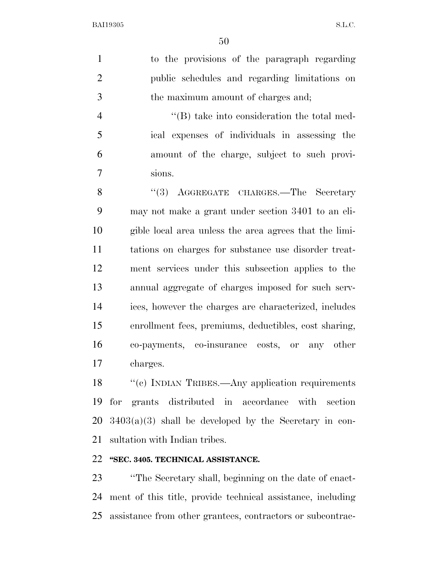to the provisions of the paragraph regarding public schedules and regarding limitations on the maximum amount of charges and;

4 ''(B) take into consideration the total med- ical expenses of individuals in assessing the amount of the charge, subject to such provi-sions.

8 "(3) AGGREGATE CHARGES.—The Secretary may not make a grant under section 3401 to an eli- gible local area unless the area agrees that the limi- tations on charges for substance use disorder treat- ment services under this subsection applies to the annual aggregate of charges imposed for such serv- ices, however the charges are characterized, includes enrollment fees, premiums, deductibles, cost sharing, co-payments, co-insurance costs, or any other charges.

18 "(c) INDIAN TRIBES.—Any application requirements for grants distributed in accordance with section  $20\quad 3403(a)(3)$  shall be developed by the Secretary in con-sultation with Indian tribes.

## **''SEC. 3405. TECHNICAL ASSISTANCE.**

 ''The Secretary shall, beginning on the date of enact- ment of this title, provide technical assistance, including assistance from other grantees, contractors or subcontrac-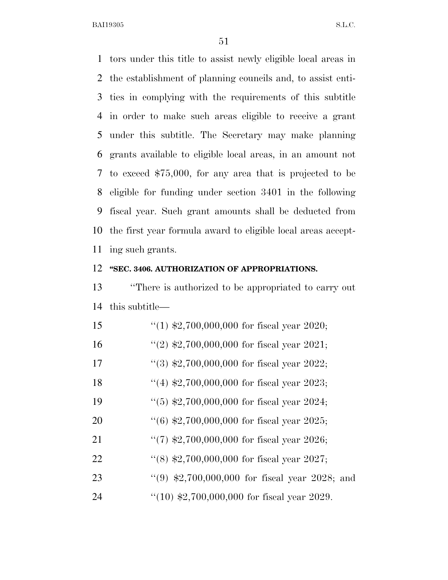tors under this title to assist newly eligible local areas in the establishment of planning councils and, to assist enti- ties in complying with the requirements of this subtitle in order to make such areas eligible to receive a grant under this subtitle. The Secretary may make planning grants available to eligible local areas, in an amount not to exceed \$75,000, for any area that is projected to be eligible for funding under section 3401 in the following fiscal year. Such grant amounts shall be deducted from the first year formula award to eligible local areas accept-ing such grants.

## **''SEC. 3406. AUTHORIZATION OF APPROPRIATIONS.**

 ''There is authorized to be appropriated to carry out this subtitle—

| 15 | "(1) $\text{$}2,700,000,000$ for fiscal year 2020; |
|----|----------------------------------------------------|
| 16 | "(2) $\text{$}2,700,000,000$ for fiscal year 2021; |
| 17 | "(3) $\text{$}2,700,000,000$ for fiscal year 2022; |
| 18 | "(4) $\text{$}2,700,000,000$ for fiscal year 2023; |
| 19 | $(5)$ \$2,700,000,000 for fiscal year 2024;        |
| 20 | $(6)$ \$2,700,000,000 for fiscal year 2025;        |
| 21 | $\lq(7)$ \$2,700,000,000 for fiscal year 2026;     |
| 22 | $\lq(8)$ \$2,700,000,000 for fiscal year 2027;     |
| 23 | $(9)$ \$2,700,000,000 for fiscal year 2028; and    |
| 24 | " $(10)$ \$2,700,000,000 for fiscal year 2029.     |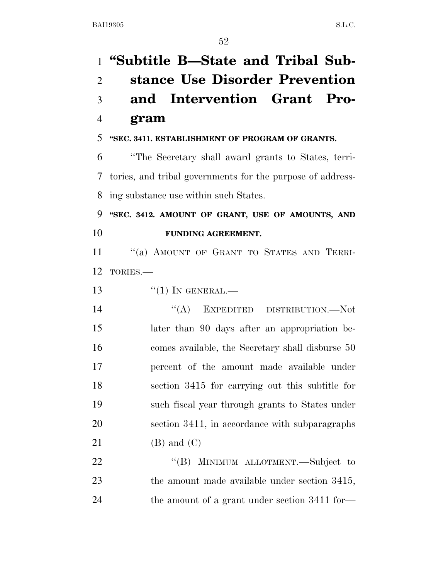**''Subtitle B—State and Tribal Sub- stance Use Disorder Prevention and Intervention Grant Pro- gram ''SEC. 3411. ESTABLISHMENT OF PROGRAM OF GRANTS.**  ''The Secretary shall award grants to States, terri- tories, and tribal governments for the purpose of address- ing substance use within such States. **''SEC. 3412. AMOUNT OF GRANT, USE OF AMOUNTS, AND FUNDING AGREEMENT.**  11 "(a) AMOUNT OF GRANT TO STATES AND TERRI- TORIES.—  $\frac{1}{1}$  IN GENERAL. ''(A) EXPEDITED DISTRIBUTION.—Not later than 90 days after an appropriation be- comes available, the Secretary shall disburse 50 percent of the amount made available under section 3415 for carrying out this subtitle for such fiscal year through grants to States under section 3411, in accordance with subparagraphs (B) and (C) 22 "(B) MINIMUM ALLOTMENT.—Subject to 23 the amount made available under section 3415, the amount of a grant under section 3411 for—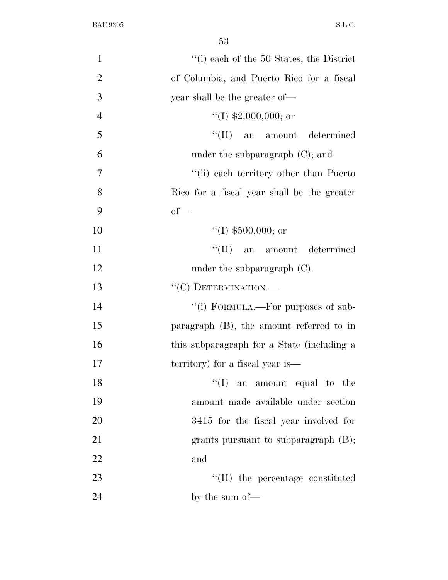| $\mathbf{1}$   | $"$ (i) each of the 50 States, the District |
|----------------|---------------------------------------------|
| $\overline{2}$ | of Columbia, and Puerto Rico for a fiscal   |
| 3              | year shall be the greater of—               |
| $\overline{4}$ | "(I) $$2,000,000;$ or                       |
| 5              | ``(II)<br>an amount determined              |
| 6              | under the subparagraph $(C)$ ; and          |
| 7              | "(ii) each territory other than Puerto"     |
| 8              | Rico for a fiscal year shall be the greater |
| 9              | $of$ —                                      |
| 10             | "(I) $$500,000$ ; or                        |
| 11             | ``(II)<br>an amount determined              |
| 12             | under the subparagraph $(C)$ .              |
| 13             | "(C) DETERMINATION.-                        |
| 14             | "(i) FORMULA.—For purposes of sub-          |
| 15             | paragraph $(B)$ , the amount referred to in |
| 16             | this subparagraph for a State (including a  |
| 17             | territory) for a fiscal year is—            |
| 18             | $\lq\lq$ (I) an amount equal to the         |
| 19             | amount made available under section         |
| 20             | 3415 for the fiscal year involved for       |
| 21             | grants pursuant to subparagraph $(B)$ ;     |
| 22             | and                                         |
| 23             | $\lq\lq$ (II) the percentage constituted    |
| 24             | by the sum of—                              |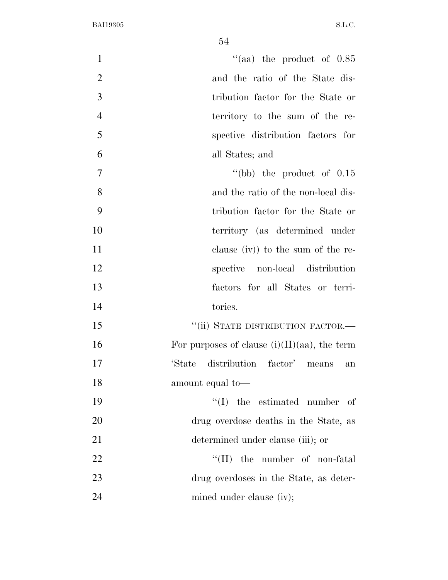| $\mathbf{1}$   | "(aa) the product of $0.85$                     |
|----------------|-------------------------------------------------|
| $\overline{2}$ | and the ratio of the State dis-                 |
| 3              | tribution factor for the State or               |
| $\overline{4}$ | territory to the sum of the re-                 |
| 5              | spective distribution factors for               |
| 6              | all States; and                                 |
| $\overline{7}$ | "(bb) the product of $0.15$                     |
| 8              | and the ratio of the non-local dis-             |
| 9              | tribution factor for the State or               |
| 10             | territory (as determined under                  |
| 11             | clause $(iv)$ to the sum of the re-             |
| 12             | spective non-local distribution                 |
| 13             | factors for all States or terri-                |
| 14             | tories.                                         |
| 15             | "(ii) STATE DISTRIBUTION FACTOR.-               |
| 16             | For purposes of clause $(i)(II)(aa)$ , the term |
| 17             | distribution factor' means<br>'State<br>an      |
| 18             | amount equal to-                                |
| 19             | $\lq\lq$ (I) the estimated number<br>- of       |
| 20             | drug overdose deaths in the State, as           |
| 21             | determined under clause (iii); or               |
| 22             | $\lq\lq$ (II) the number of non-fatal           |
| 23             | drug overdoses in the State, as deter-          |
| 24             | mined under clause (iv);                        |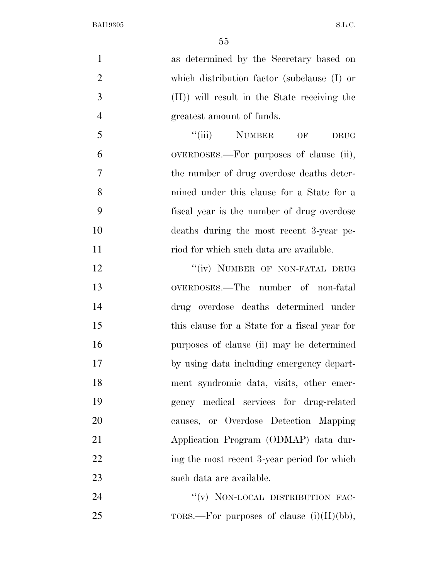| $\mathbf{1}$   | as determined by the Secretary based on                   |
|----------------|-----------------------------------------------------------|
| $\overline{2}$ | which distribution factor (subclause (I) or               |
| 3              | (II)) will result in the State receiving the              |
| $\overline{4}$ | greatest amount of funds.                                 |
| 5              | $``(iii)$ NUMBER<br>$\overline{\text{OF}}$<br><b>DRUG</b> |
| 6              | OVERDOSES.—For purposes of clause (ii),                   |
| $\overline{7}$ | the number of drug overdose deaths deter-                 |
| 8              | mined under this clause for a State for a                 |
| 9              | fiscal year is the number of drug overdose                |
| 10             | deaths during the most recent 3-year pe-                  |
| 11             | riod for which such data are available.                   |
| 12             | "(iv) NUMBER OF NON-FATAL DRUG                            |
| 13             | OVERDOSES.—The number of non-fatal                        |
| 14             | drug overdose deaths determined under                     |
| 15             | this clause for a State for a fiscal year for             |
| 16             | purposes of clause (ii) may be determined                 |
| 17             | by using data including emergency depart-                 |
| 18             | ment syndromic data, visits, other emer-                  |
| 19             | gency medical services for drug-related                   |
| 20             | causes, or Overdose Detection Mapping                     |
| 21             | Application Program (ODMAP) data dur-                     |
| 22             | ing the most recent 3-year period for which               |
| 23             | such data are available.                                  |
|                |                                                           |

24 "(v) NON-LOCAL DISTRIBUTION FAC-25 TORS.—For purposes of clause  $(i)(II)(bb)$ ,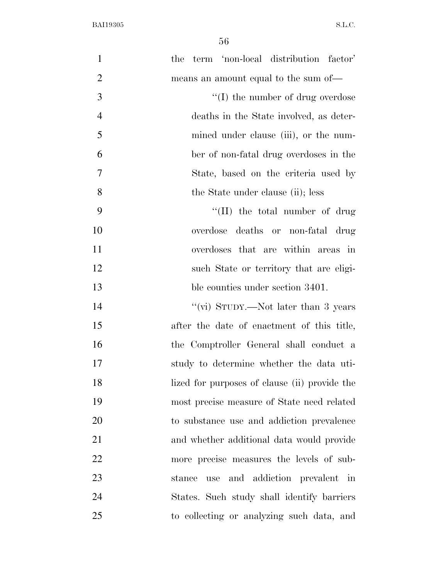| $\mathbf{1}$   | term 'non-local distribution factor'<br>the                        |
|----------------|--------------------------------------------------------------------|
| $\overline{2}$ | means an amount equal to the sum of—                               |
| 3              | $\lq\lq$ the number of drug overdose                               |
| $\overline{4}$ | deaths in the State involved, as deter-                            |
| 5              | mined under clause (iii), or the num-                              |
| 6              | ber of non-fatal drug overdoses in the                             |
| 7              | State, based on the criteria used by                               |
| 8              | the State under clause (ii); less                                  |
| 9              | "(II) the total number of drug                                     |
| 10             | overdose deaths or non-fatal drug                                  |
| 11             | overdoses that are within areas in                                 |
| 12             | such State or territory that are eligi-                            |
| 13             | ble counties under section 3401.                                   |
| 14             | "(vi) STUDY.—Not later than 3 years                                |
| 15             | after the date of enactment of this title,                         |
| 16             | the Comptroller General shall conduct a                            |
| 17             | study to determine whether the data uti-                           |
| 18             | lized for purposes of clause (ii) provide the                      |
| 19             | most precise measure of State need related                         |
| 20             | to substance use and addiction prevalence                          |
| 21             | and whether additional data would provide                          |
| 22             | more precise measures the levels of sub-                           |
| 23             | and addiction prevalent<br>stance<br>use<br>$\overline{\text{in}}$ |
| 24             | States. Such study shall identify barriers                         |
| 25             | to collecting or analyzing such data, and                          |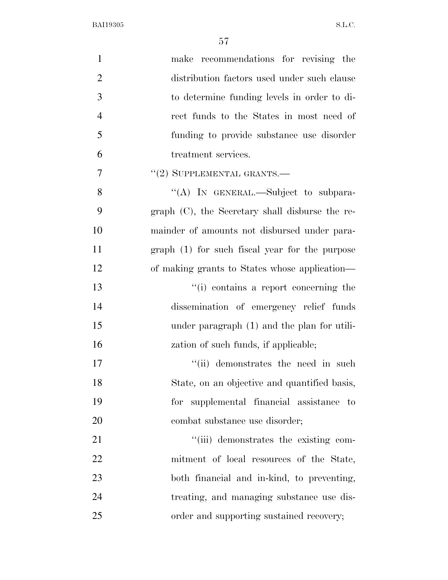| $\mathbf{1}$   | make recommendations for revising the              |
|----------------|----------------------------------------------------|
| $\overline{2}$ | distribution factors used under such clause        |
| 3              | to determine funding levels in order to di-        |
| $\overline{4}$ | rect funds to the States in most need of           |
| 5              | funding to provide substance use disorder          |
| 6              | treatment services.                                |
| $\overline{7}$ | $"(2)$ SUPPLEMENTAL GRANTS.—                       |
| 8              | "(A) IN GENERAL.—Subject to subpara-               |
| 9              | graph $(C)$ , the Secretary shall disburse the re- |
| 10             | mainder of amounts not disbursed under para-       |
| 11             | $graph(1)$ for such fiscal year for the purpose    |
| 12             | of making grants to States whose application—      |
| 13             | "(i) contains a report concerning the              |
| 14             | dissemination of emergency relief funds            |
| 15             | under paragraph (1) and the plan for utili-        |
| 16             | zation of such funds, if applicable;               |
| 17             | "(ii) demonstrates the need in such                |
| 18             | State, on an objective and quantified basis,       |
| 19             | for supplemental financial assistance to           |
| 20             | combat substance use disorder;                     |
| 21             | "(iii) demonstrates the existing com-              |
| 22             | mitment of local resources of the State,           |
| 23             | both financial and in-kind, to preventing,         |
| 24             | treating, and managing substance use dis-          |
| 25             | order and supporting sustained recovery;           |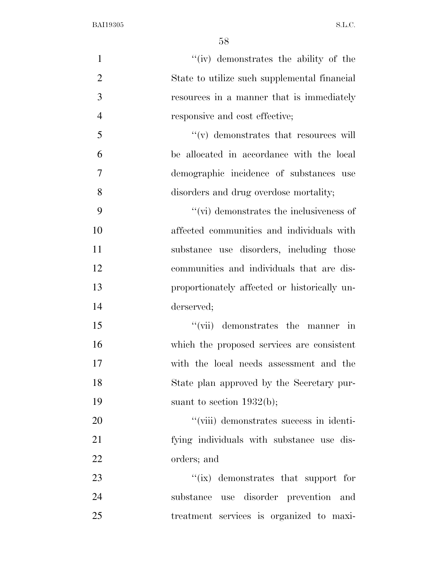| $\mathbf{1}$   | "(iv) demonstrates the ability of the             |
|----------------|---------------------------------------------------|
| $\overline{2}$ | State to utilize such supplemental financial      |
| 3              | resources in a manner that is immediately         |
| $\overline{4}$ | responsive and cost effective;                    |
| 5              | $\mathcal{C}(v)$ demonstrates that resources will |
| 6              | be allocated in accordance with the local         |
| $\overline{7}$ | demographic incidence of substances use           |
| 8              | disorders and drug overdose mortality;            |
| 9              | $``$ (vi) demonstrates the inclusiveness of       |
| 10             | affected communities and individuals with         |
| 11             | substance use disorders, including those          |
| 12             | communities and individuals that are dis-         |
| 13             | proportionately affected or historically un-      |
| 14             | derserved;                                        |
| 15             | demonstrates the manner in<br>$``(\text{vii})$    |
| 16             | which the proposed services are consistent        |
| 17             | with the local needs assessment and the           |
| 18             | State plan approved by the Secretary pur-         |
| 19             | suant to section $1932(b)$ ;                      |
| 20             | "(viii) demonstrates success in identi-           |
| 21             | fying individuals with substance use dis-         |
| 22             | orders; and                                       |
| 23             | "(ix) demonstrates that support for               |
| 24             | substance use disorder prevention and             |
| 25             | treatment services is organized to maxi-          |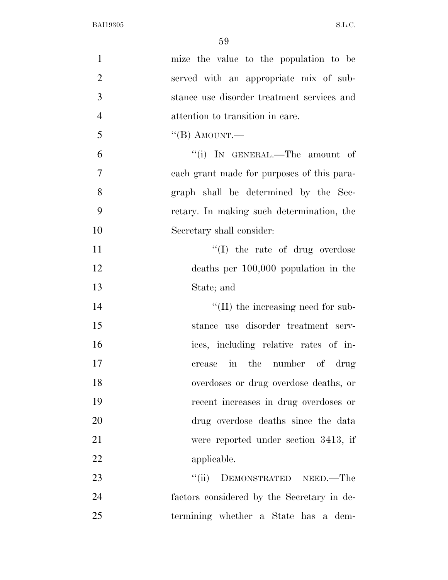| $\mathbf{1}$   | mize the value to the population to be     |
|----------------|--------------------------------------------|
| $\overline{2}$ | served with an appropriate mix of sub-     |
| 3              | stance use disorder treatment services and |
| $\overline{4}$ | attention to transition in care.           |
| 5              | $\lq$ <sup>"</sup> (B) AMOUNT.—            |
| 6              | "(i) IN GENERAL.—The amount of             |
| $\overline{7}$ | each grant made for purposes of this para- |
| 8              | graph shall be determined by the Sec-      |
| 9              | retary. In making such determination, the  |
| 10             | Secretary shall consider:                  |
| 11             | $\lq\lq$ (I) the rate of drug overdose     |
| 12             | deaths per $100,000$ population in the     |
| 13             | State; and                                 |
| 14             | "(II) the increasing need for sub-         |
| 15             | stance use disorder treatment serv-        |
| 16             | ices, including relative rates of in-      |
| 17             | in the number of drug<br>crease            |
| 18             | overdoses or drug overdose deaths, or      |
| 19             | recent increases in drug overdoses or      |
| 20             | drug overdose deaths since the data        |
| 21             | were reported under section 3413, if       |
| 22             | applicable.                                |
| 23             | DEMONSTRATED NEED.—The<br>``(ii)           |
| 24             | factors considered by the Secretary in de- |
| 25             | termining whether a State has a dem-       |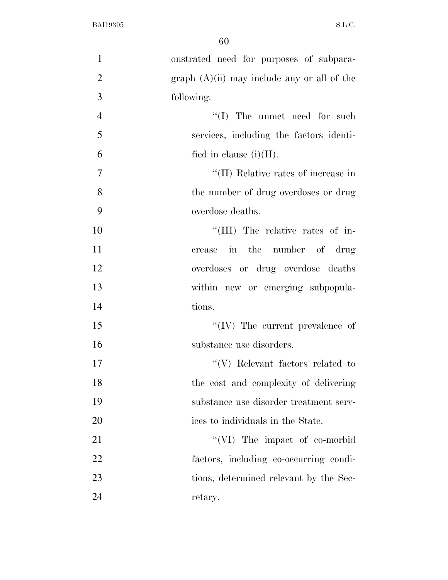| $\mathbf{1}$   | onstrated need for purposes of subpara-       |
|----------------|-----------------------------------------------|
| $\overline{2}$ | graph $(A)(ii)$ may include any or all of the |
| 3              | following:                                    |
| $\overline{4}$ | $\lq\lq$ (I) The unmet need for such          |
| 5              | services, including the factors identi-       |
| 6              | fied in clause $(i)(II)$ .                    |
| $\tau$         | "(II) Relative rates of increase in           |
| 8              | the number of drug overdoses or drug          |
| 9              | overdose deaths.                              |
| 10             | "(III) The relative rates of in-              |
| 11             | crease in the number of drug                  |
| 12             | overdoses or drug overdose deaths             |
| 13             | within new or emerging subpopula-             |
| 14             | tions.                                        |
| 15             | $\lq\lq$ (IV) The current prevalence of       |
| 16             | substance use disorders.                      |
| 17             | $\lq\lq(V)$ Relevant factors related to       |
| 18             | the cost and complexity of delivering         |
| 19             | substance use disorder treatment serv-        |
| 20             | ices to individuals in the State.             |
| 21             | "(VI) The impact of co-morbid                 |
| 22             | factors, including co-occurring condi-        |
| 23             | tions, determined relevant by the Sec-        |
| 24             | retary.                                       |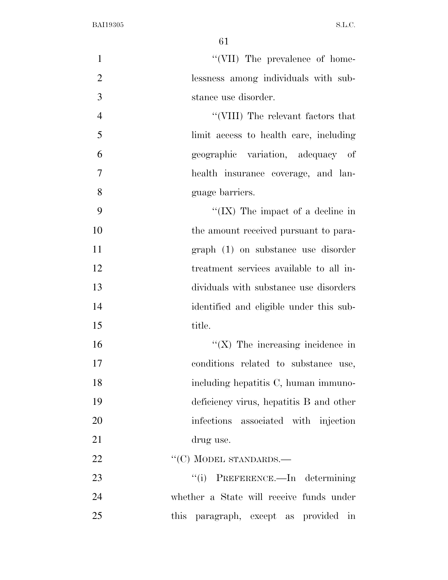| $\mathbf{1}$   | "(VII) The prevalence of home-           |
|----------------|------------------------------------------|
| $\overline{2}$ | lessness among individuals with sub-     |
| 3              | stance use disorder.                     |
| $\overline{4}$ | "(VIII) The relevant factors that        |
| 5              | limit access to health care, including   |
| 6              | geographic variation, adequacy of        |
| $\tau$         | health insurance coverage, and lan-      |
| 8              | guage barriers.                          |
| 9              | "(IX) The impact of a decline in         |
| 10             | the amount received pursuant to para-    |
| 11             | graph (1) on substance use disorder      |
| 12             | treatment services available to all in-  |
| 13             | dividuals with substance use disorders   |
| 14             | identified and eligible under this sub-  |
| 15             | title.                                   |
| 16             | $\lq\lq$ (X) The increasing incidence in |
| 17             | conditions related to substance use,     |
| 18             | including hepatitis C, human immuno-     |
| 19             | deficiency virus, hepatitis B and other  |
| 20             | infections associated with injection     |
| 21             | drug use.                                |
| 22             | $``(C)$ MODEL STANDARDS.—                |
| 23             | "(i) PREFERENCE.—In determining          |
| 24             | whether a State will receive funds under |
| 25             | this<br>paragraph, except as provided in |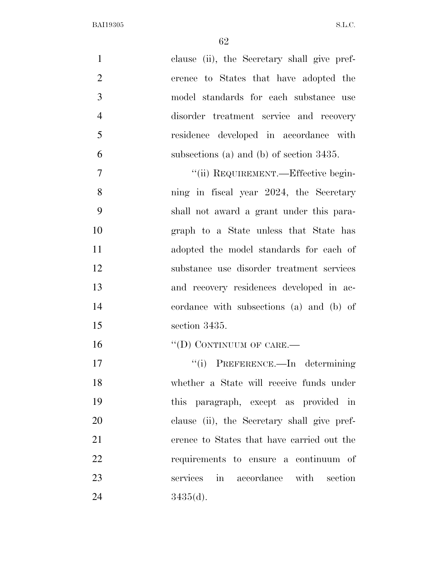| $\mathbf{1}$   | clause (ii), the Secretary shall give pref- |
|----------------|---------------------------------------------|
| $\overline{2}$ | erence to States that have adopted the      |
| 3              | model standards for each substance use      |
| $\overline{4}$ | disorder treatment service and recovery     |
| 5              | residence developed in accordance with      |
| 6              | subsections (a) and (b) of section $3435$ . |
| $\overline{7}$ | "(ii) REQUIREMENT.—Effective begin-         |
| 8              | ning in fiscal year 2024, the Secretary     |
| 9              | shall not award a grant under this para-    |
| 10             | graph to a State unless that State has      |
| 11             | adopted the model standards for each of     |
| 12             | substance use disorder treatment services   |
| 13             | and recovery residences developed in ac-    |
| 14             | cordance with subsections (a) and (b) of    |
| 15             | section 3435.                               |
| 16             | "(D) CONTINUUM OF CARE.—                    |
| 17             | PREFERENCE.—In determining<br>``(i)         |
| 18             | whether a State will receive funds under    |
| 19             | this paragraph, except as provided in       |
| 20             | clause (ii), the Secretary shall give pref- |
| 21             | erence to States that have carried out the  |
| 22             | requirements to ensure a continuum of       |
| 23             | services in accordance with section         |
| 24             | $3435(d)$ .                                 |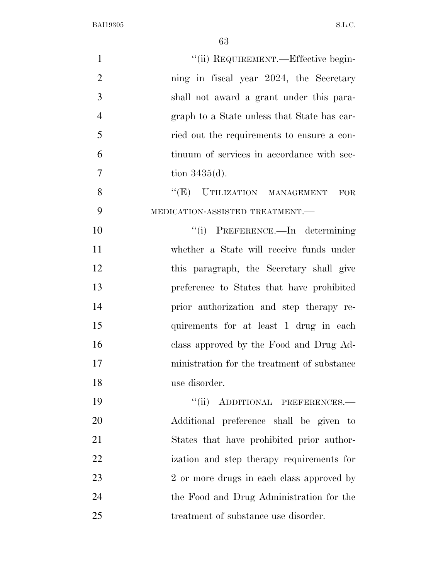| $\mathbf{1}$   | "(ii) REQUIREMENT.—Effective begin-         |
|----------------|---------------------------------------------|
| $\overline{2}$ | ning in fiscal year 2024, the Secretary     |
| 3              | shall not award a grant under this para-    |
| $\overline{4}$ | graph to a State unless that State has car- |
| 5              | ried out the requirements to ensure a con-  |
| 6              | tinuum of services in accordance with sec-  |
| $\overline{7}$ | tion $3435(d)$ .                            |
| 8              | "(E) UTILIZATION MANAGEMENT FOR             |
| 9              | MEDICATION-ASSISTED TREATMENT.-             |
| 10             | "(i) PREFERENCE.—In determining             |
| 11             | whether a State will receive funds under    |
| 12             | this paragraph, the Secretary shall give    |
| 13             | preference to States that have prohibited   |
| 14             | prior authorization and step therapy re-    |
| 15             | quirements for at least 1 drug in each      |
| 16             | class approved by the Food and Drug Ad-     |
| 17             | ministration for the treatment of substance |
| 18             | use disorder.                               |
| 19             | "(ii) ADDITIONAL PREFERENCES.-              |
| 20             | Additional preference shall be given to     |
| 21             | States that have prohibited prior author-   |
| 22             | ization and step therapy requirements for   |
| 23             | 2 or more drugs in each class approved by   |
| 24             | the Food and Drug Administration for the    |
| 25             | treatment of substance use disorder.        |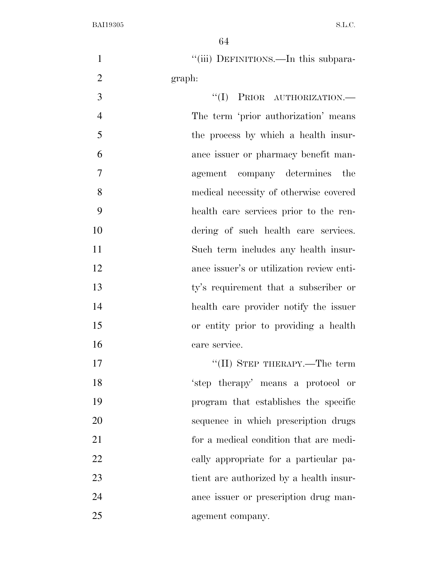1 "(iii) DEFINITIONS.—In this subpara-graph:

 $\text{``(I)}$  PRIOR AUTHORIZATION.— The term 'prior authorization' means the process by which a health insur- ance issuer or pharmacy benefit man- agement company determines the medical necessity of otherwise covered health care services prior to the ren- dering of such health care services. Such term includes any health insur- ance issuer's or utilization review enti- ty's requirement that a subscriber or health care provider notify the issuer or entity prior to providing a health care service.

 $\text{``(II)}$  STEP THERAPY.—The term 'step therapy' means a protocol or program that establishes the specific sequence in which prescription drugs for a medical condition that are medi- cally appropriate for a particular pa- tient are authorized by a health insur- ance issuer or prescription drug man-agement company.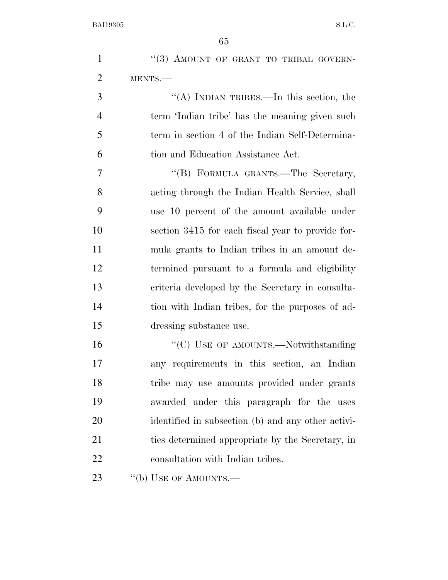|                | 65                                                 |
|----------------|----------------------------------------------------|
| $\mathbf{1}$   | "(3) AMOUNT OF GRANT TO TRIBAL GOVERN-             |
| $\overline{2}$ | MENTS.-                                            |
| 3              | "(A) INDIAN TRIBES.—In this section, the           |
| $\overline{4}$ | term 'Indian tribe' has the meaning given such     |
| 5              | term in section 4 of the Indian Self-Determina-    |
| 6              | tion and Education Assistance Act.                 |
| 7              | "(B) FORMULA GRANTS.—The Secretary,                |
| 8              | acting through the Indian Health Service, shall    |
| 9              | use 10 percent of the amount available under       |
| 10             | section 3415 for each fiscal year to provide for-  |
| 11             | mula grants to Indian tribes in an amount de-      |
| 12             | termined pursuant to a formula and eligibility     |
| 13             | criteria developed by the Secretary in consulta-   |
| 14             | tion with Indian tribes, for the purposes of ad-   |
| 15             | dressing substance use.                            |
| 16             | $\lq\lq (C)$ USE OF AMOUNTS.—Notwithstanding       |
| 17             | any requirements in this section, an Indian        |
| 18             | tribe may use amounts provided under grants        |
| 19             | awarded under this paragraph for the uses          |
| 20             | identified in subsection (b) and any other activi- |
| 21             | ties determined appropriate by the Secretary, in   |
| 22             | consultation with Indian tribes.                   |
| 23             | "(b) USE OF AMOUNTS.—                              |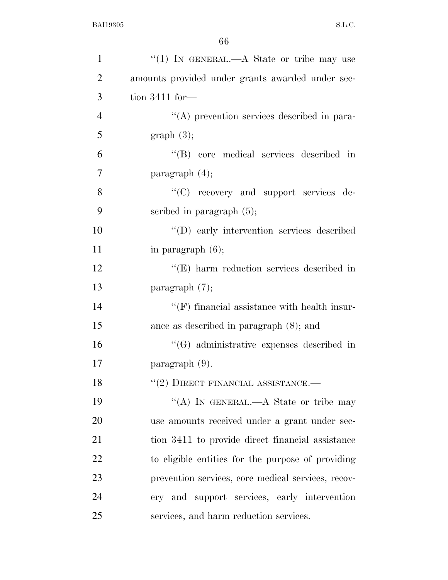| $\mathbf{1}$   | "(1) IN GENERAL.—A State or tribe may use           |
|----------------|-----------------------------------------------------|
| $\overline{2}$ | amounts provided under grants awarded under sec-    |
| 3              | tion $3411$ for —                                   |
| $\overline{4}$ | "(A) prevention services described in para-         |
| 5              | graph(3);                                           |
| 6              | "(B) core medical services described in             |
| $\overline{7}$ | paragraph $(4)$ ;                                   |
| 8              | "(C) recovery and support services de-              |
| 9              | scribed in paragraph $(5)$ ;                        |
| 10             | "(D) early intervention services described          |
| 11             | in paragraph $(6)$ ;                                |
| 12             | $\lq\lq$ (E) harm reduction services described in   |
| 13             | paragraph $(7)$ ;                                   |
| 14             | $\lq\lq(F)$ financial assistance with health insur- |
| 15             | ance as described in paragraph $(8)$ ; and          |
| 16             | $\lq\lq(G)$ administrative expenses described in    |
| 17             | $\text{paramph } (9).$                              |
| 18             | $``(2)$ DIRECT FINANCIAL ASSISTANCE.—               |
| 19             | "(A) IN GENERAL.—A State or tribe may               |
| 20             | use amounts received under a grant under sec-       |
| 21             | tion 3411 to provide direct financial assistance    |
| 22             | to eligible entities for the purpose of providing   |
| 23             | prevention services, core medical services, recov-  |
| 24             | ery and support services, early intervention        |
| 25             | services, and harm reduction services.              |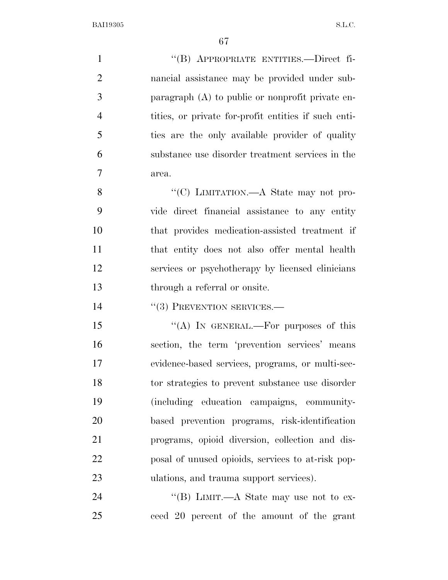''(B) APPROPRIATE ENTITIES.—Direct fi- nancial assistance may be provided under sub- paragraph (A) to public or nonprofit private en- tities, or private for-profit entities if such enti- ties are the only available provider of quality substance use disorder treatment services in the area.

8 "'(C) LIMITATION.—A State may not pro- vide direct financial assistance to any entity that provides medication-assisted treatment if that entity does not also offer mental health services or psychotherapy by licensed clinicians through a referral or onsite.

14 "(3) PREVENTION SERVICES.—

15 "(A) IN GENERAL.—For purposes of this section, the term 'prevention services' means evidence-based services, programs, or multi-sec- tor strategies to prevent substance use disorder (including education campaigns, community- based prevention programs, risk-identification programs, opioid diversion, collection and dis- posal of unused opioids, services to at-risk pop-23 ulations, and trauma support services).

24 "(B) LIMIT.—A State may use not to ex-ceed 20 percent of the amount of the grant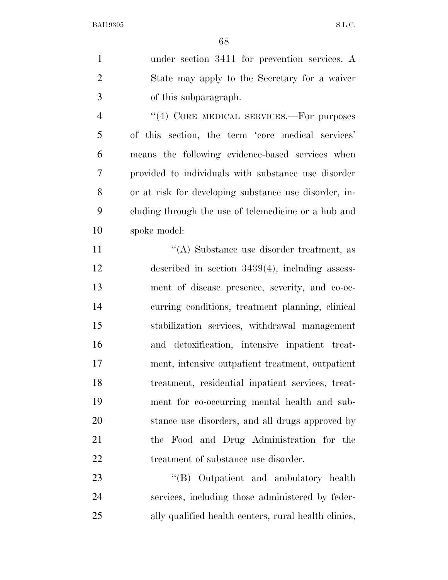under section 3411 for prevention services. A State may apply to the Secretary for a waiver of this subparagraph.

4 "(4) CORE MEDICAL SERVICES.—For purposes of this section, the term 'core medical services' means the following evidence-based services when provided to individuals with substance use disorder or at risk for developing substance use disorder, in- cluding through the use of telemedicine or a hub and spoke model:

11 ''(A) Substance use disorder treatment, as described in section 3439(4), including assess- ment of disease presence, severity, and co-oc- curring conditions, treatment planning, clinical stabilization services, withdrawal management and detoxification, intensive inpatient treat- ment, intensive outpatient treatment, outpatient treatment, residential inpatient services, treat- ment for co-occurring mental health and sub- stance use disorders, and all drugs approved by the Food and Drug Administration for the 22 treatment of substance use disorder.

23 ''(B) Outpatient and ambulatory health services, including those administered by feder-ally qualified health centers, rural health clinics,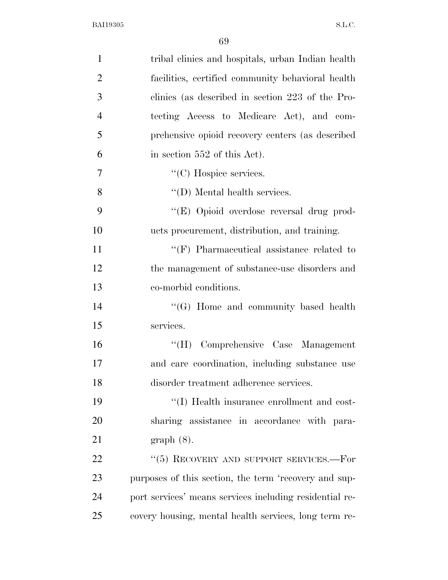| $\mathbf{1}$   | tribal clinics and hospitals, urban Indian health       |
|----------------|---------------------------------------------------------|
| $\overline{2}$ | facilities, certified community behavioral health       |
| 3              | clinics (as described in section 223 of the Pro-        |
| $\overline{4}$ | tecting Access to Medicare Act), and com-               |
| 5              | prehensive opioid recovery centers (as described        |
| 6              | in section 552 of this Act).                            |
| 7              | "(C) Hospice services.                                  |
| 8              | $\lq\lq$ (D) Mental health services.                    |
| 9              | "(E) Opioid overdose reversal drug prod-                |
| 10             | ucts procurement, distribution, and training.           |
| 11             | $\lq\lq(F)$ Pharmaceutical assistance related to        |
| 12             | the management of substance-use disorders and           |
| 13             | co-morbid conditions.                                   |
| 14             | $\lq\lq (G)$ Home and community based health            |
| 15             | services.                                               |
| 16             | "(H) Comprehensive Case Management                      |
| 17             | and care coordination, including substance use          |
| 18             | disorder treatment adherence services.                  |
| 19             | "(I) Health insurance enrollment and cost-              |
| 20             | sharing assistance in accordance with para-             |
| 21             | $graph(8)$ .                                            |
| 22             | " $(5)$ RECOVERY AND SUPPORT SERVICES.—For              |
| 23             | purposes of this section, the term 'recovery and sup-   |
| 24             | port services' means services including residential re- |
| 25             | covery housing, mental health services, long term re-   |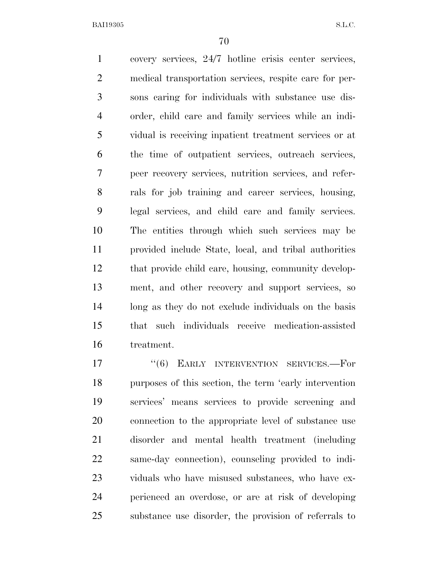covery services, 24/7 hotline crisis center services, medical transportation services, respite care for per- sons caring for individuals with substance use dis- order, child care and family services while an indi- vidual is receiving inpatient treatment services or at the time of outpatient services, outreach services, peer recovery services, nutrition services, and refer- rals for job training and career services, housing, legal services, and child care and family services. The entities through which such services may be provided include State, local, and tribal authorities that provide child care, housing, community develop- ment, and other recovery and support services, so long as they do not exclude individuals on the basis that such individuals receive medication-assisted treatment.

17 "(6) EARLY INTERVENTION SERVICES.—For purposes of this section, the term 'early intervention services' means services to provide screening and connection to the appropriate level of substance use disorder and mental health treatment (including same-day connection), counseling provided to indi- viduals who have misused substances, who have ex- perienced an overdose, or are at risk of developing substance use disorder, the provision of referrals to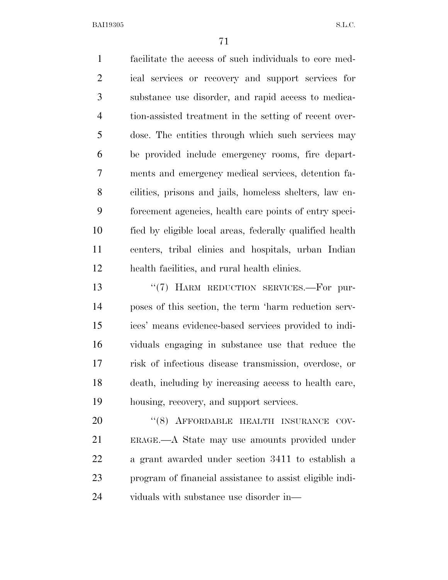facilitate the access of such individuals to core med- ical services or recovery and support services for substance use disorder, and rapid access to medica- tion-assisted treatment in the setting of recent over- dose. The entities through which such services may be provided include emergency rooms, fire depart- ments and emergency medical services, detention fa- cilities, prisons and jails, homeless shelters, law en- forcement agencies, health care points of entry speci- fied by eligible local areas, federally qualified health centers, tribal clinics and hospitals, urban Indian health facilities, and rural health clinics.

13 "(7) HARM REDUCTION SERVICES.—For pur- poses of this section, the term 'harm reduction serv- ices' means evidence-based services provided to indi- viduals engaging in substance use that reduce the risk of infectious disease transmission, overdose, or death, including by increasing access to health care, housing, recovery, and support services.

20 "(8) AFFORDABLE HEALTH INSURANCE COV- ERAGE.—A State may use amounts provided under a grant awarded under section 3411 to establish a program of financial assistance to assist eligible indi-viduals with substance use disorder in—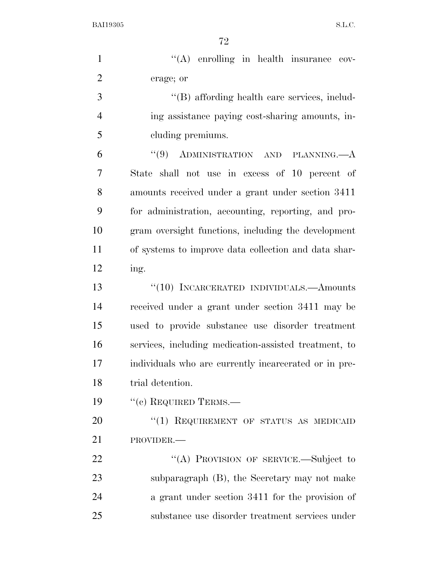| $\mathbf{1}$   | "(A) enrolling in health insurance cov-               |
|----------------|-------------------------------------------------------|
| $\overline{2}$ | erage; or                                             |
| 3              | "(B) affording health care services, includ-          |
| $\overline{4}$ | ing assistance paying cost-sharing amounts, in-       |
| 5              | cluding premiums.                                     |
| 6              | "(9) ADMINISTRATION AND PLANNING. $-A$                |
| $\overline{7}$ | State shall not use in excess of 10 percent of        |
| 8              | amounts received under a grant under section 3411     |
| 9              | for administration, accounting, reporting, and pro-   |
| 10             | gram oversight functions, including the development   |
| 11             | of systems to improve data collection and data shar-  |
| 12             | ing.                                                  |
| 13             | $``(10)$ INCARCERATED INDIVIDUALS.—Amounts            |
| 14             | received under a grant under section 3411 may be      |
| 15             | used to provide substance use disorder treatment      |
| 16             | services, including medication-assisted treatment, to |
| 17             | individuals who are currently incarcerated or in pre- |
| 18             | trial detention.                                      |
| 19             | $``(c)$ REQUIRED TERMS.—                              |
| 20             | " $(1)$ REQUIREMENT OF STATUS AS MEDICAID             |
| 21             | PROVIDER.-                                            |
| 22             | "(A) PROVISION OF SERVICE.-Subject to                 |
| 23             | subparagraph (B), the Secretary may not make          |
| 24             | a grant under section 3411 for the provision of       |
| 25             | substance use disorder treatment services under       |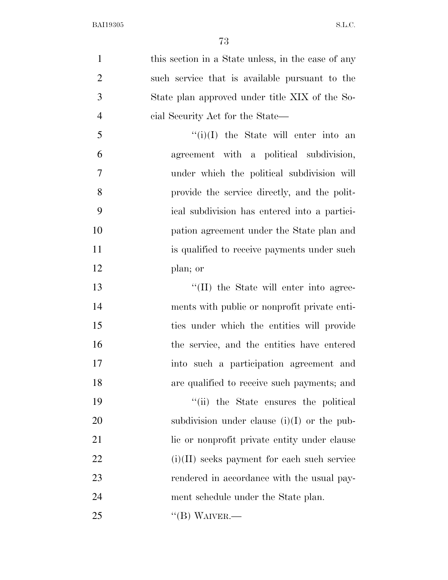| $\mathbf{1}$   | this section in a State unless, in the case of any |
|----------------|----------------------------------------------------|
| $\overline{2}$ | such service that is available pursuant to the     |
| 3              | State plan approved under title XIX of the So-     |
| $\overline{4}$ | cial Security Act for the State—                   |
| 5              | $``(i)(I)$ the State will enter into an            |
| 6              | agreement with a political subdivision,            |
| 7              | under which the political subdivision will         |
| 8              | provide the service directly, and the polit-       |
| 9              | ical subdivision has entered into a partici-       |
| 10             | pation agreement under the State plan and          |
| 11             | is qualified to receive payments under such        |
| 12             | plan; or                                           |
| 13             | "(II) the State will enter into agree-             |
| 14             | ments with public or nonprofit private enti-       |
| 15             | ties under which the entities will provide         |
| 16             | the service, and the entities have entered         |
| 17             | into such a participation agreement and            |
| 18             | are qualified to receive such payments; and        |
| 19             | "(ii) the State ensures the political              |
| 20             | subdivision under clause $(i)(I)$ or the pub-      |
| 21             | lic or nonprofit private entity under clause       |
| 22             | $(i)(II)$ seeks payment for each such service      |
| 23             | rendered in accordance with the usual pay-         |
| 24             | ment schedule under the State plan.                |
| 25             | $\lq\lq (B)$ WAIVER.—                              |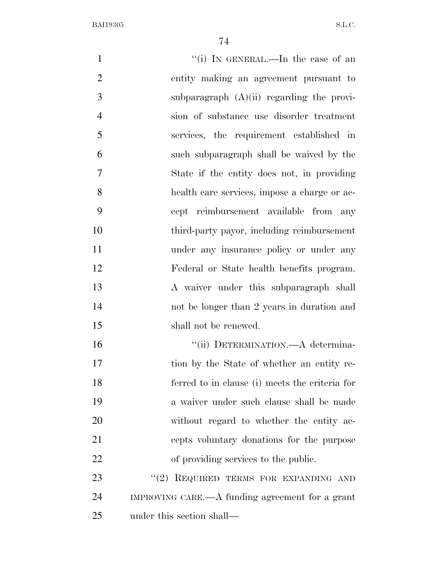1 ''(i) In GENERAL.—In the case of an entity making an agreement pursuant to 3 subparagraph  $(A)(ii)$  regarding the provi- sion of substance use disorder treatment services, the requirement established in such subparagraph shall be waived by the State if the entity does not, in providing health care services, impose a charge or ac- cept reimbursement available from any third-party payor, including reimbursement 11 under any insurance policy or under any Federal or State health benefits program. A waiver under this subparagraph shall not be longer than 2 years in duration and 15 shall not be renewed.  $"$ (ii) DETERMINATION.—A determina-17 tion by the State of whether an entity re- ferred to in clause (i) meets the criteria for a waiver under such clause shall be made 20 without regard to whether the entity ac- cepts voluntary donations for the purpose of providing services to the public. 23 "(2) REQUIRED TERMS FOR EXPANDING AND IMPROVING CARE.—A funding agreement for a grant under this section shall—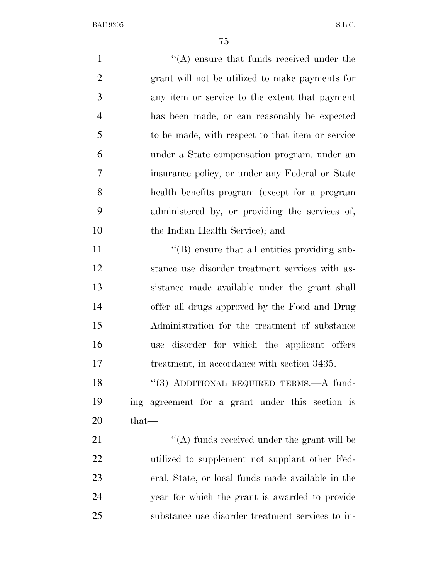| $\mathbf{1}$   | $\lq\lq$ ensure that funds received under the     |
|----------------|---------------------------------------------------|
| $\overline{2}$ | grant will not be utilized to make payments for   |
| 3              | any item or service to the extent that payment    |
| $\overline{4}$ | has been made, or can reasonably be expected      |
| 5              | to be made, with respect to that item or service  |
| 6              | under a State compensation program, under an      |
| 7              | insurance policy, or under any Federal or State   |
| 8              | health benefits program (except for a program     |
| 9              | administered by, or providing the services of,    |
| 10             | the Indian Health Service); and                   |
| 11             | "(B) ensure that all entities providing sub-      |
| 12             | stance use disorder treatment services with as-   |
| 13             | sistance made available under the grant shall     |
| 14             | offer all drugs approved by the Food and Drug     |
| 15             | Administration for the treatment of substance     |
| 16             | disorder for which the applicant offers<br>use    |
| 17             | treatment, in accordance with section 3435.       |
| 18             | "(3) ADDITIONAL REQUIRED TERMS.—A fund-           |
| 19             | ing agreement for a grant under this section is   |
| 20             | that—                                             |
| 21             | "(A) funds received under the grant will be       |
| 22             | utilized to supplement not supplant other Fed-    |
| 23             | eral, State, or local funds made available in the |
| 24             | year for which the grant is awarded to provide    |
| 25             | substance use disorder treatment services to in-  |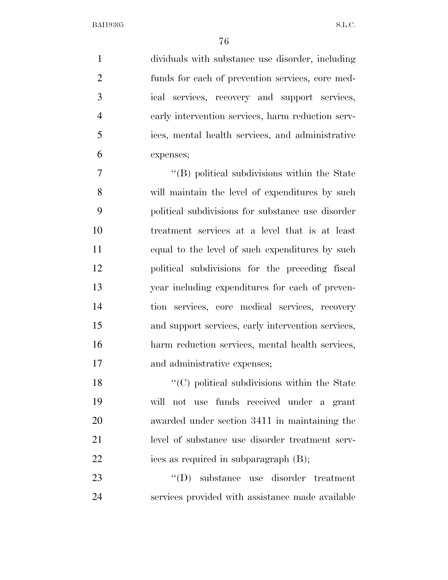dividuals with substance use disorder, including funds for each of prevention services, core med- ical services, recovery and support services, early intervention services, harm reduction serv- ices, mental health services, and administrative expenses;

 ''(B) political subdivisions within the State will maintain the level of expenditures by such political subdivisions for substance use disorder treatment services at a level that is at least equal to the level of such expenditures by such political subdivisions for the preceding fiscal year including expenditures for each of preven- tion services, core medical services, recovery and support services, early intervention services, harm reduction services, mental health services, and administrative expenses;

18 ''(C) political subdivisions within the State will not use funds received under a grant awarded under section 3411 in maintaining the level of substance use disorder treatment serv-22 ices as required in subparagraph (B);

23  $\text{``(D)}$  substance use disorder treatment services provided with assistance made available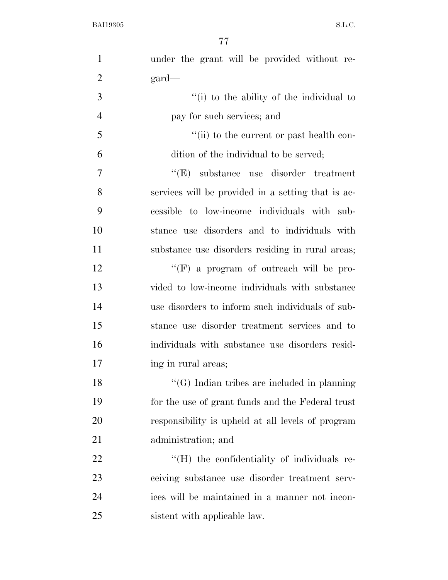| $\mathbf{1}$   | under the grant will be provided without re-                    |
|----------------|-----------------------------------------------------------------|
| $\overline{2}$ | $\text{gard}$                                                   |
| 3              | "(i) to the ability of the individual to                        |
| $\overline{4}$ | pay for such services; and                                      |
| 5              | "(ii) to the current or past health con-                        |
| 6              | dition of the individual to be served;                          |
| 7              | ``(E)<br>substance use disorder treatment                       |
| 8              | services will be provided in a setting that is ac-              |
| 9              | cessible to low-income individuals with sub-                    |
| 10             | stance use disorders and to individuals with                    |
| 11             | substance use disorders residing in rural areas;                |
| 12             | "(F) a program of outreach will be pro-                         |
| 13             | vided to low-income individuals with substance                  |
| 14             | use disorders to inform such individuals of sub-                |
| 15             | stance use disorder treatment services and to                   |
| 16             | individuals with substance use disorders resid-                 |
| 17             | ing in rural areas;                                             |
| 18             | $\lq\lq(G)$ Indian tribes are included in planning              |
| 19             | for the use of grant funds and the Federal trust                |
| 20             | responsibility is upheld at all levels of program               |
| 21             | administration; and                                             |
| 22             | $\rm ^{\prime\prime}(H)$ the confidentiality of individuals re- |
| 23             | ceiving substance use disorder treatment serv-                  |
| 24             | ices will be maintained in a manner not incon-                  |
| 25             | sistent with applicable law.                                    |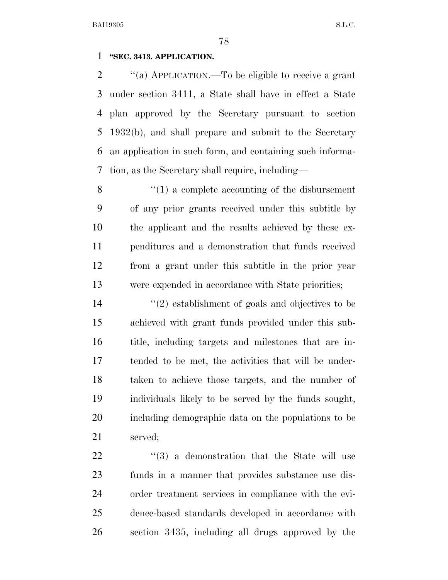#### **''SEC. 3413. APPLICATION.**

 ''(a) APPLICATION.—To be eligible to receive a grant under section 3411, a State shall have in effect a State plan approved by the Secretary pursuant to section 1932(b), and shall prepare and submit to the Secretary an application in such form, and containing such informa-tion, as the Secretary shall require, including—

 ''(1) a complete accounting of the disbursement of any prior grants received under this subtitle by the applicant and the results achieved by these ex- penditures and a demonstration that funds received from a grant under this subtitle in the prior year were expended in accordance with State priorities;

 ''(2) establishment of goals and objectives to be achieved with grant funds provided under this sub- title, including targets and milestones that are in- tended to be met, the activities that will be under- taken to achieve those targets, and the number of individuals likely to be served by the funds sought, including demographic data on the populations to be served;

22 ''(3) a demonstration that the State will use funds in a manner that provides substance use dis- order treatment services in compliance with the evi- dence-based standards developed in accordance with section 3435, including all drugs approved by the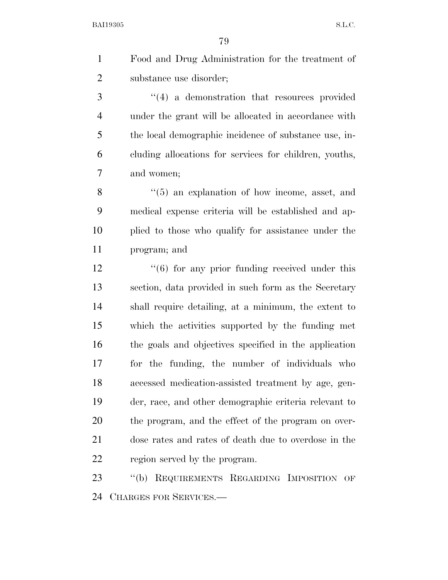Food and Drug Administration for the treatment of substance use disorder;

3 ''(4) a demonstration that resources provided under the grant will be allocated in accordance with the local demographic incidence of substance use, in- cluding allocations for services for children, youths, and women;

8 "(5) an explanation of how income, asset, and medical expense criteria will be established and ap- plied to those who qualify for assistance under the program; and

12 ''(6) for any prior funding received under this section, data provided in such form as the Secretary shall require detailing, at a minimum, the extent to which the activities supported by the funding met the goals and objectives specified in the application for the funding, the number of individuals who accessed medication-assisted treatment by age, gen- der, race, and other demographic criteria relevant to the program, and the effect of the program on over- dose rates and rates of death due to overdose in the region served by the program.

 ''(b) REQUIREMENTS REGARDING IMPOSITION OF CHARGES FOR SERVICES.—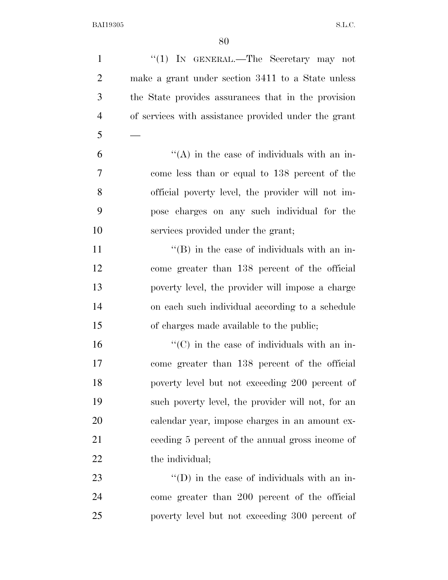| $\mathbf{1}$   | "(1) IN GENERAL.—The Secretary may not               |
|----------------|------------------------------------------------------|
| $\overline{2}$ | make a grant under section 3411 to a State unless    |
| 3              | the State provides assurances that in the provision  |
| $\overline{4}$ | of services with assistance provided under the grant |
| 5              |                                                      |
| 6              | $\lq\lq$ in the case of individuals with an in-      |
| 7              | come less than or equal to 138 percent of the        |
| 8              | official poverty level, the provider will not im-    |
| 9              | pose charges on any such individual for the          |
| 10             | services provided under the grant;                   |
| <sup>11</sup>  | $\lq\lq$ (B) in the case of individuals with an in-  |
| 12             | come greater than 138 percent of the official        |
| 13             | poverty level, the provider will impose a charge     |
| 14             | on each such individual according to a schedule      |
| 15             | of charges made available to the public;             |
| 16             | $\lq\lq$ (C) in the case of individuals with an in-  |
| 17             | come greater than 138 percent of the official        |
| 18             | poverty level but not exceeding 200 percent of       |
| 19             | such poverty level, the provider will not, for an    |
| 20             | calendar year, impose charges in an amount ex-       |
| 21             | ceeding 5 percent of the annual gross income of      |
| 22             | the individual;                                      |
| 23             | "(D) in the case of individuals with an in-          |
| 24             | come greater than 200 percent of the official        |
| 25             | poverty level but not exceeding 300 percent of       |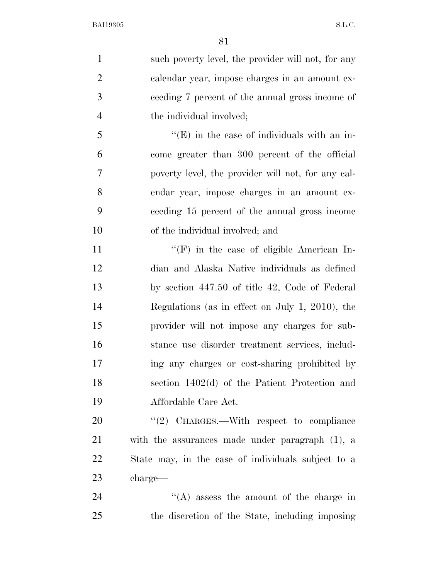| $\mathbf{1}$   | such poverty level, the provider will not, for any  |
|----------------|-----------------------------------------------------|
| $\mathbf{2}$   | calendar year, impose charges in an amount ex-      |
| 3              | ceeding 7 percent of the annual gross income of     |
| $\overline{4}$ | the individual involved;                            |
| 5              | $\lq\lq$ (E) in the case of individuals with an in- |
| 6              | come greater than 300 percent of the official       |
| $\tau$         | poverty level, the provider will not, for any cal-  |
| 8              | endar year, impose charges in an amount ex-         |
| 9              | ceeding 15 percent of the annual gross income       |
| 10             | of the individual involved; and                     |
| 11             | $\lq\lq(F)$ in the case of eligible American In-    |
| 12             | dian and Alaska Native individuals as defined       |
| 13             | by section 447.50 of title 42, Code of Federal      |
| 14             | Regulations (as in effect on July 1, 2010), the     |
| 15             | provider will not impose any charges for sub-       |
| 16             | stance use disorder treatment services, includ-     |
| 17             | ing any charges or cost-sharing prohibited by       |
| 18             | section $1402(d)$ of the Patient Protection and     |
| 19             | Affordable Care Act.                                |
| 20             | $\lq(2)$ CHARGES.—With respect to compliance        |
| 21             | with the assurances made under paragraph $(1)$ , a  |
| 22             | State may, in the case of individuals subject to a  |
| 23             | charge—                                             |
| 24             | $\lq\lq$ assess the amount of the charge in         |
| 25             | the discretion of the State, including imposing     |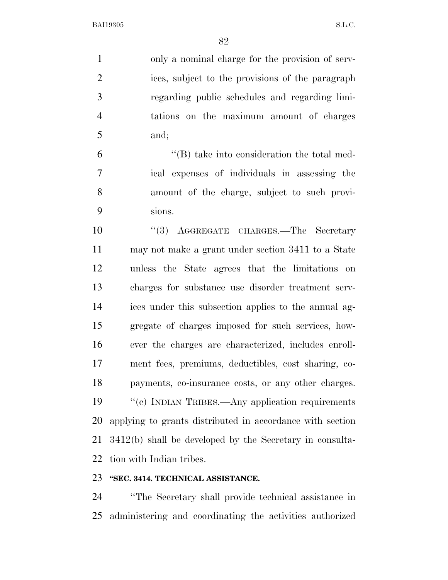only a nominal charge for the provision of serv- ices, subject to the provisions of the paragraph regarding public schedules and regarding limi- tations on the maximum amount of charges and;

 ''(B) take into consideration the total med- ical expenses of individuals in assessing the amount of the charge, subject to such provi-sions.

10 ''(3) AGGREGATE CHARGES.—The Secretary may not make a grant under section 3411 to a State unless the State agrees that the limitations on charges for substance use disorder treatment serv- ices under this subsection applies to the annual ag- gregate of charges imposed for such services, how- ever the charges are characterized, includes enroll- ment fees, premiums, deductibles, cost sharing, co- payments, co-insurance costs, or any other charges. 19 "(c) INDIAN TRIBES.—Any application requirements applying to grants distributed in accordance with section 3412(b) shall be developed by the Secretary in consulta-tion with Indian tribes.

#### **''SEC. 3414. TECHNICAL ASSISTANCE.**

 ''The Secretary shall provide technical assistance in administering and coordinating the activities authorized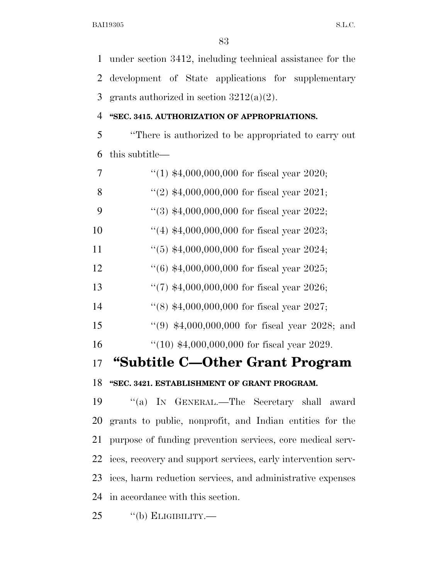under section 3412, including technical assistance for the development of State applications for supplementary 3 grants authorized in section  $3212(a)(2)$ .

#### **''SEC. 3415. AUTHORIZATION OF APPROPRIATIONS.**

 ''There is authorized to be appropriated to carry out this subtitle—

| 7  | "(1) $$4,000,000,000$ for fiscal year 2020;     |
|----|-------------------------------------------------|
| 8  | "(2) $$4,000,000,000$ for fiscal year 2021;     |
| 9  | $(3)$ \$4,000,000,000 for fiscal year 2022;     |
| 10 | $(4)$ \$4,000,000,000 for fiscal year 2023;     |
| 11 | $(5)$ \$4,000,000,000 for fiscal year 2024;     |
| 12 | $(6)$ \$4,000,000,000 for fiscal year 2025;     |
| 13 | "(7) $$4,000,000,000$ for fiscal year 2026;     |
| 14 | $(8)$ \$4,000,000,000 for fiscal year 2027;     |
| 15 | "(9) $$4,000,000,000$ for fiscal year 2028; and |
| 16 | $(10)$ \$4,000,000,000 for fiscal year 2029.    |
| 17 | "Subtitle C—Other Grant Program                 |
| 18 | "SEC. 3421. ESTABLISHMENT OF GRANT PROGRAM.     |

 ''(a) IN GENERAL.—The Secretary shall award grants to public, nonprofit, and Indian entities for the purpose of funding prevention services, core medical serv- ices, recovery and support services, early intervention serv- ices, harm reduction services, and administrative expenses in accordance with this section.

''(b) ELIGIBILITY.—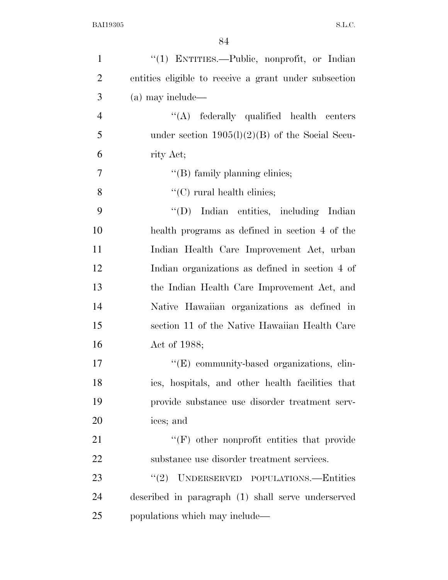| $\mathbf{1}$   | "(1) ENTITIES.—Public, nonprofit, or Indian           |
|----------------|-------------------------------------------------------|
| $\overline{2}$ | entities eligible to receive a grant under subsection |
| 3              | (a) may include—                                      |
| $\overline{4}$ | $\lq\lq$ federally qualified health centers           |
| 5              | under section $1905(l)(2)(B)$ of the Social Secu-     |
| 6              | rity Act;                                             |
| $\tau$         | "(B) family planning clinics;                         |
| 8              | $\lq\lq$ (C) rural health clinics;                    |
| 9              | "(D) Indian entities, including Indian                |
| 10             | health programs as defined in section 4 of the        |
| 11             | Indian Health Care Improvement Act, urban             |
| 12             | Indian organizations as defined in section 4 of       |
| 13             | the Indian Health Care Improvement Act, and           |
| 14             | Native Hawaiian organizations as defined in           |
| 15             | section 11 of the Native Hawaiian Health Care         |
| 16             | Act of 1988;                                          |
| 17             | "(E) community-based organizations, clin-             |
| 18             | ics, hospitals, and other health facilities that      |
| 19             | provide substance use disorder treatment serv-        |
| 20             | ices; and                                             |
| 21             | $\lq\lq(F)$ other nonprofit entities that provide     |
| 22             | substance use disorder treatment services.            |
| 23             | UNDERSERVED POPULATIONS.-Entities<br>(2)              |
| 24             | described in paragraph (1) shall serve underserved    |
| 25             | populations which may include—                        |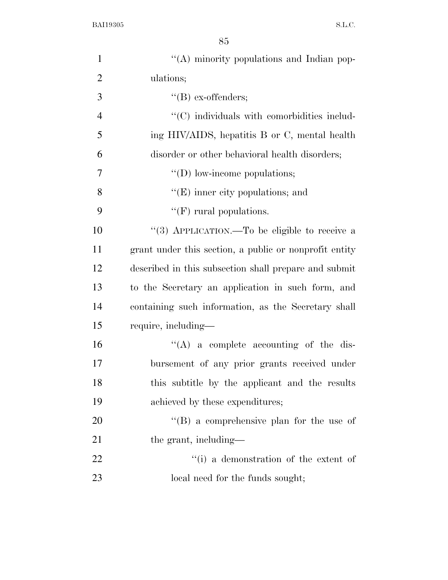| $\mathbf{1}$   | "(A) minority populations and Indian pop-              |
|----------------|--------------------------------------------------------|
| $\mathbf{2}$   | ulations;                                              |
| 3              | $\lq\lq(B)$ ex-offenders;                              |
| $\overline{4}$ | $\cdot$ (C) individuals with comorbidities includ-     |
| 5              | ing HIV/AIDS, hepatitis B or C, mental health          |
| 6              | disorder or other behavioral health disorders;         |
| 7              | $\lq\lq$ (D) low-income populations;                   |
| 8              | $\lq\lq(E)$ inner city populations; and                |
| 9              | " $(F)$ rural populations.                             |
| 10             | "(3) APPLICATION.—To be eligible to receive a          |
| 11             | grant under this section, a public or nonprofit entity |
| 12             | described in this subsection shall prepare and submit  |
| 13             | to the Secretary an application in such form, and      |
| 14             | containing such information, as the Secretary shall    |
| 15             | require, including—                                    |
| 16             | $\lq\lq$ a complete accounting of the dis-             |
| 17             | bursement of any prior grants received under           |
| 18             | this subtitle by the applicant and the results         |
| 19             | achieved by these expenditures;                        |
| 20             | $\lq\lq (B)$ a comprehensive plan for the use of       |
| 21             | the grant, including—                                  |
| 22             | "(i) a demonstration of the extent of                  |
| 23             | local need for the funds sought;                       |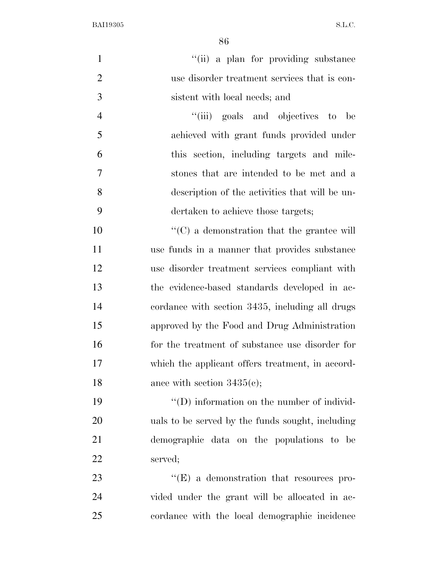|                | 86                                                     |
|----------------|--------------------------------------------------------|
| $\mathbf{1}$   | "(ii) a plan for providing substance                   |
| $\overline{2}$ | use disorder treatment services that is con-           |
| 3              | sistent with local needs; and                          |
| $\overline{4}$ | "(iii) goals and objectives<br>$-$ to<br>be            |
| 5              | achieved with grant funds provided under               |
| 6              | this section, including targets and mile-              |
| 7              | stones that are intended to be met and a               |
| 8              | description of the activities that will be un-         |
| 9              | dertaken to achieve those targets;                     |
| 10             | $\cdot\cdot$ (C) a demonstration that the grantee will |
| 11             | use funds in a manner that provides substance          |
| 12             | use disorder treatment services compliant with         |
| 13             | the evidence-based standards developed in ac-          |
| 14             | cordance with section 3435, including all drugs        |
| 15             | approved by the Food and Drug Administration           |
| 16             | for the treatment of substance use disorder for        |
| 17             | which the applicant offers treatment, in accord-       |
| 18             | ance with section $3435(c)$ ;                          |
| 19             | $\lq\lq$ (D) information on the number of individ-     |
| 20             | uals to be served by the funds sought, including       |
| 21             | demographic data on the populations to be              |

served;

23 ''(E) a demonstration that resources pro- vided under the grant will be allocated in ac-cordance with the local demographic incidence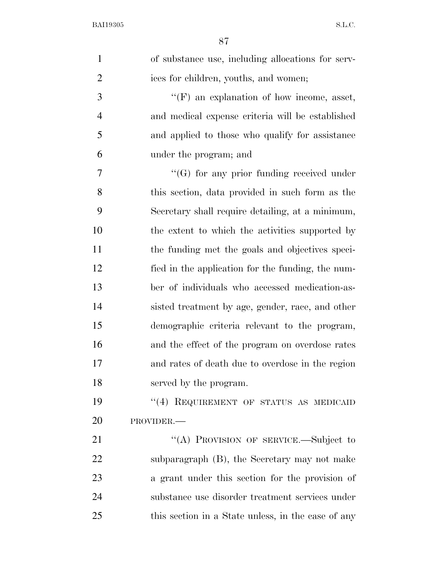| $\mathbf{1}$   | of substance use, including allocations for serv-  |
|----------------|----------------------------------------------------|
| $\overline{2}$ | ices for children, youths, and women;              |
| 3              | $\lq\lq(F)$ an explanation of how income, asset,   |
| $\overline{4}$ | and medical expense criteria will be established   |
| 5              | and applied to those who qualify for assistance    |
| 6              | under the program; and                             |
| 7              | $\lq\lq(G)$ for any prior funding received under   |
| 8              | this section, data provided in such form as the    |
| 9              | Secretary shall require detailing, at a minimum,   |
| 10             | the extent to which the activities supported by    |
| 11             | the funding met the goals and objectives speci-    |
| 12             | fied in the application for the funding, the num-  |
| 13             | ber of individuals who accessed medication-as-     |
| 14             | sisted treatment by age, gender, race, and other   |
| 15             | demographic criteria relevant to the program,      |
| 16             | and the effect of the program on overdose rates    |
| 17             | and rates of death due to overdose in the region   |
| 18             | served by the program.                             |
| 19             | "(4) REQUIREMENT OF STATUS AS MEDICAID             |
| 20             | PROVIDER.-                                         |
| 21             | "(A) PROVISION OF SERVICE.—Subject to              |
| 22             | subparagraph (B), the Secretary may not make       |
| 23             | a grant under this section for the provision of    |
| 24             | substance use disorder treatment services under    |
| 25             | this section in a State unless, in the case of any |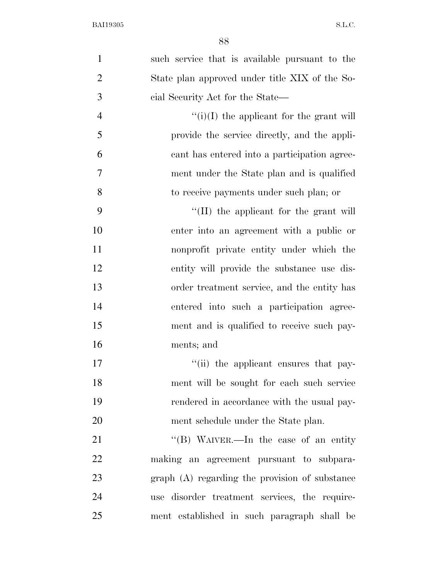| $\mathbf{1}$   | such service that is available pursuant to the |
|----------------|------------------------------------------------|
| $\overline{2}$ | State plan approved under title XIX of the So- |
| 3              | cial Security Act for the State—               |
| $\overline{4}$ | $f'(i)(I)$ the applicant for the grant will    |
| 5              | provide the service directly, and the appli-   |
| 6              | cant has entered into a participation agree-   |
| $\tau$         | ment under the State plan and is qualified     |
| 8              | to receive payments under such plan; or        |
| 9              | $\lq$ (II) the applicant for the grant will    |
| 10             | enter into an agreement with a public or       |
| 11             | nonprofit private entity under which the       |
| 12             | entity will provide the substance use dis-     |
| 13             | order treatment service, and the entity has    |
| 14             | entered into such a participation agree-       |
| 15             | ment and is qualified to receive such pay-     |
| 16             | ments; and                                     |
| 17             | "(ii) the applicant ensures that pay-          |
| 18             | ment will be sought for each such service      |
| 19             | rendered in accordance with the usual pay-     |
| 20             | ment schedule under the State plan.            |
| 21             | "(B) WAIVER.—In the case of an entity          |
| 22             | making an agreement pursuant to subpara-       |
| 23             | graph (A) regarding the provision of substance |
| 24             | use disorder treatment services, the require-  |
| 25             | ment established in such paragraph shall be    |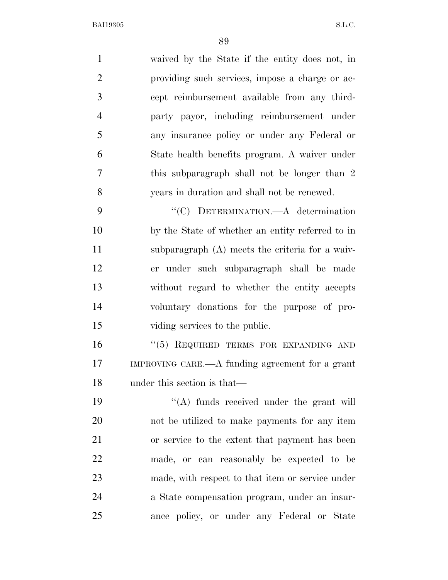| $\mathbf{1}$   | waived by the State if the entity does not, in   |
|----------------|--------------------------------------------------|
| $\overline{2}$ | providing such services, impose a charge or ac-  |
| 3              | cept reimbursement available from any third-     |
| $\overline{4}$ | party payor, including reimbursement under       |
| 5              | any insurance policy or under any Federal or     |
| 6              | State health benefits program. A waiver under    |
| 7              | this subparagraph shall not be longer than 2     |
| 8              | years in duration and shall not be renewed.      |
| 9              | "(C) DETERMINATION.—A determination              |
| 10             | by the State of whether an entity referred to in |
| 11             | subparagraph (A) meets the criteria for a waiv-  |
| 12             | er under such subparagraph shall be made         |
| 13             | without regard to whether the entity accepts     |
| 14             | voluntary donations for the purpose of pro-      |
| 15             | viding services to the public.                   |
| 16             | "(5) REQUIRED TERMS FOR EXPANDING AND            |
| 17             | IMPROVING CARE.—A funding agreement for a grant  |
| 18             | under this section is that—                      |
| 19             | $\lq\lq$ funds received under the grant will     |
| 20             | not be utilized to make payments for any item    |
| 21             | or service to the extent that payment has been   |
| 22             | made, or can reasonably be expected to be        |
| 23             | made, with respect to that item or service under |
| 24             | a State compensation program, under an insur-    |
| 25             | ance policy, or under any Federal or State       |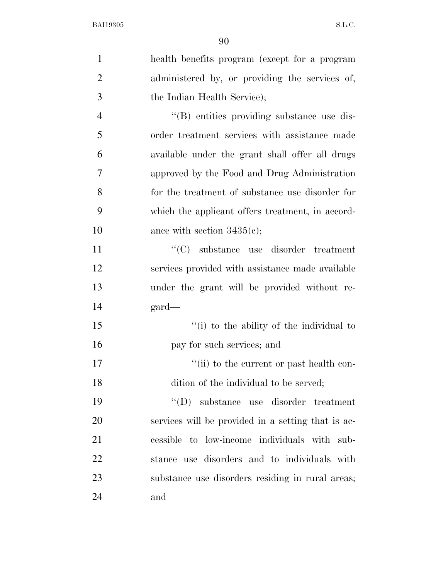| $\mathbf{1}$   | health benefits program (except for a program      |
|----------------|----------------------------------------------------|
| $\overline{2}$ | administered by, or providing the services of,     |
| 3              | the Indian Health Service);                        |
| $\overline{4}$ | "(B) entities providing substance use dis-         |
| 5              | order treatment services with assistance made      |
| 6              | available under the grant shall offer all drugs    |
| $\overline{7}$ | approved by the Food and Drug Administration       |
| 8              | for the treatment of substance use disorder for    |
| 9              | which the applicant offers treatment, in accord-   |
| 10             | ance with section $3435(c)$ ;                      |
| 11             | $\lq\lq$ substance use disorder treatment          |
| 12             | services provided with assistance made available   |
| 13             | under the grant will be provided without re-       |
| 14             | $\text{gard}$                                      |
| 15             | "(i) to the ability of the individual to           |
| 16             | pay for such services; and                         |
| 17             | "(ii) to the current or past health con-           |
| 18             | dition of the individual to be served;             |
| 19             | $\lq\lq (D)$<br>substance use disorder treatment   |
| 20             | services will be provided in a setting that is ac- |
| 21             | cessible to low-income individuals with sub-       |
| 22             | stance use disorders and to individuals with       |
| 23             | substance use disorders residing in rural areas;   |
| 24             | and                                                |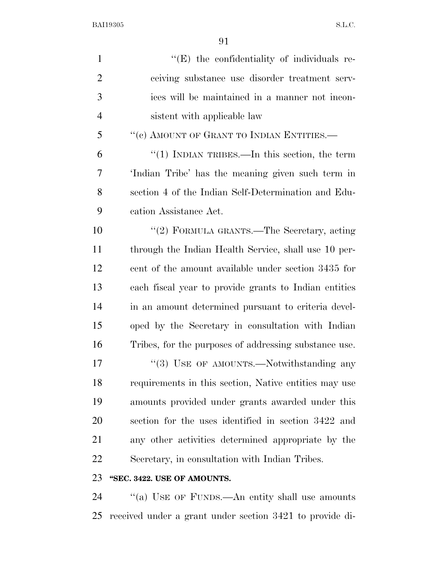| $\mathbf{1}$   | "(E) the confidentiality of individuals re-           |
|----------------|-------------------------------------------------------|
| $\overline{2}$ | ceiving substance use disorder treatment serv-        |
| 3              | ices will be maintained in a manner not incon-        |
| 4              | sistent with applicable law                           |
| 5              | "(c) AMOUNT OF GRANT TO INDIAN ENTITIES.—             |
| 6              | "(1) INDIAN TRIBES.—In this section, the term         |
| 7              | 'Indian Tribe' has the meaning given such term in     |
| 8              | section 4 of the Indian Self-Determination and Edu-   |
| 9              | cation Assistance Act.                                |
| 10             | "(2) FORMULA GRANTS.—The Secretary, acting            |
| 11             | through the Indian Health Service, shall use 10 per-  |
| 12             | cent of the amount available under section 3435 for   |
| 13             | each fiscal year to provide grants to Indian entities |
| 14             | in an amount determined pursuant to criteria devel-   |
| 15             | oped by the Secretary in consultation with Indian     |
| 16             | Tribes, for the purposes of addressing substance use. |
| 17             | "(3) USE OF AMOUNTS.—Notwithstanding any              |
| 18             | requirements in this section, Native entities may use |
| 19             | amounts provided under grants awarded under this      |
| 20             | section for the uses identified in section 3422 and   |
| 21             | any other activities determined appropriate by the    |
| 22             | Secretary, in consultation with Indian Tribes.        |
| 23             | "SEC. 3422. USE OF AMOUNTS.                           |

24 ''(a) USE OF FUNDS.—An entity shall use amounts received under a grant under section 3421 to provide di-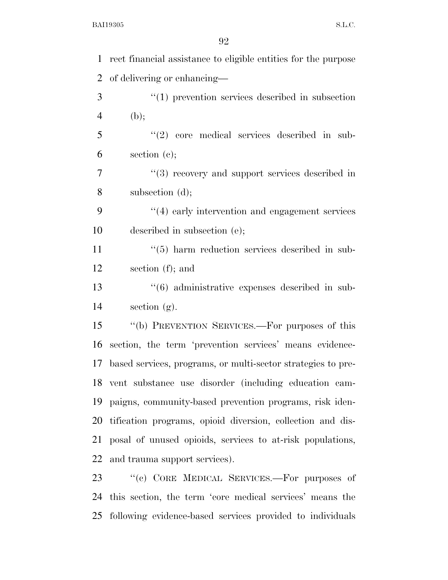| $\mathbf{1}$   | rect financial assistance to eligible entities for the purpose |
|----------------|----------------------------------------------------------------|
| $\overline{2}$ | of delivering or enhancing—                                    |
| 3              | $"(1)$ prevention services described in subsection             |
| $\overline{4}$ | (b);                                                           |
| 5              | $"(2)$ core medical services described in sub-                 |
| 6              | section $(e)$ ;                                                |
| $\overline{7}$ | $\lq(3)$ recovery and support services described in            |
| 8              | subsection (d);                                                |
| 9              | "(4) early intervention and engagement services                |
| 10             | described in subsection (e);                                   |
| 11             | $\cdot\cdot$ (5) harm reduction services described in sub-     |
| 12             | section (f); and                                               |
| 13             | "(6) administrative expenses described in sub-                 |
| 14             | section $(g)$ .                                                |
| 15             | "(b) PREVENTION SERVICES.—For purposes of this                 |
| 16             | section, the term 'prevention services' means evidence-        |
| 17             | based services, programs, or multi-sector strategies to pre-   |
|                | 18 vent substance use disorder (including education cam-       |
| 19             | paigns, community-based prevention programs, risk iden-        |
| 20             | tification programs, opioid diversion, collection and dis-     |
| 21             | posal of unused opioids, services to at-risk populations,      |
| 22             | and trauma support services).                                  |
| 23             | "(c) CORE MEDICAL SERVICES.—For purposes of                    |
| 24             | this section, the term 'core medical services' means the       |

following evidence-based services provided to individuals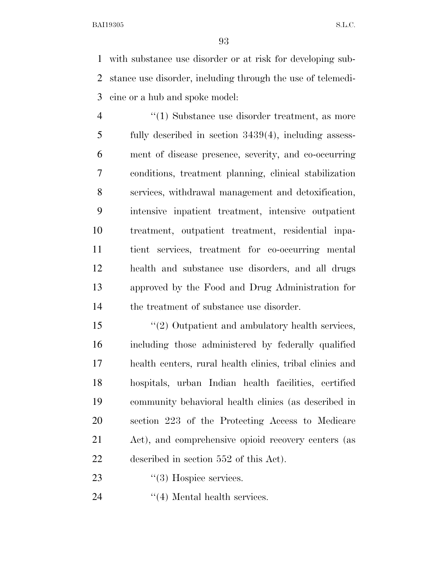with substance use disorder or at risk for developing sub- stance use disorder, including through the use of telemedi-cine or a hub and spoke model:

 $\frac{4}{1}$  Substance use disorder treatment, as more fully described in section 3439(4), including assess- ment of disease presence, severity, and co-occurring conditions, treatment planning, clinical stabilization services, withdrawal management and detoxification, intensive inpatient treatment, intensive outpatient treatment, outpatient treatment, residential inpa- tient services, treatment for co-occurring mental health and substance use disorders, and all drugs approved by the Food and Drug Administration for the treatment of substance use disorder.

 ''(2) Outpatient and ambulatory health services, including those administered by federally qualified health centers, rural health clinics, tribal clinics and hospitals, urban Indian health facilities, certified community behavioral health clinics (as described in section 223 of the Protecting Access to Medicare Act), and comprehensive opioid recovery centers (as described in section 552 of this Act).

23  $\frac{1}{3}$  Hospice services.

24  $((4)$  Mental health services.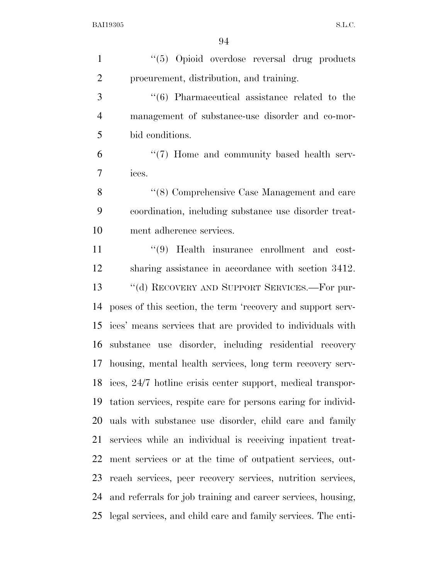| $\mathbf{1}$   | "(5) Opioid overdose reversal drug products                    |
|----------------|----------------------------------------------------------------|
| $\overline{2}$ | procurement, distribution, and training.                       |
| 3              | $\cdot\cdot\cdot$ (6) Pharmaceutical assistance related to the |
| $\overline{4}$ | management of substance-use disorder and co-mor-               |
| 5              | bid conditions.                                                |
| 6              | $\lq(7)$ Home and community based health serv-                 |
| 7              | ices.                                                          |
| 8              | "(8) Comprehensive Case Management and care                    |
| 9              | coordination, including substance use disorder treat-          |
| 10             | ment adherence services.                                       |
| 11             | $\lq(9)$ Health insurance enrollment and cost-                 |
| 12             | sharing assistance in accordance with section 3412.            |
| 13             | "(d) RECOVERY AND SUPPORT SERVICES.—For pur-                   |
| 14             | poses of this section, the term 'recovery and support serv-    |
| 15             | ices' means services that are provided to individuals with     |
| 16             | substance use disorder, including residential recovery         |
| 17             | housing, mental health services, long term recovery serv-      |
|                | 18 ices, 24/7 hotline crisis center support, medical transpor- |
| 19             | tation services, respite care for persons caring for individ-  |
| 20             | uals with substance use disorder, child care and family        |
| 21             | services while an individual is receiving inpatient treat-     |
| 22             | ment services or at the time of outpatient services, out-      |
| 23             | reach services, peer recovery services, nutrition services,    |
| 24             | and referrals for job training and career services, housing,   |
| 25             | legal services, and child care and family services. The enti-  |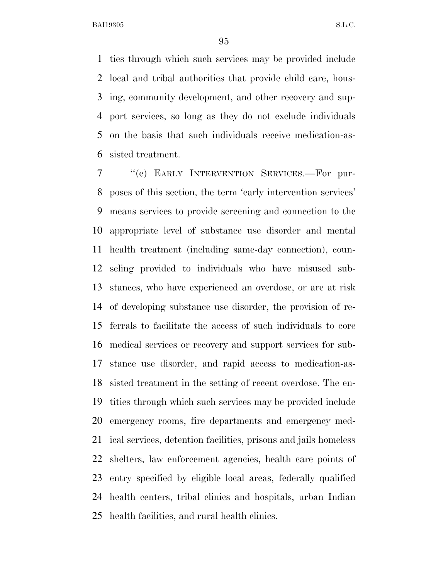ties through which such services may be provided include local and tribal authorities that provide child care, hous- ing, community development, and other recovery and sup- port services, so long as they do not exclude individuals on the basis that such individuals receive medication-as-sisted treatment.

 ''(e) EARLY INTERVENTION SERVICES.—For pur- poses of this section, the term 'early intervention services' means services to provide screening and connection to the appropriate level of substance use disorder and mental health treatment (including same-day connection), coun- seling provided to individuals who have misused sub- stances, who have experienced an overdose, or are at risk of developing substance use disorder, the provision of re- ferrals to facilitate the access of such individuals to core medical services or recovery and support services for sub- stance use disorder, and rapid access to medication-as- sisted treatment in the setting of recent overdose. The en- tities through which such services may be provided include emergency rooms, fire departments and emergency med- ical services, detention facilities, prisons and jails homeless shelters, law enforcement agencies, health care points of entry specified by eligible local areas, federally qualified health centers, tribal clinics and hospitals, urban Indian health facilities, and rural health clinics.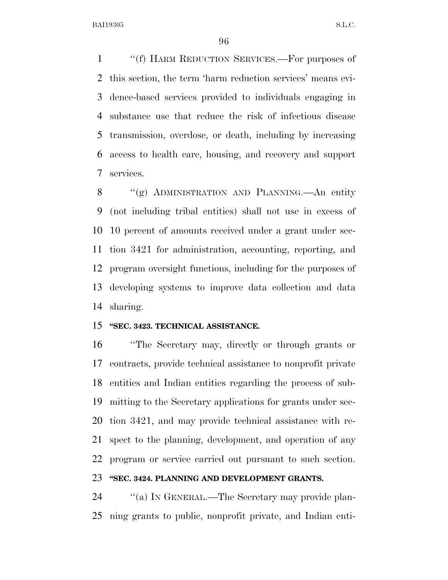''(f) HARM REDUCTION SERVICES.—For purposes of this section, the term 'harm reduction services' means evi- dence-based services provided to individuals engaging in substance use that reduce the risk of infectious disease transmission, overdose, or death, including by increasing access to health care, housing, and recovery and support services.

8 "(g) ADMINISTRATION AND PLANNING.—An entity (not including tribal entities) shall not use in excess of 10 percent of amounts received under a grant under sec- tion 3421 for administration, accounting, reporting, and program oversight functions, including for the purposes of developing systems to improve data collection and data sharing.

#### **''SEC. 3423. TECHNICAL ASSISTANCE.**

 ''The Secretary may, directly or through grants or contracts, provide technical assistance to nonprofit private entities and Indian entities regarding the process of sub- mitting to the Secretary applications for grants under sec- tion 3421, and may provide technical assistance with re- spect to the planning, development, and operation of any program or service carried out pursuant to such section.

## **''SEC. 3424. PLANNING AND DEVELOPMENT GRANTS.**

24 "(a) In GENERAL.—The Secretary may provide plan-ning grants to public, nonprofit private, and Indian enti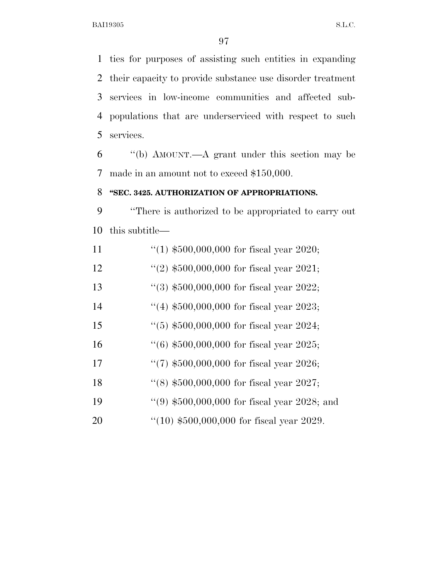ties for purposes of assisting such entities in expanding their capacity to provide substance use disorder treatment services in low-income communities and affected sub- populations that are underserviced with respect to such services.

 ''(b) AMOUNT.—A grant under this section may be made in an amount not to exceed \$150,000.

## **''SEC. 3425. AUTHORIZATION OF APPROPRIATIONS.**

 ''There is authorized to be appropriated to carry out this subtitle—

| 11 | "(1) $$500,000,000$ for fiscal year 2020;       |
|----|-------------------------------------------------|
| 12 | "(2) $$500,000,000$ for fiscal year 2021;       |
| 13 | $\lq(3)$ \$500,000,000 for fiscal year 2022;    |
| 14 | $(4)$ \$500,000,000 for fiscal year 2023;       |
| 15 | $(5)$ \$500,000,000 for fiscal year 2024;       |
| 16 | $(6)$ \$500,000,000 for fiscal year 2025;       |
| 17 | "(7) $$500,000,000$ for fiscal year 2026;       |
| 18 | $\cdot$ (8) \$500,000,000 for fiscal year 2027; |
| 19 | "(9) $$500,000,000$ for fiscal year 2028; and   |
| 20 | $(10)$ \$500,000,000 for fiscal year 2029.      |
|    |                                                 |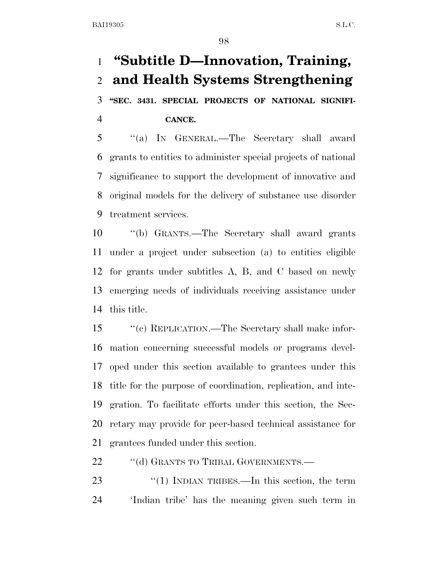# **''Subtitle D—Innovation, Training, and Health Systems Strengthening ''SEC. 3431. SPECIAL PROJECTS OF NATIONAL SIGNIFI-**

**CANCE.** 

 ''(a) IN GENERAL.—The Secretary shall award grants to entities to administer special projects of national significance to support the development of innovative and original models for the delivery of substance use disorder treatment services.

 ''(b) GRANTS.—The Secretary shall award grants under a project under subsection (a) to entities eligible for grants under subtitles A, B, and C based on newly emerging needs of individuals receiving assistance under this title.

 ''(c) REPLICATION.—The Secretary shall make infor- mation concerning successful models or programs devel- oped under this section available to grantees under this title for the purpose of coordination, replication, and inte- gration. To facilitate efforts under this section, the Sec- retary may provide for peer-based technical assistance for grantees funded under this section.

22 ""(d) GRANTS TO TRIBAL GOVERNMENTS.—

23 "(1) INDIAN TRIBES.—In this section, the term 'Indian tribe' has the meaning given such term in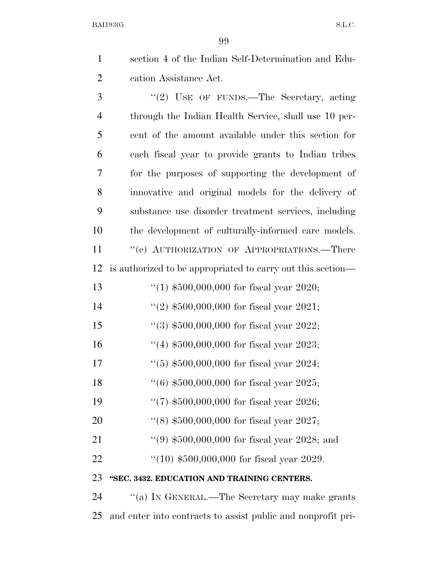- section 4 of the Indian Self-Determination and Edu- cation Assistance Act. 3 "(2) USE OF FUNDS.—The Secretary, acting through the Indian Health Service, shall use 10 per-cent of the amount available under this section for
- each fiscal year to provide grants to Indian tribes for the purposes of supporting the development of innovative and original models for the delivery of substance use disorder treatment services, including the development of culturally-informed care models. 11 " (e) AUTHORIZATION OF APPROPRIATIONS.—There
- is authorized to be appropriated to carry out this section—
- ''(1) \$500,000,000 for fiscal year 2020;
- 14 ''(2)  $$500,000,000$  for fiscal year 2021;
- ''(3) \$500,000,000 for fiscal year 2022;
- ''(4) \$500,000,000 for fiscal year 2023;
- ''(5) \$500,000,000 for fiscal year 2024;
- ''(6) \$500,000,000 for fiscal year 2025;
- ''(7) \$500,000,000 for fiscal year 2026;
- ''(8) \$500,000,000 for fiscal year 2027;
- 21 ''(9) \$500,000,000 for fiscal year 2028; and
- ''(10) \$500,000,000 for fiscal year 2029.

# **''SEC. 3432. EDUCATION AND TRAINING CENTERS.**

24 "(a) In GENERAL.—The Secretary may make grants and enter into contracts to assist public and nonprofit pri-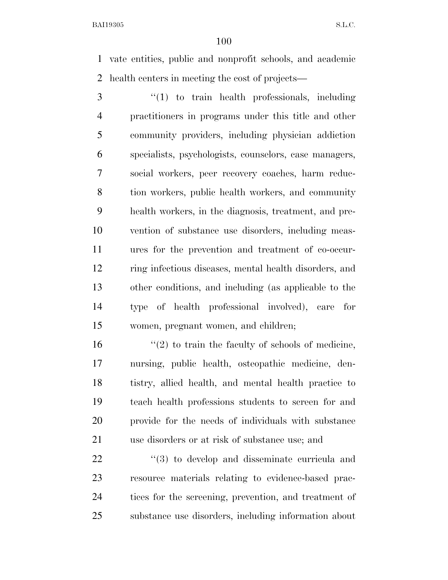vate entities, public and nonprofit schools, and academic health centers in meeting the cost of projects—

 ''(1) to train health professionals, including practitioners in programs under this title and other community providers, including physician addiction specialists, psychologists, counselors, case managers, social workers, peer recovery coaches, harm reduc- tion workers, public health workers, and community health workers, in the diagnosis, treatment, and pre- vention of substance use disorders, including meas- ures for the prevention and treatment of co-occur- ring infectious diseases, mental health disorders, and other conditions, and including (as applicable to the type of health professional involved), care for women, pregnant women, and children;

 $\frac{16}{2}$  to train the faculty of schools of medicine, nursing, public health, osteopathic medicine, den- tistry, allied health, and mental health practice to teach health professions students to screen for and provide for the needs of individuals with substance use disorders or at risk of substance use; and

 $\frac{1}{2}$  (3) to develop and disseminate curricula and resource materials relating to evidence-based prac- tices for the screening, prevention, and treatment of substance use disorders, including information about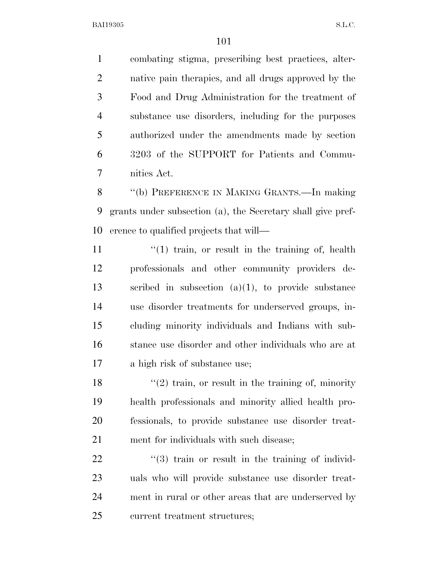combating stigma, prescribing best practices, alter- native pain therapies, and all drugs approved by the Food and Drug Administration for the treatment of substance use disorders, including for the purposes authorized under the amendments made by section 3203 of the SUPPORT for Patients and Commu-nities Act.

 ''(b) PREFERENCE IN MAKING GRANTS.—In making grants under subsection (a), the Secretary shall give pref-erence to qualified projects that will—

11 ''(1) train, or result in the training of, health professionals and other community providers de- scribed in subsection (a)(1), to provide substance use disorder treatments for underserved groups, in- cluding minority individuals and Indians with sub- stance use disorder and other individuals who are at a high risk of substance use;

 $\frac{1}{2}$  train, or result in the training of, minority health professionals and minority allied health pro- fessionals, to provide substance use disorder treat-ment for individuals with such disease;

  $(3)$  train or result in the training of individ- uals who will provide substance use disorder treat- ment in rural or other areas that are underserved by current treatment structures;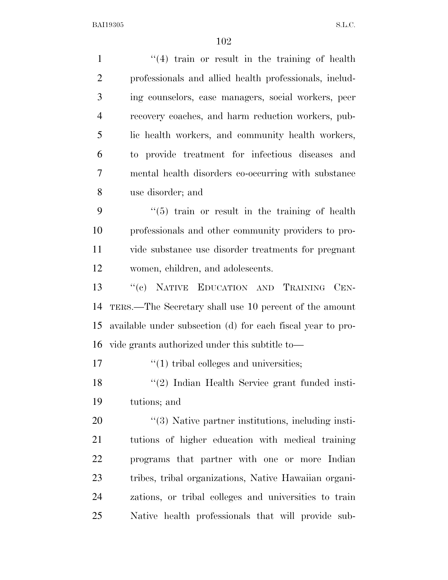| $\mathbf{1}$   | $(4)$ train or result in the training of health             |
|----------------|-------------------------------------------------------------|
| $\overline{2}$ | professionals and allied health professionals, includ-      |
| 3              | ing counselors, case managers, social workers, peer         |
| $\overline{4}$ | recovery coaches, and harm reduction workers, pub-          |
| 5              | lic health workers, and community health workers,           |
| 6              | to provide treatment for infectious diseases and            |
| 7              | mental health disorders co-occurring with substance         |
| 8              | use disorder; and                                           |
| 9              | $\cdot\cdot$ (5) train or result in the training of health  |
| 10             | professionals and other community providers to pro-         |
| 11             | vide substance use disorder treatments for pregnant         |
| 12             | women, children, and adolescents.                           |
| 13             | "(c) NATIVE EDUCATION AND TRAINING CEN-                     |
| 14             | TERS.—The Secretary shall use 10 percent of the amount      |
| 15             | available under subsection (d) for each fiscal year to pro- |
| 16             | vide grants authorized under this subtitle to—              |
| 17             | $\lq(1)$ tribal colleges and universities;                  |
| 18             | "(2) Indian Health Service grant funded insti-              |
| 19             | tutions; and                                                |
| 20             | $\lq(3)$ Native partner institutions, including insti-      |
| 21             | tutions of higher education with medical training           |
| 22             | programs that partner with one or more Indian               |
| 23             | tribes, tribal organizations, Native Hawaiian organi-       |
| 24             | zations, or tribal colleges and universities to train       |
| 25             | Native health professionals that will provide sub-          |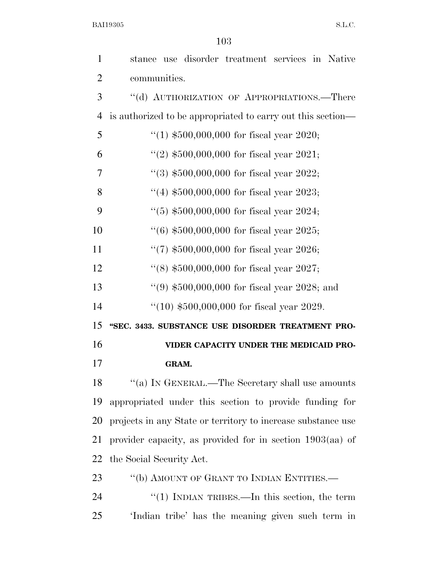| 1              | stance use disorder treatment services in Native             |
|----------------|--------------------------------------------------------------|
| $\overline{2}$ | communities.                                                 |
| 3              | "(d) AUTHORIZATION OF APPROPRIATIONS.—There                  |
| $\overline{4}$ | is authorized to be appropriated to carry out this section—  |
| 5              | "(1) $$500,000,000$ for fiscal year 2020;                    |
| 6              | "(2) $$500,000,000$ for fiscal year 2021;                    |
| 7              | $(3)$ \$500,000,000 for fiscal year 2022;                    |
| 8              | "(4) $$500,000,000$ for fiscal year 2023;                    |
| 9              | $(5)$ \$500,000,000 for fiscal year 2024;                    |
| 10             | $(6)$ \$500,000,000 for fiscal year 2025;                    |
| 11             | "(7) $$500,000,000$ for fiscal year 2026;                    |
| 12             | $(8)$ \$500,000,000 for fiscal year 2027;                    |
| 13             | $(9, 10, 10, 00, 00, 000)$ for fiscal year 2028; and         |
| 14             | $(10)$ \$500,000,000 for fiscal year 2029.                   |
| 15             | "SEC. 3433. SUBSTANCE USE DISORDER TREATMENT PRO-            |
| 16             | VIDER CAPACITY UNDER THE MEDICAID PRO-                       |
| 17             | <b>GRAM.</b>                                                 |
| 18             | $``(a)$ IN GENERAL.—The Secretary shall use amounts          |
| 19             | appropriated under this section to provide funding for       |
| 20             | projects in any State or territory to increase substance use |
| 21             | provider capacity, as provided for in section $1903(aa)$ of  |
| 22             | the Social Security Act.                                     |
| 23             | "(b) AMOUNT OF GRANT TO INDIAN ENTITIES.—                    |
| 24             | "(1) INDIAN TRIBES.—In this section, the term                |
| 25             | 'Indian tribe' has the meaning given such term in            |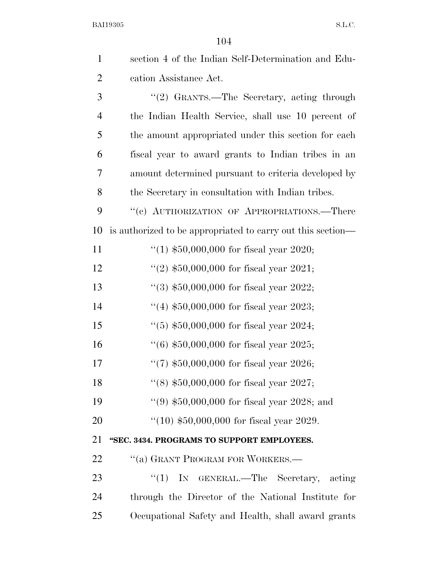| $\mathbf{1}$   | section 4 of the Indian Self-Determination and Edu-         |
|----------------|-------------------------------------------------------------|
| $\overline{2}$ | cation Assistance Act.                                      |
| 3              | "(2) GRANTS.—The Secretary, acting through                  |
| $\overline{4}$ | the Indian Health Service, shall use 10 percent of          |
| 5              | the amount appropriated under this section for each         |
| 6              | fiscal year to award grants to Indian tribes in an          |
| 7              | amount determined pursuant to criteria developed by         |
| 8              | the Secretary in consultation with Indian tribes.           |
| 9              | "(c) AUTHORIZATION OF APPROPRIATIONS.—There                 |
| 10             | is authorized to be appropriated to carry out this section— |
| 11             | "(1) $$50,000,000$ for fiscal year 2020;                    |
| 12             | "(2) $$50,000,000$ for fiscal year 2021;                    |
| 13             | $(3)$ \$50,000,000 for fiscal year 2022;                    |
| 14             | "(4) $$50,000,000$ for fiscal year 2023;                    |
| 15             | $(5)$ \$50,000,000 for fiscal year 2024;                    |
| 16             | $(6)$ \$50,000,000 for fiscal year 2025;                    |
| 17             | "(7) $$50,000,000$ for fiscal year 2026;                    |
| 18             | "(8) $$50,000,000$ for fiscal year 2027;                    |
| 19             | $(9)$ \$50,000,000 for fiscal year 2028; and                |
| 20             | $(10)$ \$50,000,000 for fiscal year 2029.                   |
| 21             | "SEC. 3434. PROGRAMS TO SUPPORT EMPLOYEES.                  |
| 22             | "(a) GRANT PROGRAM FOR WORKERS.—                            |
| 23             | ``(1)<br>IN GENERAL.—The Secretary, acting                  |
| 24             | through the Director of the National Institute for          |
| 25             | Occupational Safety and Health, shall award grants          |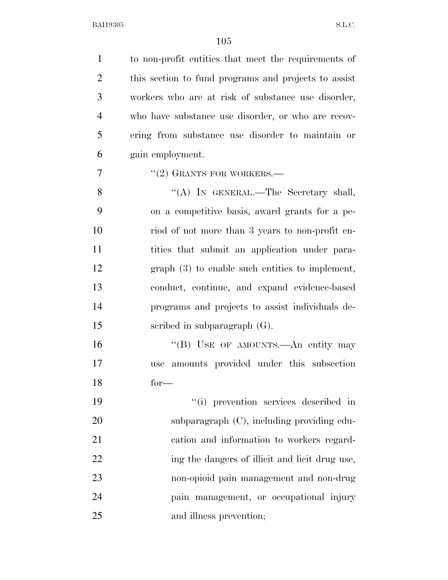| $\mathbf{1}$   | to non-profit entities that meet the requirements of |
|----------------|------------------------------------------------------|
| $\overline{2}$ | this section to fund programs and projects to assist |
| 3              | workers who are at risk of substance use disorder,   |
| $\overline{4}$ | who have substance use disorder, or who are recov-   |
| 5              | ering from substance use disorder to maintain or     |
| 6              | gain employment.                                     |
| $\overline{7}$ | $``(2)$ GRANTS FOR WORKERS.—                         |
| 8              | "(A) IN GENERAL.—The Secretary shall,                |
| 9              | on a competitive basis, award grants for a pe-       |
| 10             | riod of not more than 3 years to non-profit en-      |
| 11             | tities that submit an application under para-        |
| 12             | $graph(3)$ to enable such entities to implement,     |
| 13             | conduct, continue, and expand evidence-based         |
| 14             | programs and projects to assist individuals de-      |
| 15             | scribed in subparagraph $(G)$ .                      |
| 16             | "(B) USE OF AMOUNTS.—An entity may                   |
| 17             | amounts provided under this subsection<br>use        |
| 18             | $for-$                                               |
| 19             | "(i) prevention services described in                |
| 20             | subparagraph (C), including providing edu-           |
| 21             | cation and information to workers regard-            |
| 22             | ing the dangers of illicit and licit drug use,       |
| 23             | non-opioid pain management and non-drug              |
| 24             | pain management, or occupational injury              |
| 25             | and illness prevention;                              |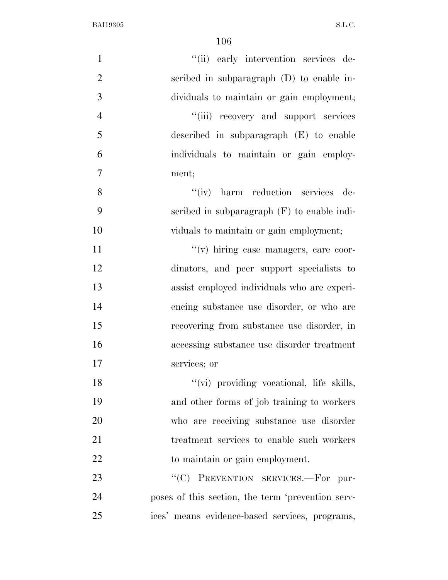| $\mathbf{1}$   | "(ii) early intervention services de-             |
|----------------|---------------------------------------------------|
| $\overline{2}$ | scribed in subparagraph $(D)$ to enable in-       |
| 3              | dividuals to maintain or gain employment;         |
| $\overline{4}$ | "(iii) recovery and support services              |
| 5              | described in subparagraph $(E)$ to enable         |
| 6              | individuals to maintain or gain employ-           |
| $\overline{7}$ | ment;                                             |
| 8              | "(iv) harm reduction services de-                 |
| 9              | scribed in subparagraph $(F)$ to enable indi-     |
| 10             | viduals to maintain or gain employment;           |
| 11             | "(v) hiring case managers, care coor-             |
| 12             | dinators, and peer support specialists to         |
| 13             | assist employed individuals who are experi-       |
| 14             | encing substance use disorder, or who are         |
| 15             | recovering from substance use disorder, in        |
| 16             | accessing substance use disorder treatment        |
| 17             | services; or                                      |
| 18             | "(vi) providing vocational, life skills,          |
| 19             | and other forms of job training to workers        |
| 20             | who are receiving substance use disorder          |
| 21             | treatment services to enable such workers         |
| 22             | to maintain or gain employment.                   |
| 23             | "(C) PREVENTION SERVICES.-For pur-                |
| 24             | poses of this section, the term 'prevention serv- |
| 25             | ices' means evidence-based services, programs,    |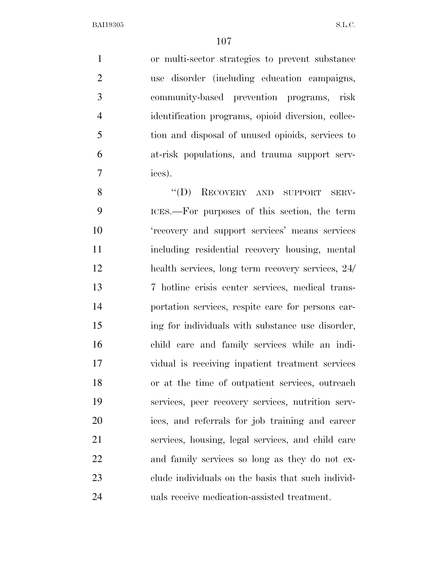or multi-sector strategies to prevent substance use disorder (including education campaigns, community-based prevention programs, risk identification programs, opioid diversion, collec- tion and disposal of unused opioids, services to at-risk populations, and trauma support serv-ices).

8 "(D) RECOVERY AND SUPPORT SERV- ICES.—For purposes of this section, the term 'recovery and support services' means services including residential recovery housing, mental health services, long term recovery services, 24/ 7 hotline crisis center services, medical trans- portation services, respite care for persons car- ing for individuals with substance use disorder, child care and family services while an indi- vidual is receiving inpatient treatment services or at the time of outpatient services, outreach services, peer recovery services, nutrition serv- ices, and referrals for job training and career services, housing, legal services, and child care and family services so long as they do not ex- clude individuals on the basis that such individ-uals receive medication-assisted treatment.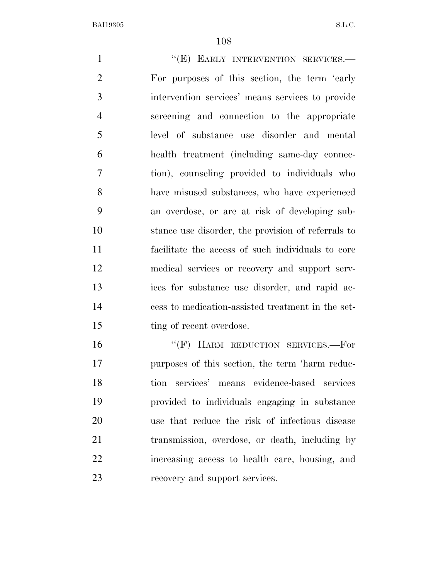1 ""(E) EARLY INTERVENTION SERVICES. For purposes of this section, the term 'early intervention services' means services to provide screening and connection to the appropriate level of substance use disorder and mental health treatment (including same-day connec- tion), counseling provided to individuals who have misused substances, who have experienced an overdose, or are at risk of developing sub- stance use disorder, the provision of referrals to facilitate the access of such individuals to core medical services or recovery and support serv- ices for substance use disorder, and rapid ac- cess to medication-assisted treatment in the set-15 ting of recent overdose. 16 "(F) HARM REDUCTION SERVICES.-For purposes of this section, the term 'harm reduc-

 tion services' means evidence-based services provided to individuals engaging in substance use that reduce the risk of infectious disease transmission, overdose, or death, including by increasing access to health care, housing, and recovery and support services.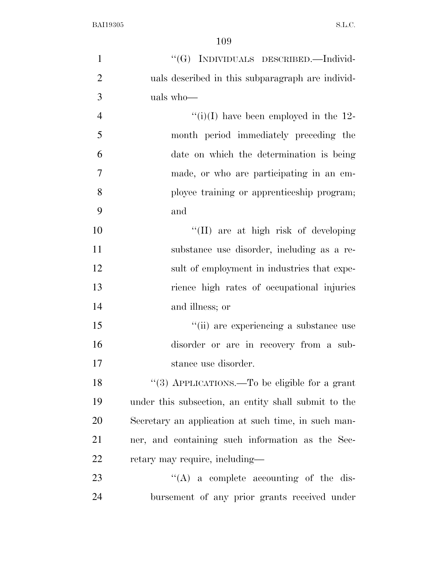| $\mathbf{1}$   | "(G) INDIVIDUALS DESCRIBED.—Individ-                 |
|----------------|------------------------------------------------------|
| $\overline{2}$ | uals described in this subparagraph are individ-     |
| 3              | uals who-                                            |
| $\overline{4}$ | $``(i)(I)$ have been employed in the 12-             |
| 5              | month period immediately preceding the               |
| 6              | date on which the determination is being             |
| $\overline{7}$ | made, or who are participating in an em-             |
| 8              | ployee training or apprenticeship program;           |
| 9              | and                                                  |
| 10             | "(II) are at high risk of developing                 |
| 11             | substance use disorder, including as a re-           |
| 12             | sult of employment in industries that expe-          |
| 13             | rience high rates of occupational injuries           |
| 14             | and illness; or                                      |
| 15             | "(ii) are experiencing a substance use               |
| 16             | disorder or are in recovery from a sub-              |
| 17             | stance use disorder.                                 |
| 18             | "(3) APPLICATIONS.—To be eligible for a grant        |
| 19             | under this subsection, an entity shall submit to the |
| 20             | Secretary an application at such time, in such man-  |
| 21             | ner, and containing such information as the Sec-     |
| 22             | retary may require, including—                       |
| 23             | $\lq\lq$ a complete accounting of the dis-           |
| 24             | bursement of any prior grants received under         |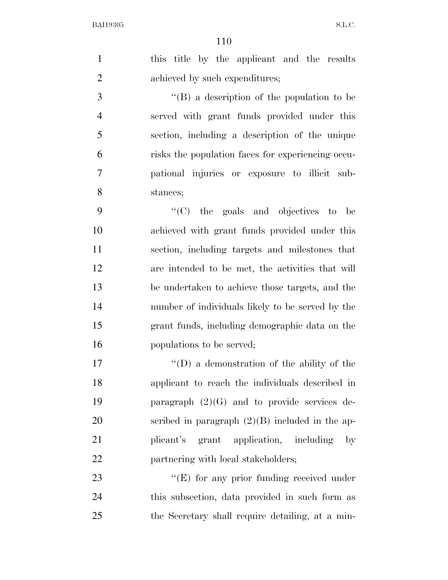| $\mathbf{1}$     | this title by the applicant and the results        |
|------------------|----------------------------------------------------|
| $\overline{2}$   | achieved by such expenditures;                     |
| 3                | "(B) a description of the population to be         |
| $\overline{4}$   | served with grant funds provided under this        |
| 5                | section, including a description of the unique     |
| 6                | risks the population faces for experiencing occu-  |
| $\boldsymbol{7}$ | pational injuries or exposure to illicit sub-      |
| 8                | stances;                                           |
| 9                | $\lq\lq$ (C) the goals and objectives to<br>be     |
| 10               | achieved with grant funds provided under this      |
| 11               | section, including targets and milestones that     |
| 12               | are intended to be met, the activities that will   |
| 13               | be undertaken to achieve those targets, and the    |
| 14               | number of individuals likely to be served by the   |
| 15               | grant funds, including demographic data on the     |
| 16               | populations to be served;                          |
| 17               | $\lq\lq$ (D) a demonstration of the ability of the |
| 18               | applicant to reach the individuals described in    |
| 19               | paragraph $(2)(G)$ and to provide services de-     |
| 20               | scribed in paragraph $(2)(B)$ included in the ap-  |
| 21               | grant application, including<br>plicant's<br>by    |
| 22               | partnering with local stakeholders;                |
| 23               | $\lq\lq(E)$ for any prior funding received under   |
| 24               | this subsection, data provided in such form as     |
| 25               | the Secretary shall require detailing, at a min-   |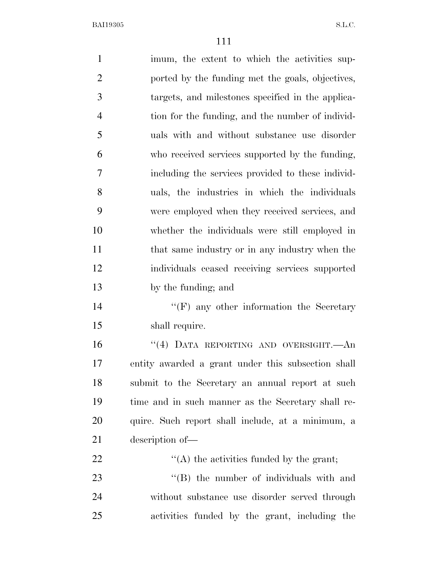imum, the extent to which the activities sup- ported by the funding met the goals, objectives, targets, and milestones specified in the applica- tion for the funding, and the number of individ- uals with and without substance use disorder who received services supported by the funding, including the services provided to these individ- uals, the industries in which the individuals were employed when they received services, and whether the individuals were still employed in 11 that same industry or in any industry when the individuals ceased receiving services supported by the funding; and 14 ''(F) any other information the Secretary shall require. ''(4) DATA REPORTING AND OVERSIGHT.—An entity awarded a grant under this subsection shall submit to the Secretary an annual report at such time and in such manner as the Secretary shall re- quire. Such report shall include, at a minimum, a description of—  $\langle (A) \rangle$  the activities funded by the grant; 23 "'(B) the number of individuals with and without substance use disorder served through activities funded by the grant, including the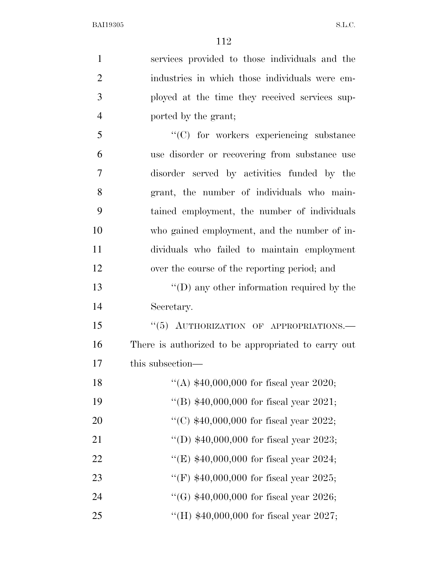| $\mathbf{1}$   | services provided to those individuals and the      |
|----------------|-----------------------------------------------------|
| $\overline{2}$ | industries in which those individuals were em-      |
| 3              | ployed at the time they received services sup-      |
| $\overline{4}$ | ported by the grant;                                |
| 5              | $\lq\lq$ for workers experiencing substance         |
| 6              | use disorder or recovering from substance use       |
| 7              | disorder served by activities funded by the         |
| 8              | grant, the number of individuals who main-          |
| 9              | tained employment, the number of individuals        |
| 10             | who gained employment, and the number of in-        |
| 11             | dividuals who failed to maintain employment         |
| 12             | over the course of the reporting period; and        |
| 13             | $\lq\lq$ (D) any other information required by the  |
| 14             | Secretary.                                          |
| 15             | "(5) AUTHORIZATION OF APPROPRIATIONS.-              |
| 16             | There is authorized to be appropriated to carry out |
| 17             | this subsection-                                    |
| 18             | "(A) $$40,000,000$ for fiscal year 2020;            |
| 19             | "(B) $$40,000,000$ for fiscal year 2021;            |
| 20             | "(C) $$40,000,000$ for fiscal year 2022;            |
| 21             | "(D) $$40,000,000$ for fiscal year 2023;            |
| 22             | "(E) $$40,000,000$ for fiscal year 2024;            |
| 23             | "(F) $$40,000,000$ for fiscal year 2025;            |
| 24             | "(G) $$40,000,000$ for fiscal year 2026;            |
| 25             | "(H) $$40,000,000$ for fiscal year 2027;            |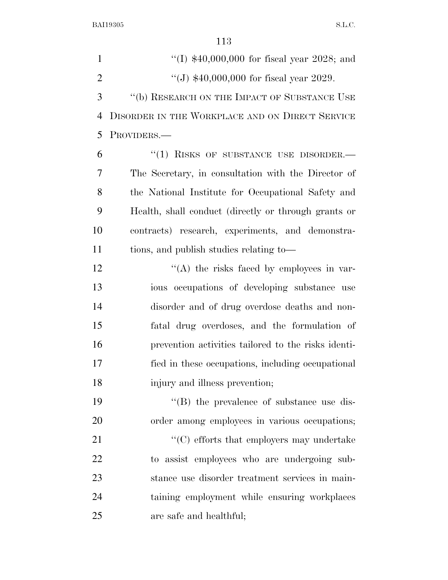1 ''(I) \$40,000,000 for fiscal year 2028; and  $\frac{1}{2}$   $\frac{1}{340,000,000}$  for fiscal year 2029. ''(b) RESEARCH ON THE IMPACT OF SUBSTANCE USE DISORDER IN THE WORKPLACE AND ON DIRECT SERVICE PROVIDERS.— 6 "(1) RISKS OF SUBSTANCE USE DISORDER. The Secretary, in consultation with the Director of the National Institute for Occupational Safety and Health, shall conduct (directly or through grants or contracts) research, experiments, and demonstra- tions, and publish studies relating to—  $\langle (A)$  the risks faced by employees in var- ious occupations of developing substance use disorder and of drug overdose deaths and non- fatal drug overdoses, and the formulation of prevention activities tailored to the risks identi- fied in these occupations, including occupational injury and illness prevention;  $\langle$  (B) the prevalence of substance use dis- order among employees in various occupations; 21 ''(C) efforts that employers may undertake to assist employees who are undergoing sub- stance use disorder treatment services in main- taining employment while ensuring workplaces are safe and healthful;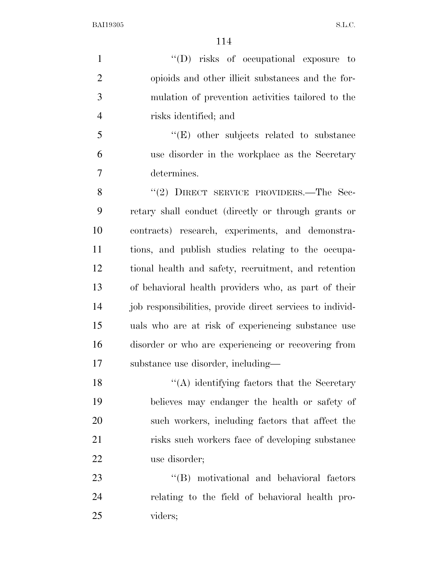$''(D)$  risks of occupational exposure to opioids and other illicit substances and the for- mulation of prevention activities tailored to the risks identified; and

5 ''(E) other subjects related to substance use disorder in the workplace as the Secretary determines.

8 "(2) DIRECT SERVICE PROVIDERS.—The Sec- retary shall conduct (directly or through grants or contracts) research, experiments, and demonstra- tions, and publish studies relating to the occupa- tional health and safety, recruitment, and retention of behavioral health providers who, as part of their 14 job responsibilities, provide direct services to individ- uals who are at risk of experiencing substance use disorder or who are experiencing or recovering from substance use disorder, including—

 $\langle (A)$  identifying factors that the Secretary believes may endanger the health or safety of such workers, including factors that affect the risks such workers face of developing substance use disorder;

23 "'(B) motivational and behavioral factors relating to the field of behavioral health pro-viders;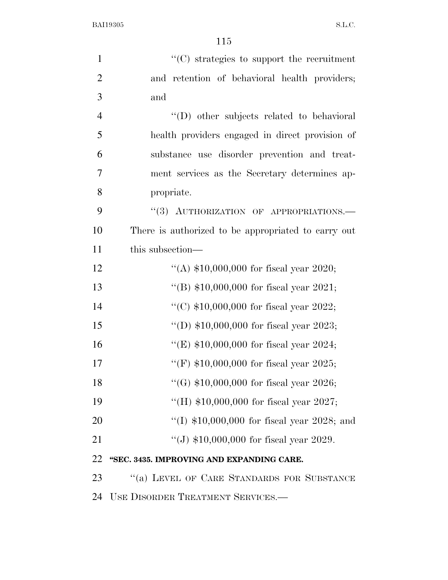| $\mathbf{1}$   | $"$ (C) strategies to support the recruitment       |
|----------------|-----------------------------------------------------|
| $\overline{2}$ | and retention of behavioral health providers;       |
| 3              | and                                                 |
| $\overline{4}$ | "(D) other subjects related to behavioral           |
| 5              | health providers engaged in direct provision of     |
| 6              | substance use disorder prevention and treat-        |
| 7              | ment services as the Secretary determines ap-       |
| 8              | propriate.                                          |
| 9              | "(3) AUTHORIZATION OF APPROPRIATIONS.-              |
| 10             | There is authorized to be appropriated to carry out |
| 11             | this subsection—                                    |
| 12             | "(A) $$10,000,000$ for fiscal year 2020;            |
| 13             | "(B) $$10,000,000$ for fiscal year 2021;            |
| 14             | "(C) $$10,000,000$ for fiscal year 2022;            |
| 15             | "(D) $$10,000,000$ for fiscal year 2023;            |
| 16             | "(E) $$10,000,000$ for fiscal year 2024;            |
| 17             | "(F) $$10,000,000$ for fiscal year 2025;            |
| 18             | "(G) $$10,000,000$ for fiscal year 2026;            |
| 19             | "(H) $$10,000,000$ for fiscal year 2027;            |
| 20             | "(I) $$10,000,000$ for fiscal year 2028; and        |
| 21             | "(J) $$10,000,000$ for fiscal year 2029.            |
| 22             | "SEC. 3435. IMPROVING AND EXPANDING CARE.           |
| 23             | "(a) LEVEL OF CARE STANDARDS FOR SUBSTANCE          |
| 24             | USE DISORDER TREATMENT SERVICES.-                   |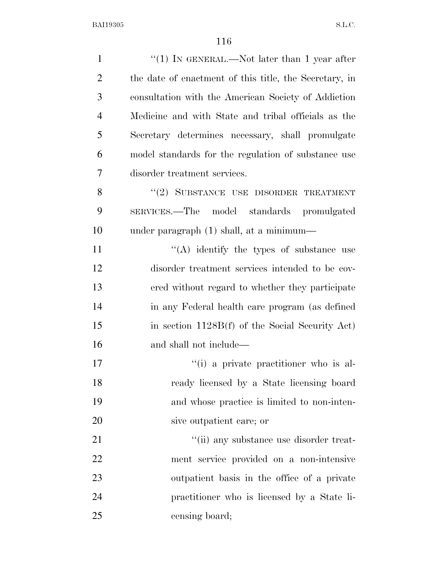| $\mathbf{1}$   | "(1) IN GENERAL.—Not later than 1 year after           |
|----------------|--------------------------------------------------------|
| $\overline{2}$ | the date of enactment of this title, the Secretary, in |
| 3              | consultation with the American Society of Addiction    |
| $\overline{4}$ | Medicine and with State and tribal officials as the    |
| 5              | Secretary determines necessary, shall promulgate       |
| 6              | model standards for the regulation of substance use    |
| 7              | disorder treatment services.                           |
| 8              | "(2) SUBSTANCE USE DISORDER TREATMENT                  |
| 9              | SERVICES.—The model standards promulgated              |
| 10             | under paragraph (1) shall, at a minimum—               |
| 11             | $\lq\lq$ identify the types of substance use           |
| 12             | disorder treatment services intended to be cov-        |
| 13             | ered without regard to whether they participate        |
| 14             | in any Federal health care program (as defined         |
| 15             | in section 1128B(f) of the Social Security Act)        |
| 16             | and shall not include—                                 |
| 17             | "(i) a private practitioner who is al-                 |
| 18             | ready licensed by a State licensing board              |
| 19             | and whose practice is limited to non-inten-            |
| 20             | sive outpatient care; or                               |
| 21             | "(ii) any substance use disorder treat-                |
| 22             | ment service provided on a non-intensive               |
| 23             | outpatient basis in the office of a private            |
| 24             | practitioner who is licensed by a State li-            |
| 25             | censing board;                                         |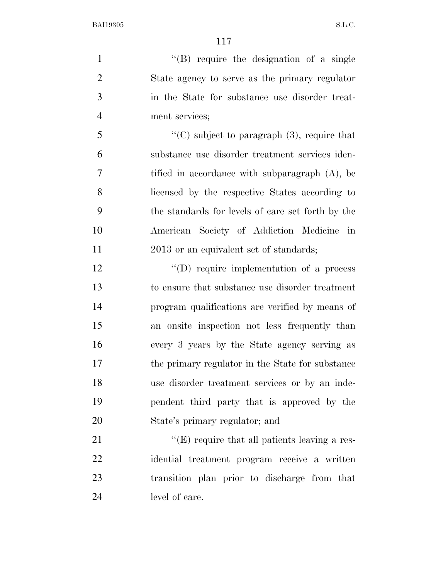1 ''(B) require the designation of a single State agency to serve as the primary regulator in the State for substance use disorder treat-ment services;

 ''(C) subject to paragraph (3), require that substance use disorder treatment services iden- tified in accordance with subparagraph (A), be licensed by the respective States according to the standards for levels of care set forth by the American Society of Addiction Medicine in 11 2013 or an equivalent set of standards;

12 "(D) require implementation of a process to ensure that substance use disorder treatment program qualifications are verified by means of an onsite inspection not less frequently than every 3 years by the State agency serving as the primary regulator in the State for substance use disorder treatment services or by an inde- pendent third party that is approved by the State's primary regulator; and

 $\langle (E)$  require that all patients leaving a res- idential treatment program receive a written transition plan prior to discharge from that level of care.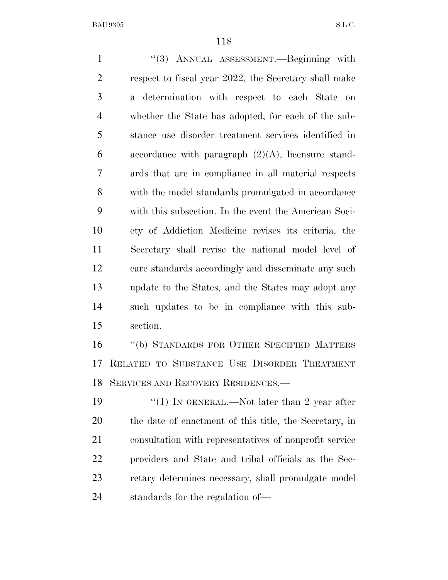1 ''(3) ANNUAL ASSESSMENT.—Beginning with respect to fiscal year 2022, the Secretary shall make a determination with respect to each State on whether the State has adopted, for each of the sub- stance use disorder treatment services identified in 6 accordance with paragraph  $(2)(A)$ , licensure stand- ards that are in compliance in all material respects with the model standards promulgated in accordance with this subsection. In the event the American Soci- ety of Addiction Medicine revises its criteria, the Secretary shall revise the national model level of care standards accordingly and disseminate any such update to the States, and the States may adopt any such updates to be in compliance with this sub- section. ''(b) STANDARDS FOR OTHER SPECIFIED MATTERS RELATED TO SUBSTANCE USE DISORDER TREATMENT SERVICES AND RECOVERY RESIDENCES.—  $\frac{1}{2}$  (1) In GENERAL.—Not later than 2 year after

 the date of enactment of this title, the Secretary, in consultation with representatives of nonprofit service providers and State and tribal officials as the Sec- retary determines necessary, shall promulgate model standards for the regulation of—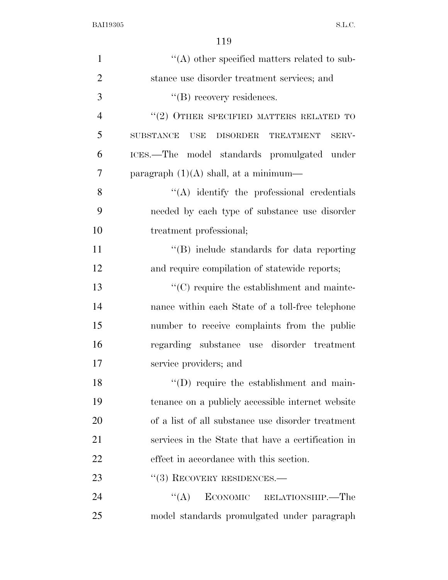| $\mathbf{1}$   | $\lq\lq$ other specified matters related to sub-              |
|----------------|---------------------------------------------------------------|
| $\overline{2}$ | stance use disorder treatment services; and                   |
| 3              | $\lq\lq$ recovery residences.                                 |
| $\overline{4}$ | $\lq(2)$ OTHER SPECIFIED MATTERS RELATED TO                   |
| 5              | <b>SUBSTANCE</b><br><b>USE</b><br>DISORDER TREATMENT<br>SERV- |
| 6              | ICES.—The model standards promulgated under                   |
| 7              | paragraph $(1)(A)$ shall, at a minimum—                       |
| 8              | $\lq\lq$ identify the professional credentials                |
| 9              | needed by each type of substance use disorder                 |
| 10             | treatment professional;                                       |
| 11             | "(B) include standards for data reporting                     |
| 12             | and require compilation of statewide reports;                 |
| 13             | $\lq\lq$ require the establishment and mainte-                |
| 14             | nance within each State of a toll-free telephone              |
| 15             | number to receive complaints from the public                  |
| 16             | regarding substance use disorder treatment                    |
| 17             | service providers; and                                        |
| 18             | $\lq\lq$ require the establishment and main-                  |
| 19             | tenance on a publicly accessible internet website             |
| 20             | of a list of all substance use disorder treatment             |
| 21             | services in the State that have a certification in            |
| 22             | effect in accordance with this section.                       |
| 23             | $``(3)$ RECOVERY RESIDENCES.—                                 |
| 24             | $\lq\lq (A)$<br>ECONOMIC RELATIONSHIP.—The                    |
| 25             | model standards promulgated under paragraph                   |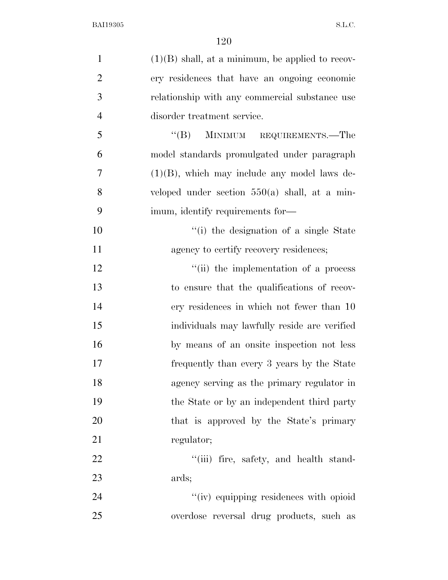| $\mathbf{1}$   | $(1)(B)$ shall, at a minimum, be applied to recov- |
|----------------|----------------------------------------------------|
| $\overline{2}$ | ery residences that have an ongoing economic       |
| 3              | relationship with any commercial substance use     |
| $\overline{4}$ | disorder treatment service.                        |
| 5              | MINIMUM REQUIREMENTS.—The<br>$\lq\lq (B)$          |
| 6              | model standards promulgated under paragraph        |
| $\overline{7}$ | $(1)(B)$ , which may include any model laws de-    |
| 8              | veloped under section $550(a)$ shall, at a min-    |
| 9              | imum, identify requirements for—                   |
| 10             | "(i) the designation of a single State             |
| 11             | agency to certify recovery residences;             |
| 12             | "(ii) the implementation of a process              |
| 13             | to ensure that the qualifications of recov-        |
| 14             | ery residences in which not fewer than 10          |
| 15             | individuals may lawfully reside are verified       |
| 16             | by means of an onsite inspection not less          |
| 17             | frequently than every 3 years by the State         |
| 18             | agency serving as the primary regulator in         |
| 19             | the State or by an independent third party         |
| 20             | that is approved by the State's primary            |
| 21             | regulator;                                         |
| 22             | "(iii) fire, safety, and health stand-             |
| 23             | ards;                                              |
| 24             | "(iv) equipping residences with opioid             |
| 25             | overdose reversal drug products, such as           |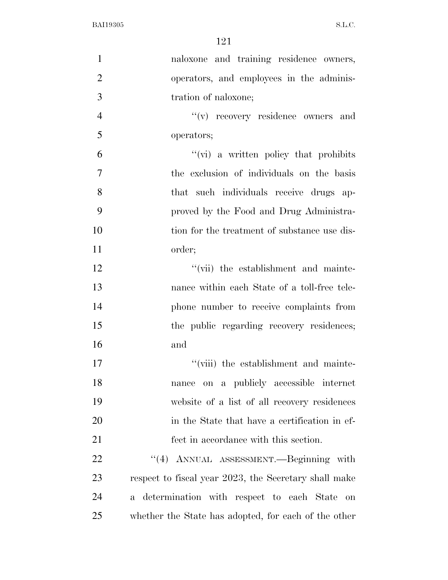| $\mathbf{1}$   | naloxone and training residence owners,               |
|----------------|-------------------------------------------------------|
| $\overline{2}$ | operators, and employees in the adminis-              |
| 3              | tration of naloxone;                                  |
| $\overline{4}$ | "(v) recovery residence owners and                    |
| 5              | operators;                                            |
| 6              | $\lq\lq$ (vi) a written policy that prohibits         |
| $\overline{7}$ | the exclusion of individuals on the basis             |
| 8              | that such individuals receive drugs ap-               |
| 9              | proved by the Food and Drug Administra-               |
| 10             | tion for the treatment of substance use dis-          |
| 11             | order;                                                |
| 12             | "(vii) the establishment and mainte-                  |
| 13             | nance within each State of a toll-free tele-          |
| 14             | phone number to receive complaints from               |
| 15             | the public regarding recovery residences;             |
| 16             | and                                                   |
| 17             | "(viii) the establishment and mainte-                 |
| 18             | nance on a publicly accessible internet               |
| 19             | website of a list of all recovery residences          |
| 20             | in the State that have a certification in ef-         |
| 21             | fect in accordance with this section.                 |
| 22             | "(4) ANNUAL ASSESSMENT.—Beginning with                |
| 23             | respect to fiscal year 2023, the Secretary shall make |
| 24             | a determination with respect to each State<br>on      |
| 25             | whether the State has adopted, for each of the other  |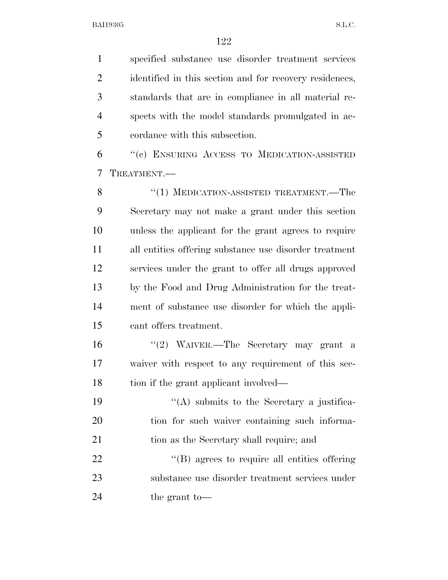specified substance use disorder treatment services 2 identified in this section and for recovery residences, standards that are in compliance in all material re- spects with the model standards promulgated in ac-cordance with this subsection.

 ''(c) ENSURING ACCESS TO MEDICATION-ASSISTED TREATMENT.—

8 "(1) MEDICATION-ASSISTED TREATMENT.—The Secretary may not make a grant under this section unless the applicant for the grant agrees to require all entities offering substance use disorder treatment services under the grant to offer all drugs approved by the Food and Drug Administration for the treat- ment of substance use disorder for which the appli-cant offers treatment.

 ''(2) WAIVER.—The Secretary may grant a waiver with respect to any requirement of this sec-18 tion if the grant applicant involved—

19  $\langle (A)$  submits to the Secretary a justifica- tion for such waiver containing such informa-tion as the Secretary shall require; and

22  $\langle (B)$  agrees to require all entities offering substance use disorder treatment services under the grant to—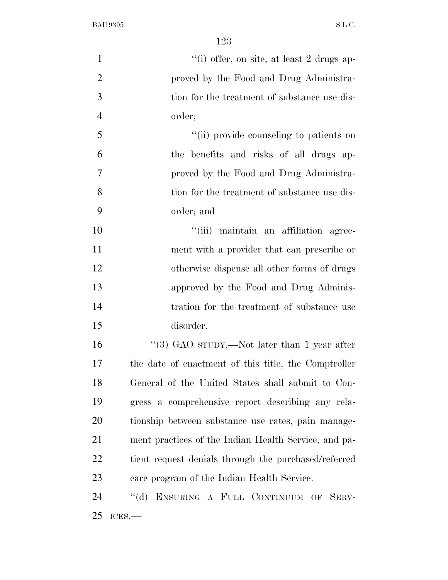| $\mathbf{1}$   | "(i) offer, on site, at least 2 drugs ap-            |
|----------------|------------------------------------------------------|
| $\overline{2}$ | proved by the Food and Drug Administra-              |
| 3              | tion for the treatment of substance use dis-         |
| $\overline{4}$ | order;                                               |
| 5              | "(ii) provide counseling to patients on              |
| 6              | the benefits and risks of all drugs ap-              |
| 7              | proved by the Food and Drug Administra-              |
| 8              | tion for the treatment of substance use dis-         |
| 9              | order; and                                           |
| 10             | "(iii) maintain an affiliation agree-                |
| 11             | ment with a provider that can prescribe or           |
| 12             | otherwise dispense all other forms of drugs          |
| 13             | approved by the Food and Drug Adminis-               |
| 14             | tration for the treatment of substance use           |
| 15             | disorder.                                            |
| 16             | "(3) GAO sTUDY.—Not later than 1 year after          |
| 17             | the date of enactment of this title, the Comptroller |
| 18             | General of the United States shall submit to Con-    |
| 19             | gress a comprehensive report describing any rela-    |
| 20             | tionship between substance use rates, pain manage-   |
| 21             | ment practices of the Indian Health Service, and pa- |
| 22             | tient request denials through the purchased/referred |
| 23             | care program of the Indian Health Service.           |
| 24             | "(d) ENSURING A FULL CONTINUUM OF SERV-              |
| 25             | ICES.                                                |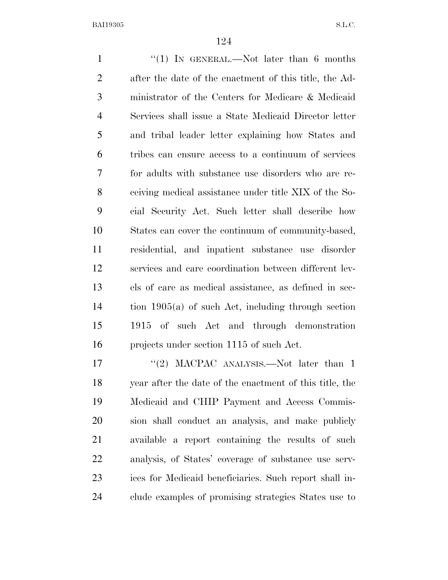1 ''(1) IN GENERAL.—Not later than 6 months after the date of the enactment of this title, the Ad- ministrator of the Centers for Medicare & Medicaid Services shall issue a State Medicaid Director letter and tribal leader letter explaining how States and tribes can ensure access to a continuum of services for adults with substance use disorders who are re- ceiving medical assistance under title XIX of the So- cial Security Act. Such letter shall describe how States can cover the continuum of community-based, residential, and inpatient substance use disorder services and care coordination between different lev- els of care as medical assistance, as defined in sec- tion 1905(a) of such Act, including through section 1915 of such Act and through demonstration projects under section 1115 of such Act.

17 "(2) MACPAC ANALYSIS.—Not later than 1 year after the date of the enactment of this title, the Medicaid and CHIP Payment and Access Commis- sion shall conduct an analysis, and make publicly available a report containing the results of such analysis, of States' coverage of substance use serv- ices for Medicaid beneficiaries. Such report shall in-clude examples of promising strategies States use to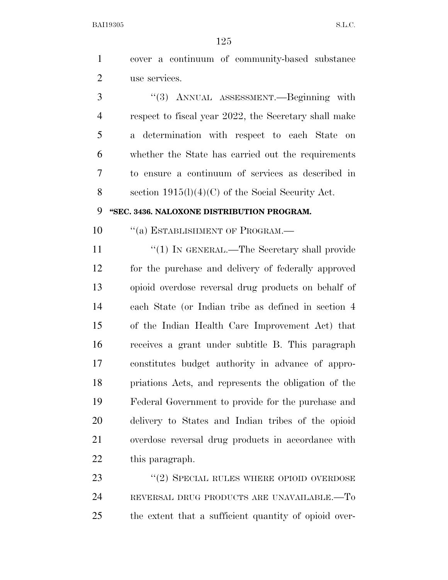cover a continuum of community-based substance use services.

 ''(3) ANNUAL ASSESSMENT.—Beginning with respect to fiscal year 2022, the Secretary shall make a determination with respect to each State on whether the State has carried out the requirements to ensure a continuum of services as described in section 1915(l)(4)(C) of the Social Security Act.

## **''SEC. 3436. NALOXONE DISTRIBUTION PROGRAM.**

10 "(a) ESTABLISHMENT OF PROGRAM.—

11 ''(1) IN GENERAL.—The Secretary shall provide for the purchase and delivery of federally approved opioid overdose reversal drug products on behalf of each State (or Indian tribe as defined in section 4 of the Indian Health Care Improvement Act) that receives a grant under subtitle B. This paragraph constitutes budget authority in advance of appro- priations Acts, and represents the obligation of the Federal Government to provide for the purchase and delivery to States and Indian tribes of the opioid overdose reversal drug products in accordance with this paragraph.

23 "(2) SPECIAL RULES WHERE OPIOID OVERDOSE REVERSAL DRUG PRODUCTS ARE UNAVAILABLE.—To the extent that a sufficient quantity of opioid over-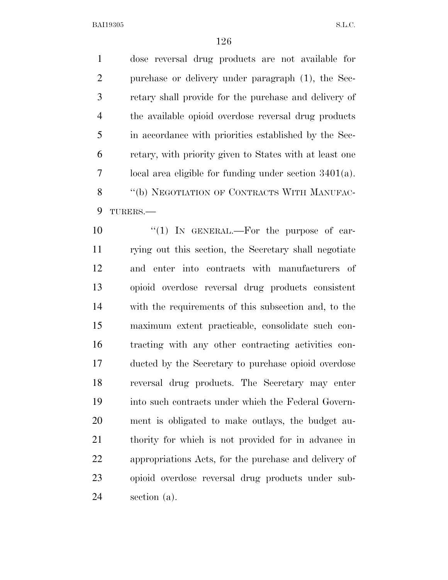dose reversal drug products are not available for purchase or delivery under paragraph (1), the Sec- retary shall provide for the purchase and delivery of the available opioid overdose reversal drug products in accordance with priorities established by the Sec- retary, with priority given to States with at least one local area eligible for funding under section 3401(a). 8 "(b) NEGOTIATION OF CONTRACTS WITH MANUFAC-TURERS.—

 $\frac{10}{10}$  In GENERAL.—For the purpose of car- rying out this section, the Secretary shall negotiate and enter into contracts with manufacturers of opioid overdose reversal drug products consistent with the requirements of this subsection and, to the maximum extent practicable, consolidate such con- tracting with any other contracting activities con- ducted by the Secretary to purchase opioid overdose reversal drug products. The Secretary may enter into such contracts under which the Federal Govern- ment is obligated to make outlays, the budget au- thority for which is not provided for in advance in appropriations Acts, for the purchase and delivery of opioid overdose reversal drug products under sub-section (a).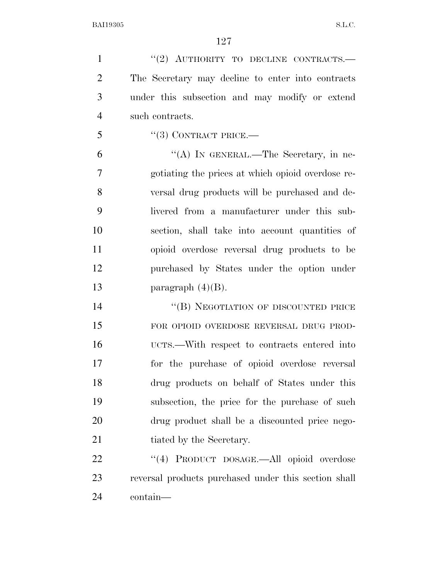1 "(2) AUTHORITY TO DECLINE CONTRACTS.— The Secretary may decline to enter into contracts under this subsection and may modify or extend such contracts.

"(3) CONTRACT PRICE.—

 "(A) In GENERAL.—The Secretary, in ne- gotiating the prices at which opioid overdose re- versal drug products will be purchased and de- livered from a manufacturer under this sub- section, shall take into account quantities of opioid overdose reversal drug products to be purchased by States under the option under 13 paragraph  $(4)(B)$ .

14 "(B) NEGOTIATION OF DISCOUNTED PRICE FOR OPIOID OVERDOSE REVERSAL DRUG PROD- UCTS.—With respect to contracts entered into for the purchase of opioid overdose reversal drug products on behalf of States under this subsection, the price for the purchase of such drug product shall be a discounted price nego-21 tiated by the Secretary.

22 "(4) PRODUCT DOSAGE.—All opioid overdose reversal products purchased under this section shall contain—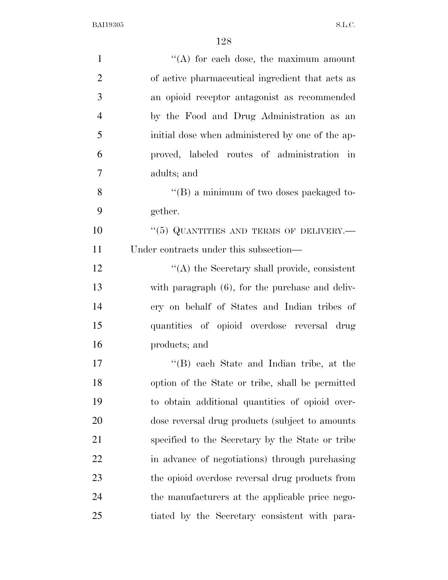| $\mathbf{1}$   | $\lq\lq$ for each dose, the maximum amount       |
|----------------|--------------------------------------------------|
| $\overline{2}$ | of active pharmaceutical ingredient that acts as |
| 3              | an opioid receptor antagonist as recommended     |
| $\overline{4}$ | by the Food and Drug Administration as an        |
| 5              | initial dose when administered by one of the ap- |
| 6              | proved, labeled routes of administration in      |
| $\overline{7}$ | adults; and                                      |
| 8              | $\lq\lq (B)$ a minimum of two doses packaged to- |
| 9              | gether.                                          |
| 10             | "(5) QUANTITIES AND TERMS OF DELIVERY.—          |
| 11             | Under contracts under this subsection—           |
| 12             | "(A) the Secretary shall provide, consistent     |
| 13             | with paragraph (6), for the purchase and deliv-  |
| 14             | ery on behalf of States and Indian tribes of     |
| 15             | quantities of opioid overdose reversal drug      |
| 16             | products; and                                    |
| 17             | "(B) each State and Indian tribe, at the         |
| 18             | option of the State or tribe, shall be permitted |
| 19             | to obtain additional quantities of opioid over-  |
| 20             | dose reversal drug products (subject to amounts  |
| 21             | specified to the Secretary by the State or tribe |
| 22             | in advance of negotiations) through purchasing   |
| 23             | the opioid overdose reversal drug products from  |
| 24             | the manufacturers at the applicable price nego-  |
| 25             | tiated by the Secretary consistent with para-    |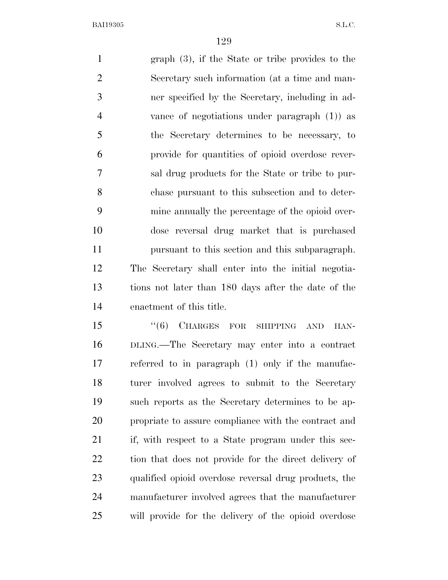graph (3), if the State or tribe provides to the Secretary such information (at a time and man- ner specified by the Secretary, including in ad- vance of negotiations under paragraph (1)) as the Secretary determines to be necessary, to provide for quantities of opioid overdose rever- sal drug products for the State or tribe to pur- chase pursuant to this subsection and to deter- mine annually the percentage of the opioid over- dose reversal drug market that is purchased pursuant to this section and this subparagraph. The Secretary shall enter into the initial negotia- tions not later than 180 days after the date of the enactment of this title. 15 "(6) CHARGES FOR SHIPPING AND HAN-

 DLING.—The Secretary may enter into a contract referred to in paragraph (1) only if the manufac- turer involved agrees to submit to the Secretary such reports as the Secretary determines to be ap- propriate to assure compliance with the contract and if, with respect to a State program under this sec- tion that does not provide for the direct delivery of qualified opioid overdose reversal drug products, the manufacturer involved agrees that the manufacturer will provide for the delivery of the opioid overdose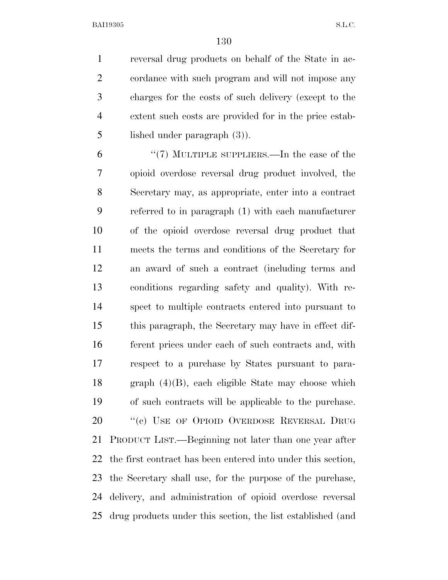reversal drug products on behalf of the State in ac- cordance with such program and will not impose any charges for the costs of such delivery (except to the extent such costs are provided for in the price estab-lished under paragraph (3)).

 ''(7) MULTIPLE SUPPLIERS.—In the case of the opioid overdose reversal drug product involved, the Secretary may, as appropriate, enter into a contract referred to in paragraph (1) with each manufacturer of the opioid overdose reversal drug product that meets the terms and conditions of the Secretary for an award of such a contract (including terms and conditions regarding safety and quality). With re- spect to multiple contracts entered into pursuant to this paragraph, the Secretary may have in effect dif- ferent prices under each of such contracts and, with respect to a purchase by States pursuant to para- graph (4)(B), each eligible State may choose which of such contracts will be applicable to the purchase. 20 "(c) USE OF OPIOID OVERDOSE REVERSAL DRUG PRODUCT LIST.—Beginning not later than one year after the first contract has been entered into under this section, the Secretary shall use, for the purpose of the purchase, delivery, and administration of opioid overdose reversal drug products under this section, the list established (and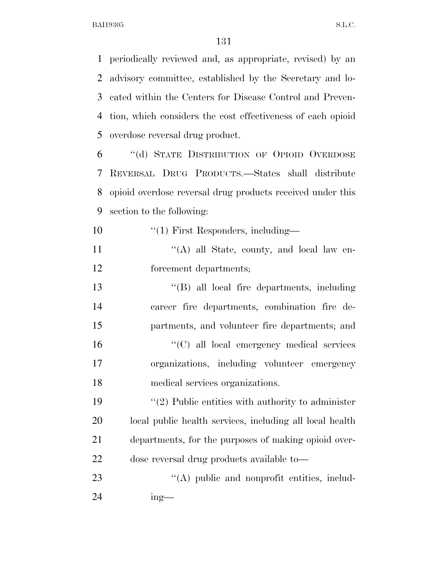periodically reviewed and, as appropriate, revised) by an advisory committee, established by the Secretary and lo- cated within the Centers for Disease Control and Preven- tion, which considers the cost effectiveness of each opioid overdose reversal drug product.

 ''(d) STATE DISTRIBUTION OF OPIOID OVERDOSE REVERSAL DRUG PRODUCTS.—States shall distribute opioid overdose reversal drug products received under this section to the following:

10  $\frac{10}{10}$  First Responders, including—

11 ''(A) all State, county, and local law en-forcement departments;

 ''(B) all local fire departments, including career fire departments, combination fire de- partments, and volunteer fire departments; and ''(C) all local emergency medical services organizations, including volunteer emergency medical services organizations.

 $\frac{1}{2}$  Public entities with authority to administer local public health services, including all local health departments, for the purposes of making opioid over-dose reversal drug products available to—

23 "(A) public and nonprofit entities, includ-ing—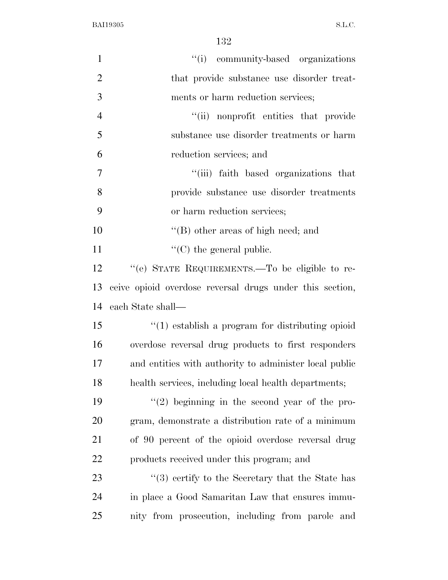| $\mathbf{1}$   | "(i) community-based organizations                       |
|----------------|----------------------------------------------------------|
| $\mathbf{2}$   | that provide substance use disorder treat-               |
| 3              | ments or harm reduction services;                        |
| $\overline{4}$ | "(ii) nonprofit entities that provide                    |
| 5              | substance use disorder treatments or harm                |
| 6              | reduction services; and                                  |
| 7              | "(iii) faith based organizations that                    |
| 8              | provide substance use disorder treatments                |
| 9              | or harm reduction services;                              |
| 10             | "(B) other areas of high need; and                       |
| 11             | $\lq\lq$ (C) the general public.                         |
| 12             | "(e) STATE REQUIREMENTS.—To be eligible to re-           |
| 13             | ceive opioid overdose reversal drugs under this section, |
| 14             | each State shall—                                        |
| 15             | $"(1)$ establish a program for distributing opioid       |
| 16             | overdose reversal drug products to first responders      |
| 17             | and entities with authority to administer local public   |
| 18             | health services, including local health departments;     |
| 19             | $f'(2)$ beginning in the second year of the pro-         |
| 20             | gram, demonstrate a distribution rate of a minimum       |
| 21             | of 90 percent of the opioid overdose reversal drug       |
| 22             | products received under this program; and                |
| 23             | $\cdot$ (3) certify to the Secretary that the State has  |
| 24             | in place a Good Samaritan Law that ensures immu-         |
| 25             | nity from prosecution, including from parole and         |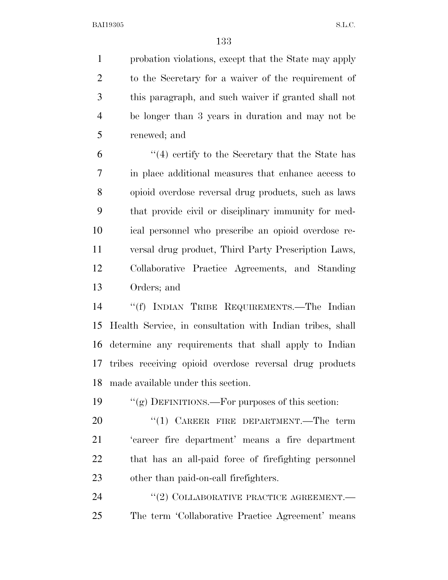probation violations, except that the State may apply to the Secretary for a waiver of the requirement of this paragraph, and such waiver if granted shall not be longer than 3 years in duration and may not be renewed; and

 ''(4) certify to the Secretary that the State has in place additional measures that enhance access to opioid overdose reversal drug products, such as laws that provide civil or disciplinary immunity for med- ical personnel who prescribe an opioid overdose re- versal drug product, Third Party Prescription Laws, Collaborative Practice Agreements, and Standing Orders; and

 ''(f) INDIAN TRIBE REQUIREMENTS.—The Indian Health Service, in consultation with Indian tribes, shall determine any requirements that shall apply to Indian tribes receiving opioid overdose reversal drug products made available under this section.

''(g) DEFINITIONS.—For purposes of this section:

20 "(1) CAREER FIRE DEPARTMENT.—The term 'career fire department' means a fire department that has an all-paid force of firefighting personnel other than paid-on-call firefighters.

24 "(2) COLLABORATIVE PRACTICE AGREEMENT.— The term 'Collaborative Practice Agreement' means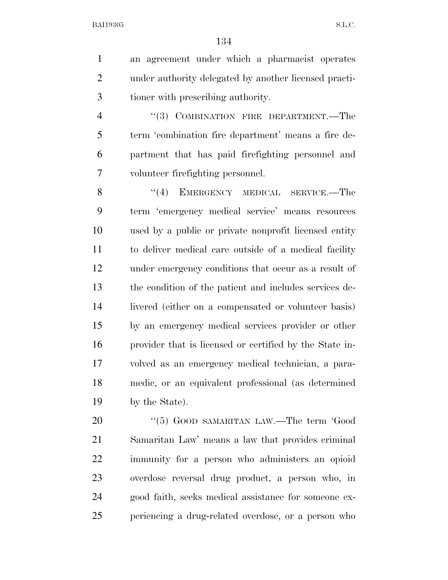an agreement under which a pharmacist operates under authority delegated by another licensed practi-tioner with prescribing authority.

4 "(3) COMBINATION FIRE DEPARTMENT.—The term 'combination fire department' means a fire de- partment that has paid firefighting personnel and volunteer firefighting personnel.

8 "(4) EMERGENCY MEDICAL SERVICE.—The term 'emergency medical service' means resources used by a public or private nonprofit licensed entity to deliver medical care outside of a medical facility under emergency conditions that occur as a result of the condition of the patient and includes services de- livered (either on a compensated or volunteer basis) by an emergency medical services provider or other provider that is licensed or certified by the State in- volved as an emergency medical technician, a para- medic, or an equivalent professional (as determined by the State).

20 "(5) GOOD SAMARITAN LAW.—The term 'Good Samaritan Law' means a law that provides criminal immunity for a person who administers an opioid overdose reversal drug product, a person who, in good faith, seeks medical assistance for someone ex-periencing a drug-related overdose, or a person who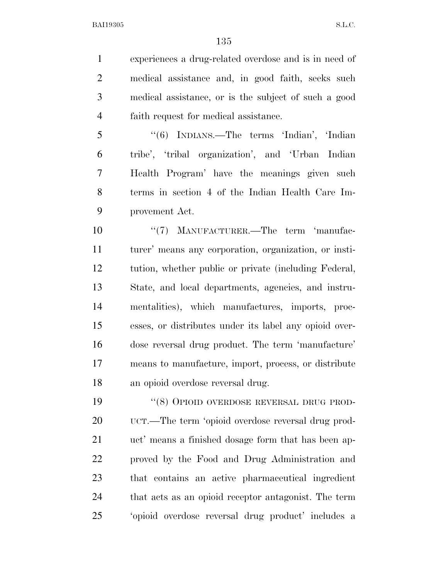experiences a drug-related overdose and is in need of medical assistance and, in good faith, seeks such medical assistance, or is the subject of such a good faith request for medical assistance.

 ''(6) INDIANS.—The terms 'Indian', 'Indian tribe', 'tribal organization', and 'Urban Indian Health Program' have the meanings given such terms in section 4 of the Indian Health Care Im-provement Act.

10 "'(7) MANUFACTURER.—The term 'manufac- turer' means any corporation, organization, or insti- tution, whether public or private (including Federal, State, and local departments, agencies, and instru- mentalities), which manufactures, imports, proc- esses, or distributes under its label any opioid over- dose reversal drug product. The term 'manufacture' means to manufacture, import, process, or distribute an opioid overdose reversal drug.

19 "(8) OPIOID OVERDOSE REVERSAL DRUG PROD- UCT.—The term 'opioid overdose reversal drug prod- uct' means a finished dosage form that has been ap- proved by the Food and Drug Administration and that contains an active pharmaceutical ingredient that acts as an opioid receptor antagonist. The term 'opioid overdose reversal drug product' includes a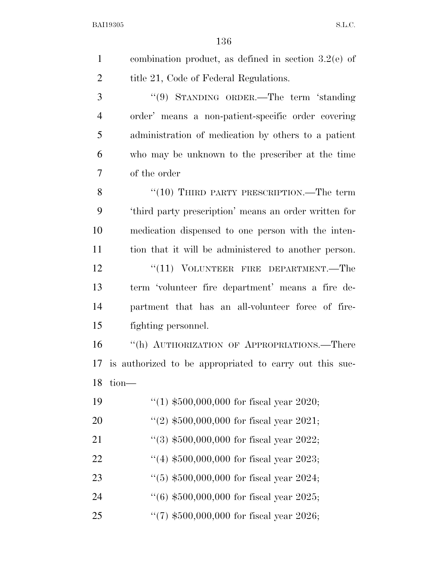| $\mathbf{1}$   | combination product, as defined in section $3.2(e)$ of  |
|----------------|---------------------------------------------------------|
| $\overline{2}$ | title 21, Code of Federal Regulations.                  |
| 3              | "(9) STANDING ORDER.—The term 'standing                 |
| $\overline{4}$ | order' means a non-patient-specific order covering      |
| 5              | administration of medication by others to a patient     |
| 6              | who may be unknown to the prescriber at the time        |
| 7              | of the order                                            |
| 8              | " $(10)$ THIRD PARTY PRESCRIPTION.—The term             |
| 9              | 'third party prescription' means an order written for   |
| 10             | medication dispensed to one person with the inten-      |
| 11             | tion that it will be administered to another person.    |
| 12             | $``(11)$ VOLUNTEER FIRE DEPARTMENT.—The                 |
| 13             | term 'volunteer fire department' means a fire de-       |
| 14             | partment that has an all-volunteer force of fire-       |
| 15             | fighting personnel.                                     |
| 16             | "(h) AUTHORIZATION OF APPROPRIATIONS.—There             |
| 17             | is authorized to be appropriated to carry out this suc- |
| 18             | tion-                                                   |
| 19             | $(1)$ \$500,000,000 for fiscal year 2020;               |
| 20             | "(2) $$500,000,000$ for fiscal year 2021;               |
| 21             | $(3)$ \$500,000,000 for fiscal year 2022;               |
| 22             | $(4)$ \$500,000,000 for fiscal year 2023;               |
| 23             | $(5)$ \$500,000,000 for fiscal year 2024;               |
| 24             | $(6)$ \$500,000,000 for fiscal year 2025;               |
| 25             | "(7) $$500,000,000$ for fiscal year 2026;               |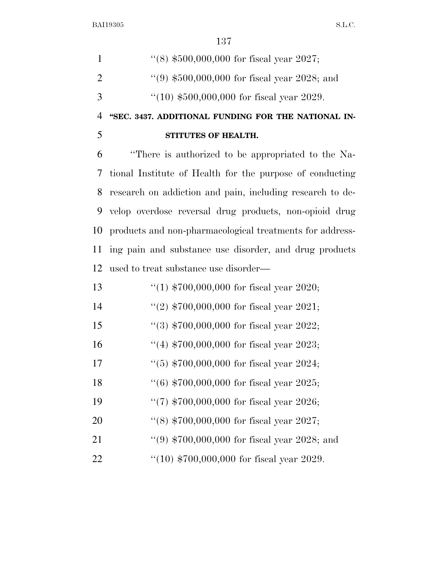|               | $\cdot$ (8) \$500,000,000 for fiscal year 2027;    |
|---------------|----------------------------------------------------|
| $\mathcal{D}$ | $(9)$ \$500,000,000 for fiscal year 2028; and      |
| $\mathcal{R}$ | $\degree$ (10) \$500,000,000 for fiscal year 2029. |

**''SEC. 3437. ADDITIONAL FUNDING FOR THE NATIONAL IN-**

## **STITUTES OF HEALTH.**

 ''There is authorized to be appropriated to the Na- tional Institute of Health for the purpose of conducting research on addiction and pain, including research to de- velop overdose reversal drug products, non-opioid drug products and non-pharmacological treatments for address- ing pain and substance use disorder, and drug products used to treat substance use disorder—

| 13 | "(1) $$700,000,000$ for fiscal year 2020;     |
|----|-----------------------------------------------|
| 14 | "(2) $$700,000,000$ for fiscal year 2021;     |
| 15 | "(3) $$700,000,000$ for fiscal year 2022;     |
| 16 | "(4) $$700,000,000$ for fiscal year 2023;     |
| 17 | $(5)$ \$700,000,000 for fiscal year 2024;     |
| 18 | $(6)$ \$700,000,000 for fiscal year 2025;     |
| 19 | "(7) $$700,000,000$ for fiscal year 2026;     |
| 20 | "(8) $$700,000,000$ for fiscal year 2027;     |
| 21 | "(9) $$700,000,000$ for fiscal year 2028; and |
| 22 | " $(10)$ \$700,000,000 for fiscal year 2029.  |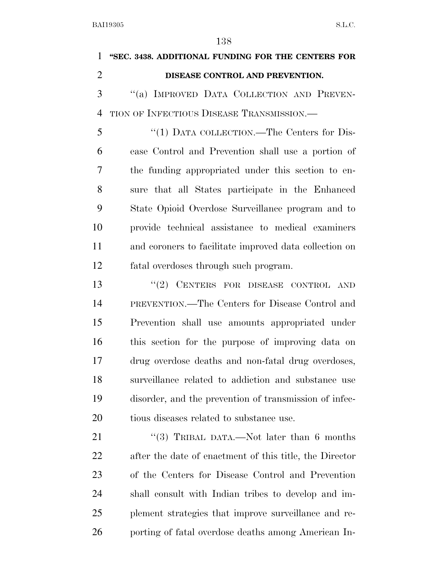|                | 138                                                    |
|----------------|--------------------------------------------------------|
| $\mathbf{1}$   | "SEC. 3438. ADDITIONAL FUNDING FOR THE CENTERS FOR     |
| $\overline{2}$ | DISEASE CONTROL AND PREVENTION.                        |
| 3              | "(a) IMPROVED DATA COLLECTION AND PREVEN-              |
| $\overline{4}$ | TION OF INFECTIOUS DISEASE TRANSMISSION.—              |
| 5              | "(1) DATA COLLECTION.—The Centers for Dis-             |
| 6              | ease Control and Prevention shall use a portion of     |
| 7              | the funding appropriated under this section to en-     |
| 8              | sure that all States participate in the Enhanced       |
| 9              | State Opioid Overdose Surveillance program and to      |
| 10             | provide technical assistance to medical examiners      |
| 11             | and coroners to facilitate improved data collection on |
| 12             | fatal overdoses through such program.                  |
| 13             | "(2) CENTERS FOR DISEASE CONTROL AND                   |
| 14             | PREVENTION.—The Centers for Disease Control and        |
| 15             | Prevention shall use amounts appropriated under        |
| 16             | this section for the purpose of improving data on      |
| 17             | drug overdose deaths and non-fatal drug overdoses,     |
| 18             | surveillance related to addiction and substance use    |
| 19             | disorder, and the prevention of transmission of infec- |
| 20             | tious diseases related to substance use.               |
| 21             | "(3) TRIBAL DATA —Not later than 6 months              |

 ''(3) TRIBAL DATA.—Not later than 6 months after the date of enactment of this title, the Director of the Centers for Disease Control and Prevention shall consult with Indian tribes to develop and im- plement strategies that improve surveillance and re-porting of fatal overdose deaths among American In-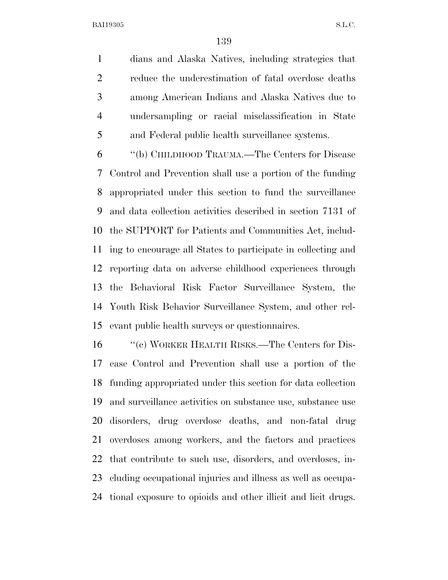dians and Alaska Natives, including strategies that reduce the underestimation of fatal overdose deaths among American Indians and Alaska Natives due to undersampling or racial misclassification in State and Federal public health surveillance systems.

 ''(b) CHILDHOOD TRAUMA.—The Centers for Disease Control and Prevention shall use a portion of the funding appropriated under this section to fund the surveillance and data collection activities described in section 7131 of the SUPPORT for Patients and Communities Act, includ- ing to encourage all States to participate in collecting and reporting data on adverse childhood experiences through the Behavioral Risk Factor Surveillance System, the Youth Risk Behavior Surveillance System, and other rel-evant public health surveys or questionnaires.

16 "(c) WORKER HEALTH RISKS.—The Centers for Dis- ease Control and Prevention shall use a portion of the funding appropriated under this section for data collection and surveillance activities on substance use, substance use disorders, drug overdose deaths, and non-fatal drug overdoses among workers, and the factors and practices that contribute to such use, disorders, and overdoses, in- cluding occupational injuries and illness as well as occupa-tional exposure to opioids and other illicit and licit drugs.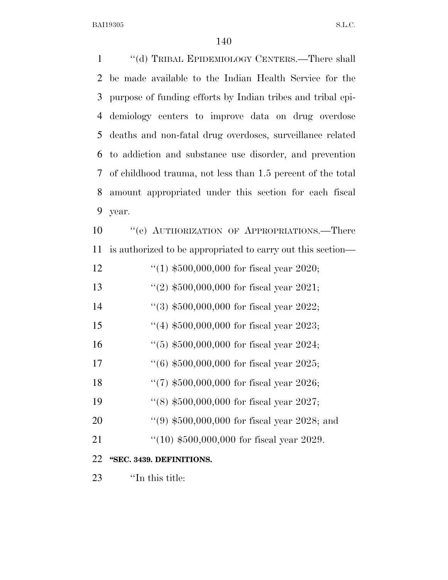| $\mathbf{1}$ | "(d) TRIBAL EPIDEMIOLOGY CENTERS.—There shall               |
|--------------|-------------------------------------------------------------|
| 2            | be made available to the Indian Health Service for the      |
| 3            | purpose of funding efforts by Indian tribes and tribal epi- |
| 4            | demiology centers to improve data on drug overdose          |
| 5            | deaths and non-fatal drug overdoses, surveillance related   |
| 6            | to addiction and substance use disorder, and prevention     |
| 7            | of childhood trauma, not less than 1.5 percent of the total |
| 8            | amount appropriated under this section for each fiscal      |
| 9            | year.                                                       |
| 10           | "(e) AUTHORIZATION OF APPROPRIATIONS.—There                 |
| 11           | is authorized to be appropriated to carry out this section— |
| 12           | "(1) $$500,000,000$ for fiscal year 2020;                   |
| 13           | "(2) $$500,000,000$ for fiscal year 2021;                   |
| 14           | "(3) $$500,000,000$ for fiscal year 2022;                   |
| 15           | "(4) $$500,000,000$ for fiscal year 2023;                   |
| 16           | $(5)$ \$500,000,000 for fiscal year 2024;                   |
| 17           | $(6)$ \$500,000,000 for fiscal year 2025;                   |
| 18           | "(7) $$500,000,000$ for fiscal year 2026;                   |
| 19           | "(8) $$500,000,000$ for fiscal year 2027;                   |
| 20           | $(9, 10, 10, 000, 000, 000)$ for fiscal year 2028; and      |
| 21           | $(10)$ \$500,000,000 for fiscal year 2029.                  |
| 22           | "SEC. 3439. DEFINITIONS.                                    |
| 23           | "In this title:                                             |
|              |                                                             |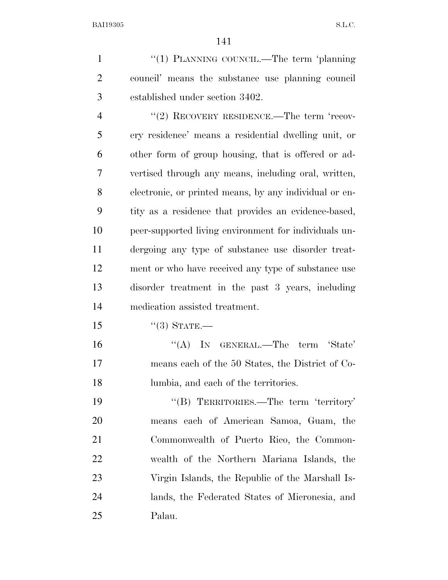1 "(1) PLANNING COUNCIL.—The term 'planning council' means the substance use planning council established under section 3402. 4 "(2) RECOVERY RESIDENCE.—The term 'recov- ery residence' means a residential dwelling unit, or other form of group housing, that is offered or ad-

 vertised through any means, including oral, written, electronic, or printed means, by any individual or en- tity as a residence that provides an evidence-based, peer-supported living environment for individuals un- dergoing any type of substance use disorder treat- ment or who have received any type of substance use disorder treatment in the past 3 years, including medication assisted treatment.

''(3) STATE.—

16 "(A) IN GENERAL.—The term 'State' means each of the 50 States, the District of Co-lumbia, and each of the territories.

19 "'(B) TERRITORIES.—The term 'territory' means each of American Samoa, Guam, the Commonwealth of Puerto Rico, the Common- wealth of the Northern Mariana Islands, the Virgin Islands, the Republic of the Marshall Is- lands, the Federated States of Micronesia, and Palau.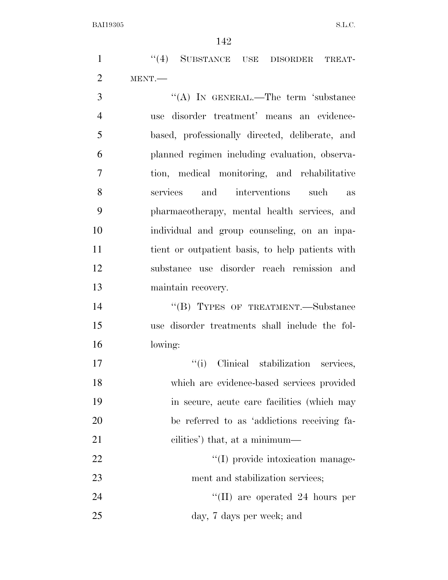1 "(4) SUBSTANCE USE DISORDER TREAT-MENT.—

3 "(A) IN GENERAL.—The term 'substance use disorder treatment' means an evidence- based, professionally directed, deliberate, and planned regimen including evaluation, observa- tion, medical monitoring, and rehabilitative services and interventions such as pharmacotherapy, mental health services, and individual and group counseling, on an inpa- tient or outpatient basis, to help patients with substance use disorder reach remission and maintain recovery.

14 "(B) TYPES OF TREATMENT.—Substance use disorder treatments shall include the fol-lowing:

 $\text{``(i)}$  Clinical stabilization services, which are evidence-based services provided in secure, acute care facilities (which may be referred to as 'addictions receiving fa- cilities') that, at a minimum— 22 ''(I) provide intoxication manage-23 ment and stabilization services;

24 ''(II) are operated 24 hours per day, 7 days per week; and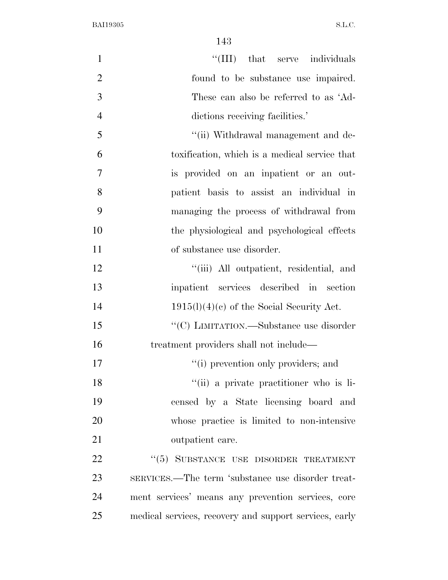| $\mathbf{1}$   | "(III) that serve individuals                          |
|----------------|--------------------------------------------------------|
| $\overline{2}$ | found to be substance use impaired.                    |
| 3              | These can also be referred to as 'Ad-                  |
| $\overline{4}$ | dictions receiving facilities.'                        |
| 5              | "(ii) Withdrawal management and de-                    |
| 6              | toxification, which is a medical service that          |
| 7              | is provided on an inpatient or an out-                 |
| 8              | patient basis to assist an individual in               |
| 9              | managing the process of withdrawal from                |
| 10             | the physiological and psychological effects            |
| 11             | of substance use disorder.                             |
| 12             | "(iii) All outpatient, residential, and                |
| 13             | inpatient services described in section                |
| 14             | $1915(l)(4)(e)$ of the Social Security Act.            |
| 15             | "(C) LIMITATION.—Substance use disorder                |
| 16             | treatment providers shall not include—                 |
| 17             | "(i) prevention only providers; and                    |
| 18             | "(ii) a private practitioner who is li-                |
| 19             | censed by a State licensing board and                  |
| 20             | whose practice is limited to non-intensive             |
| 21             | outpatient care.                                       |
| <u>22</u>      | "(5) SUBSTANCE USE DISORDER TREATMENT                  |
| 23             | SERVICES.—The term 'substance use disorder treat-      |
| 24             | ment services' means any prevention services, core     |
| 25             | medical services, recovery and support services, early |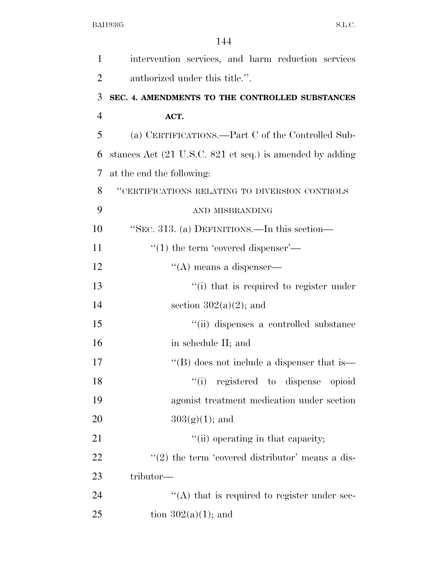| $\mathbf{1}$   | intervention services, and harm reduction services       |
|----------------|----------------------------------------------------------|
| $\overline{2}$ | authorized under this title.".                           |
| 3              | SEC. 4. AMENDMENTS TO THE CONTROLLED SUBSTANCES          |
| $\overline{4}$ | ACT.                                                     |
| 5              | (a) CERTIFICATIONS.—Part C of the Controlled Sub-        |
| 6              | stances Act (21 U.S.C. 821 et seq.) is amended by adding |
| 7              | at the end the following:                                |
| 8              | "CERTIFICATIONS RELATING TO DIVERSION CONTROLS           |
| 9              | AND MISBRANDING                                          |
| 10             | "SEC. 313. (a) DEFINITIONS.—In this section—             |
| 11             | $\cdot$ (1) the term 'covered dispenser'—                |
| 12             | $\lq\lq$ means a dispenser—                              |
| 13             | "(i) that is required to register under                  |
| 14             | section $302(a)(2)$ ; and                                |
| 15             | "(ii) dispenses a controlled substance                   |
| 16             | in schedule II; and                                      |
| 17             | "(B) does not include a dispenser that is—               |
| 18             | "(i) registered to dispense opioid                       |
| 19             | agonist treatment medication under section               |
| 20             | $303(g)(1)$ ; and                                        |
| 21             | "(ii) operating in that capacity;                        |
| 22             | $\lq(2)$ the term 'covered distributor' means a dis-     |
| 23             | tributor—                                                |
| 24             | "(A) that is required to register under sec-             |
| 25             | tion $302(a)(1)$ ; and                                   |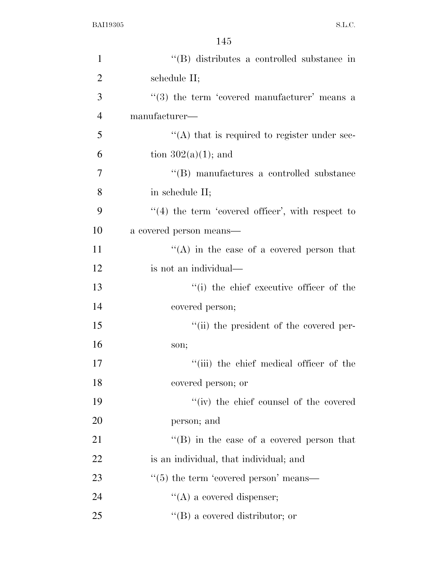| $\mathbf{1}$   | "(B) distributes a controlled substance in           |
|----------------|------------------------------------------------------|
| $\overline{2}$ | schedule II;                                         |
| 3              | $(3)$ the term 'covered manufacturer' means a        |
| $\overline{4}$ | manufacturer—                                        |
| 5              | $\lq\lq$ that is required to register under sec-     |
| 6              | tion $302(a)(1)$ ; and                               |
| 7              | "(B) manufactures a controlled substance             |
| 8              | in schedule II;                                      |
| 9              | $\lq(4)$ the term 'covered officer', with respect to |
| 10             | a covered person means—                              |
| 11             | "(A) in the case of a covered person that            |
| 12             | is not an individual—                                |
| 13             | "(i) the chief executive officer of the              |
| 14             | covered person;                                      |
| 15             | "(ii) the president of the covered per-              |
| 16             | son;                                                 |
| 17             | "(iii) the chief medical officer of the              |
| 18             | covered person; or                                   |
| 19             | "(iv) the chief counsel of the covered               |
| 20             | person; and                                          |
| 21             | $\lq\lq (B)$ in the case of a covered person that    |
| 22             | is an individual, that individual; and               |
| 23             | $\cdot\cdot$ (5) the term 'covered person' means—    |
| 24             | $\lq\lq$ (A) a covered dispenser;                    |
| 25             | $\lq\lq (B)$ a covered distributor; or               |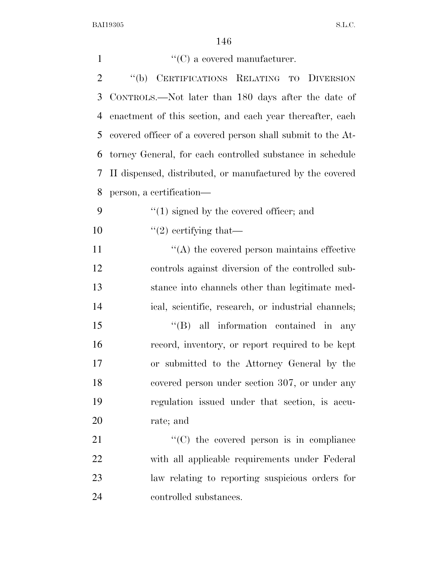| $\mathbf{1}$   | $\lq\lq(C)$ a covered manufacturer.                         |
|----------------|-------------------------------------------------------------|
| $\overline{2}$ | CERTIFICATIONS RELATING TO DIVERSION<br>$\lq (b)$           |
| 3              | CONTROLS.—Not later than 180 days after the date of         |
| $\overline{4}$ | enactment of this section, and each year thereafter, each   |
| 5              | covered officer of a covered person shall submit to the At- |
| 6              | torney General, for each controlled substance in schedule   |
| 7              | II dispensed, distributed, or manufactured by the covered   |
| 8              | person, a certification—                                    |
| 9              | $\cdot$ (1) signed by the covered officer; and              |
| 10             | $\lq(2)$ certifying that—                                   |
| 11             | $\lq\lq$ the covered person maintains effective             |
| 12             | controls against diversion of the controlled sub-           |
| 13             | stance into channels other than legitimate med-             |
| 14             | ical, scientific, research, or industrial channels;         |
| 15             | $\lq\lq$ (B) all information contained in<br>any            |
| 16             | record, inventory, or report required to be kept            |
| 17             | or submitted to the Attorney General by the                 |
| 18             | covered person under section 307, or under any              |
| 19             | regulation issued under that section, is accu-              |
| 20             | rate; and                                                   |
| 21             | $\cdot$ (C) the covered person is in compliance             |
| 22             | with all applicable requirements under Federal              |
| 23             | law relating to reporting suspicious orders for             |
| 24             | controlled substances.                                      |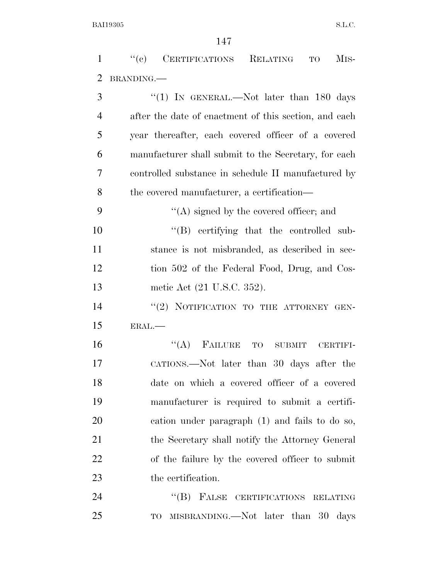''(c) CERTIFICATIONS RELATING TO MIS- BRANDING.— 3 "(1) IN GENERAL.—Not later than 180 days after the date of enactment of this section, and each year thereafter, each covered officer of a covered manufacturer shall submit to the Secretary, for each controlled substance in schedule II manufactured by the covered manufacturer, a certification—  $\langle (A)$  signed by the covered officer; and  $\text{``(B)}$  certifying that the controlled sub- stance is not misbranded, as described in sec- tion 502 of the Federal Food, Drug, and Cos- metic Act (21 U.S.C. 352). 14 "(2) NOTIFICATION TO THE ATTORNEY GEN- ERAL.— ''(A) FAILURE TO SUBMIT CERTIFI- CATIONS.—Not later than 30 days after the date on which a covered officer of a covered manufacturer is required to submit a certifi- cation under paragraph (1) and fails to do so, 21 the Secretary shall notify the Attorney General of the failure by the covered officer to submit the certification. 24 "(B) FALSE CERTIFICATIONS RELATING TO MISBRANDING.—Not later than 30 days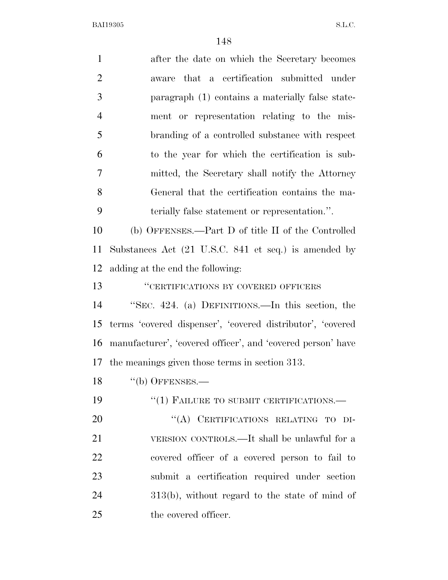| $\mathbf{1}$   | after the date on which the Secretary becomes               |
|----------------|-------------------------------------------------------------|
| $\overline{2}$ | aware that a certification submitted under                  |
| 3              | paragraph (1) contains a materially false state-            |
| $\overline{4}$ | ment or representation relating to the mis-                 |
| 5              | branding of a controlled substance with respect             |
| 6              | to the year for which the certification is sub-             |
| 7              | mitted, the Secretary shall notify the Attorney             |
| 8              | General that the certification contains the ma-             |
| 9              | terially false statement or representation.".               |
| 10             | (b) OFFENSES.—Part D of title II of the Controlled          |
| 11             | Substances Act (21 U.S.C. 841 et seq.) is amended by        |
| 12             | adding at the end the following:                            |
| 13             | "CERTIFICATIONS BY COVERED OFFICERS                         |
| 14             | "SEC. 424. (a) DEFINITIONS.—In this section, the            |
| 15             | terms 'covered dispenser', 'covered distributor', 'covered  |
| 16             | manufacturer', 'covered officer', and 'covered person' have |
| 17             | the meanings given those terms in section 313.              |
| 18             | $``$ (b) OFFENSES.—                                         |
| 19             | $``(1)$ FAILURE TO SUBMIT CERTIFICATIONS.—                  |
| 20             | "(A) CERTIFICATIONS RELATING TO DI-                         |
| 21             | VERSION CONTROLS.—It shall be unlawful for a                |
| 22             | covered officer of a covered person to fail to              |
| 23             | submit a certification required under section               |
| 24             | $313(b)$ , without regard to the state of mind of           |
| 25             | the covered officer.                                        |
|                |                                                             |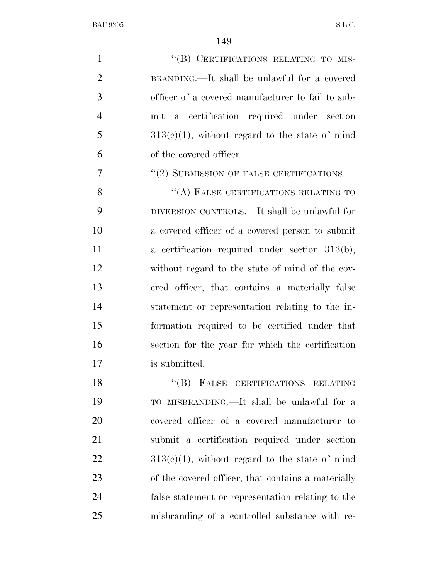1 "(B) CERTIFICATIONS RELATING TO MIS- BRANDING.—It shall be unlawful for a covered officer of a covered manufacturer to fail to sub- mit a certification required under section  $5 \qquad \qquad 313(c)(1)$ , without regard to the state of mind of the covered officer. 7 "(2) SUBMISSION OF FALSE CERTIFICATIONS.— 8 "(A) FALSE CERTIFICATIONS RELATING TO DIVERSION CONTROLS.—It shall be unlawful for a covered officer of a covered person to submit a certification required under section 313(b), without regard to the state of mind of the cov- ered officer, that contains a materially false statement or representation relating to the in- formation required to be certified under that section for the year for which the certification is submitted. 18 "(B) FALSE CERTIFICATIONS RELATING

 TO MISBRANDING.—It shall be unlawful for a covered officer of a covered manufacturer to submit a certification required under section  $313(e)(1)$ , without regard to the state of mind of the covered officer, that contains a materially false statement or representation relating to the misbranding of a controlled substance with re-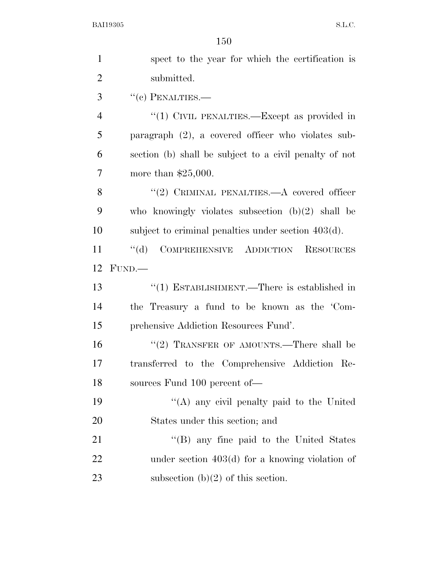| $\mathbf{1}$   | spect to the year for which the certification is       |
|----------------|--------------------------------------------------------|
| $\overline{2}$ | submitted.                                             |
| 3              | $``(c)$ PENALTIES.—                                    |
| $\overline{4}$ | "(1) CIVIL PENALTIES.—Except as provided in            |
| 5              | paragraph $(2)$ , a covered officer who violates sub-  |
| 6              | section (b) shall be subject to a civil penalty of not |
| 7              | more than $$25,000$ .                                  |
| 8              | "(2) CRIMINAL PENALTIES.— $A$ covered officer          |
| 9              | who knowingly violates subsection $(b)(2)$ shall be    |
| 10             | subject to criminal penalties under section $403(d)$ . |
| 11             | COMPREHENSIVE ADDICTION RESOURCES<br>$\lq\lq (d)$      |
| 12             | FUND.                                                  |
| 13             | $``(1)$ ESTABLISHMENT.—There is established in         |
| 14             | the Treasury a fund to be known as the 'Com-           |
| 15             | prehensive Addiction Resources Fund'.                  |
| 16             | "(2) TRANSFER OF AMOUNTS.—There shall be               |
| 17             | transferred to the Comprehensive Addiction Re-         |
| 18             | sources Fund 100 percent of-                           |
| 19             | "(A) any civil penalty paid to the United              |
| 20             | States under this section; and                         |
| 21             | "(B) any fine paid to the United States                |
| 22             | under section $403(d)$ for a knowing violation of      |
| 23             | subsection $(b)(2)$ of this section.                   |
|                |                                                        |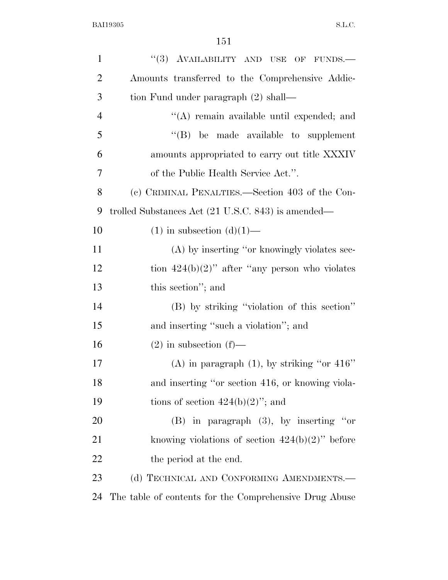| $\mathbf{1}$   | "(3) AVAILABILITY AND USE OF FUNDS.-                   |
|----------------|--------------------------------------------------------|
| $\overline{2}$ | Amounts transferred to the Comprehensive Addic-        |
| 3              | tion Fund under paragraph (2) shall—                   |
| $\overline{4}$ | "(A) remain available until expended; and              |
| 5              | $\lq\lq$ be made available to supplement               |
| 6              | amounts appropriated to carry out title XXXIV          |
| 7              | of the Public Health Service Act.".                    |
| 8              | (c) CRIMINAL PENALTIES.—Section 403 of the Con-        |
| 9              | trolled Substances Act (21 U.S.C. 843) is amended—     |
| 10             | $(1)$ in subsection $(d)(1)$ —                         |
| 11             | (A) by inserting "or knowingly violates sec-           |
| 12             | tion $424(b)(2)$ " after "any person who violates      |
| 13             | this section"; and                                     |
| 14             | (B) by striking "violation of this section"            |
| 15             | and inserting "such a violation"; and                  |
| 16             | $(2)$ in subsection $(f)$ —                            |
| 17             | (A) in paragraph $(1)$ , by striking "or 416"          |
| 18             | and inserting "or section 416, or knowing viola-       |
| 19             | tions of section $424(b)(2)$ "; and                    |
| 20             | $(B)$ in paragraph $(3)$ , by inserting "or            |
| 21             | knowing violations of section $424(b)(2)$ " before     |
| 22             | the period at the end.                                 |
| 23             | (d) TECHNICAL AND CONFORMING AMENDMENTS.-              |
| 24             | The table of contents for the Comprehensive Drug Abuse |